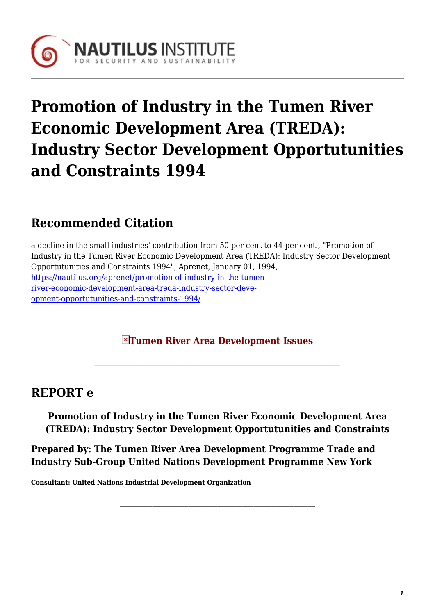

# **Promotion of Industry in the Tumen River Economic Development Area (TREDA): Industry Sector Development Opportutunities and Constraints 1994**

## **Recommended Citation**

a decline in the small industries' contribution from 50 per cent to 44 per cent., "Promotion of Industry in the Tumen River Economic Development Area (TREDA): Industry Sector Development Opportutunities and Constraints 1994", Aprenet, January 01, 1994, [https://nautilus.org/aprenet/promotion-of-industry-in-the-tumen](https://nautilus.org/aprenet/promotion-of-industry-in-the-tumen-river-economic-development-area-treda-industry-sector-development-opportutunities-and-constraints-1994/)[river-economic-development-area-treda-industry-sector-deve](https://nautilus.org/aprenet/promotion-of-industry-in-the-tumen-river-economic-development-area-treda-industry-sector-development-opportutunities-and-constraints-1994/)[opment-opportutunities-and-constraints-1994/](https://nautilus.org/aprenet/promotion-of-industry-in-the-tumen-river-economic-development-area-treda-industry-sector-development-opportutunities-and-constraints-1994/)

#### **Tumen River Area Development Issues**

### **REPORT e**

**Promotion of Industry in the Tumen River Economic Development Area (TREDA): Industry Sector Development Opportutunities and Constraints**

**Prepared by: The Tumen River Area Development Programme Trade and Industry Sub-Group United Nations Development Programme New York**

**Consultant: United Nations Industrial Development Organization**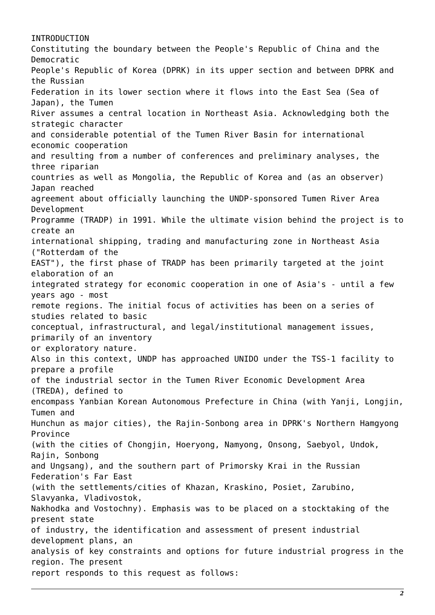INTRODUCTION Constituting the boundary between the People's Republic of China and the Democratic People's Republic of Korea (DPRK) in its upper section and between DPRK and the Russian Federation in its lower section where it flows into the East Sea (Sea of Japan), the Tumen River assumes a central location in Northeast Asia. Acknowledging both the strategic character and considerable potential of the Tumen River Basin for international economic cooperation and resulting from a number of conferences and preliminary analyses, the three riparian countries as well as Mongolia, the Republic of Korea and (as an observer) Japan reached agreement about officially launching the UNDP-sponsored Tumen River Area Development Programme (TRADP) in 1991. While the ultimate vision behind the project is to create an international shipping, trading and manufacturing zone in Northeast Asia ("Rotterdam of the EAST"), the first phase of TRADP has been primarily targeted at the joint elaboration of an integrated strategy for economic cooperation in one of Asia's - until a few years ago - most remote regions. The initial focus of activities has been on a series of studies related to basic conceptual, infrastructural, and legal/institutional management issues, primarily of an inventory or exploratory nature. Also in this context, UNDP has approached UNIDO under the TSS-1 facility to prepare a profile of the industrial sector in the Tumen River Economic Development Area (TREDA), defined to encompass Yanbian Korean Autonomous Prefecture in China (with Yanji, Longjin, Tumen and Hunchun as major cities), the Rajin-Sonbong area in DPRK's Northern Hamgyong Province (with the cities of Chongjin, Hoeryong, Namyong, Onsong, Saebyol, Undok, Rajin, Sonbong and Ungsang), and the southern part of Primorsky Krai in the Russian Federation's Far East (with the settlements/cities of Khazan, Kraskino, Posiet, Zarubino, Slavyanka, Vladivostok, Nakhodka and Vostochny). Emphasis was to be placed on a stocktaking of the present state of industry, the identification and assessment of present industrial development plans, an analysis of key constraints and options for future industrial progress in the region. The present report responds to this request as follows: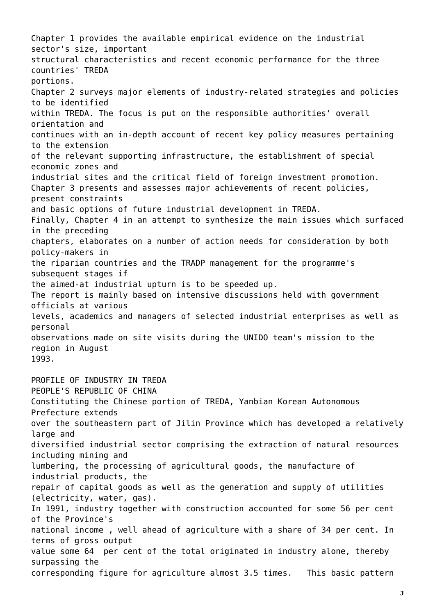Chapter 1 provides the available empirical evidence on the industrial sector's size, important structural characteristics and recent economic performance for the three countries' TREDA portions. Chapter 2 surveys major elements of industry-related strategies and policies to be identified within TREDA. The focus is put on the responsible authorities' overall orientation and continues with an in-depth account of recent key policy measures pertaining to the extension of the relevant supporting infrastructure, the establishment of special economic zones and industrial sites and the critical field of foreign investment promotion. Chapter 3 presents and assesses major achievements of recent policies, present constraints and basic options of future industrial development in TREDA. Finally, Chapter 4 in an attempt to synthesize the main issues which surfaced in the preceding chapters, elaborates on a number of action needs for consideration by both policy-makers in the riparian countries and the TRADP management for the programme's subsequent stages if the aimed-at industrial upturn is to be speeded up. The report is mainly based on intensive discussions held with government officials at various levels, academics and managers of selected industrial enterprises as well as personal observations made on site visits during the UNIDO team's mission to the region in August 1993. PROFILE OF INDUSTRY IN TREDA PEOPLE'S REPUBLIC OF CHINA Constituting the Chinese portion of TREDA, Yanbian Korean Autonomous Prefecture extends over the southeastern part of Jilin Province which has developed a relatively large and diversified industrial sector comprising the extraction of natural resources including mining and lumbering, the processing of agricultural goods, the manufacture of industrial products, the repair of capital goods as well as the generation and supply of utilities (electricity, water, gas). In 1991, industry together with construction accounted for some 56 per cent of the Province's national income , well ahead of agriculture with a share of 34 per cent. In

terms of gross output value some 64 per cent of the total originated in industry alone, thereby surpassing the

corresponding figure for agriculture almost 3.5 times. This basic pattern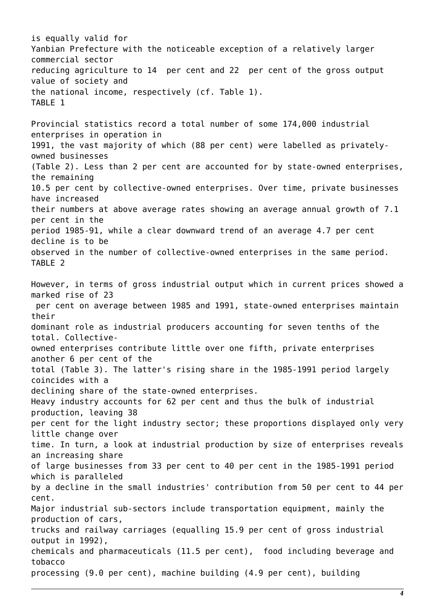is equally valid for Yanbian Prefecture with the noticeable exception of a relatively larger commercial sector reducing agriculture to 14 per cent and 22 per cent of the gross output value of society and the national income, respectively (cf. Table 1). TABLE 1 Provincial statistics record a total number of some 174,000 industrial enterprises in operation in 1991, the vast majority of which (88 per cent) were labelled as privatelyowned businesses (Table 2). Less than 2 per cent are accounted for by state-owned enterprises, the remaining 10.5 per cent by collective-owned enterprises. Over time, private businesses have increased their numbers at above average rates showing an average annual growth of 7.1 per cent in the period 1985-91, while a clear downward trend of an average 4.7 per cent decline is to be observed in the number of collective-owned enterprises in the same period. TABLE 2 However, in terms of gross industrial output which in current prices showed a marked rise of 23 per cent on average between 1985 and 1991, state-owned enterprises maintain their dominant role as industrial producers accounting for seven tenths of the total. Collectiveowned enterprises contribute little over one fifth, private enterprises another 6 per cent of the total (Table 3). The latter's rising share in the 1985-1991 period largely coincides with a declining share of the state-owned enterprises. Heavy industry accounts for 62 per cent and thus the bulk of industrial production, leaving 38 per cent for the light industry sector; these proportions displayed only very little change over time. In turn, a look at industrial production by size of enterprises reveals an increasing share of large businesses from 33 per cent to 40 per cent in the 1985-1991 period which is paralleled by a decline in the small industries' contribution from 50 per cent to 44 per cent. Major industrial sub-sectors include transportation equipment, mainly the production of cars, trucks and railway carriages (equalling 15.9 per cent of gross industrial output in 1992), chemicals and pharmaceuticals (11.5 per cent), food including beverage and tobacco processing (9.0 per cent), machine building (4.9 per cent), building

*4*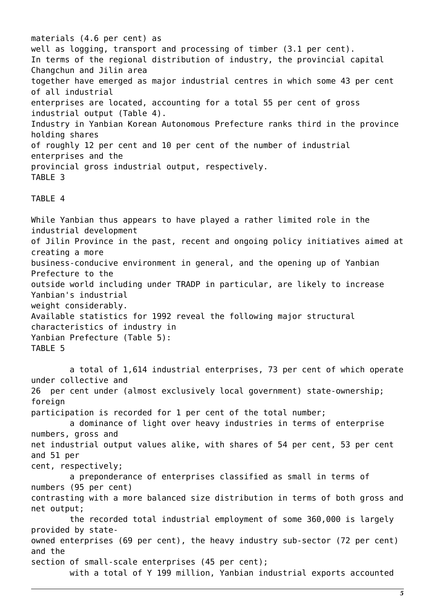materials (4.6 per cent) as well as logging, transport and processing of timber (3.1 per cent). In terms of the regional distribution of industry, the provincial capital Changchun and Jilin area together have emerged as major industrial centres in which some 43 per cent of all industrial enterprises are located, accounting for a total 55 per cent of gross industrial output (Table 4). Industry in Yanbian Korean Autonomous Prefecture ranks third in the province holding shares of roughly 12 per cent and 10 per cent of the number of industrial enterprises and the provincial gross industrial output, respectively. TABLE 3

#### TABLE 4

While Yanbian thus appears to have played a rather limited role in the industrial development of Jilin Province in the past, recent and ongoing policy initiatives aimed at creating a more business-conducive environment in general, and the opening up of Yanbian Prefecture to the outside world including under TRADP in particular, are likely to increase Yanbian's industrial weight considerably. Available statistics for 1992 reveal the following major structural characteristics of industry in Yanbian Prefecture (Table 5): TABLE 5

 a total of 1,614 industrial enterprises, 73 per cent of which operate under collective and 26 per cent under (almost exclusively local government) state-ownership; foreign participation is recorded for 1 per cent of the total number; a dominance of light over heavy industries in terms of enterprise numbers, gross and net industrial output values alike, with shares of 54 per cent, 53 per cent and 51 per cent, respectively; a preponderance of enterprises classified as small in terms of numbers (95 per cent) contrasting with a more balanced size distribution in terms of both gross and net output; the recorded total industrial employment of some 360,000 is largely provided by stateowned enterprises (69 per cent), the heavy industry sub-sector (72 per cent) and the section of small-scale enterprises (45 per cent); with a total of Y 199 million, Yanbian industrial exports accounted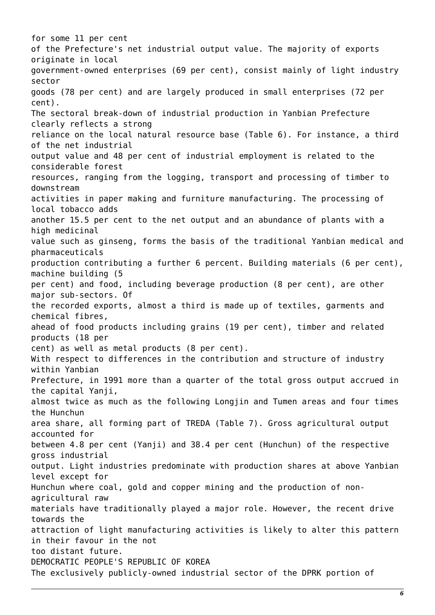for some 11 per cent of the Prefecture's net industrial output value. The majority of exports originate in local government-owned enterprises (69 per cent), consist mainly of light industry sector goods (78 per cent) and are largely produced in small enterprises (72 per cent). The sectoral break-down of industrial production in Yanbian Prefecture clearly reflects a strong reliance on the local natural resource base (Table 6). For instance, a third of the net industrial output value and 48 per cent of industrial employment is related to the considerable forest resources, ranging from the logging, transport and processing of timber to downstream activities in paper making and furniture manufacturing. The processing of local tobacco adds another 15.5 per cent to the net output and an abundance of plants with a high medicinal value such as ginseng, forms the basis of the traditional Yanbian medical and pharmaceuticals production contributing a further 6 percent. Building materials (6 per cent), machine building (5 per cent) and food, including beverage production (8 per cent), are other major sub-sectors. Of the recorded exports, almost a third is made up of textiles, garments and chemical fibres, ahead of food products including grains (19 per cent), timber and related products (18 per cent) as well as metal products (8 per cent). With respect to differences in the contribution and structure of industry within Yanbian Prefecture, in 1991 more than a quarter of the total gross output accrued in the capital Yanji, almost twice as much as the following Longjin and Tumen areas and four times the Hunchun area share, all forming part of TREDA (Table 7). Gross agricultural output accounted for between 4.8 per cent (Yanji) and 38.4 per cent (Hunchun) of the respective gross industrial output. Light industries predominate with production shares at above Yanbian level except for Hunchun where coal, gold and copper mining and the production of nonagricultural raw materials have traditionally played a major role. However, the recent drive towards the attraction of light manufacturing activities is likely to alter this pattern in their favour in the not too distant future. DEMOCRATIC PEOPLE'S REPUBLIC OF KOREA The exclusively publicly-owned industrial sector of the DPRK portion of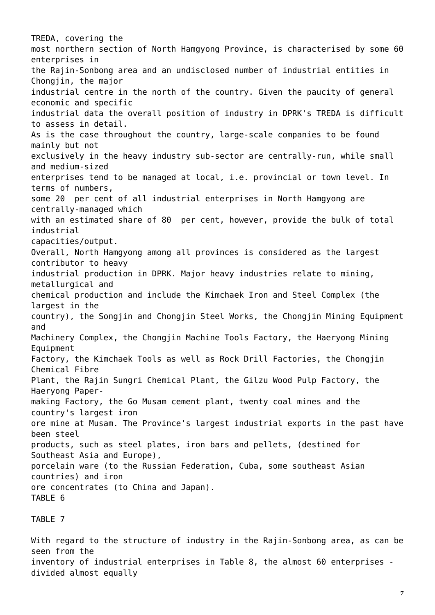TREDA, covering the most northern section of North Hamgyong Province, is characterised by some 60 enterprises in the Rajin-Sonbong area and an undisclosed number of industrial entities in Chongiin, the major industrial centre in the north of the country. Given the paucity of general economic and specific industrial data the overall position of industry in DPRK's TREDA is difficult to assess in detail. As is the case throughout the country, large-scale companies to be found mainly but not exclusively in the heavy industry sub-sector are centrally-run, while small and medium-sized enterprises tend to be managed at local, i.e. provincial or town level. In terms of numbers, some 20 per cent of all industrial enterprises in North Hamgyong are centrally-managed which with an estimated share of 80 per cent, however, provide the bulk of total industrial capacities/output. Overall, North Hamgyong among all provinces is considered as the largest contributor to heavy industrial production in DPRK. Major heavy industries relate to mining, metallurgical and chemical production and include the Kimchaek Iron and Steel Complex (the largest in the country), the Songjin and Chongjin Steel Works, the Chongjin Mining Equipment and Machinery Complex, the Chongjin Machine Tools Factory, the Haeryong Mining Equipment Factory, the Kimchaek Tools as well as Rock Drill Factories, the Chongjin Chemical Fibre Plant, the Rajin Sungri Chemical Plant, the Gilzu Wood Pulp Factory, the Haeryong Papermaking Factory, the Go Musam cement plant, twenty coal mines and the country's largest iron ore mine at Musam. The Province's largest industrial exports in the past have been steel products, such as steel plates, iron bars and pellets, (destined for Southeast Asia and Europe), porcelain ware (to the Russian Federation, Cuba, some southeast Asian countries) and iron ore concentrates (to China and Japan). TABLE 6

TABLE 7

With regard to the structure of industry in the Rajin-Sonbong area, as can be seen from the inventory of industrial enterprises in Table 8, the almost 60 enterprises divided almost equally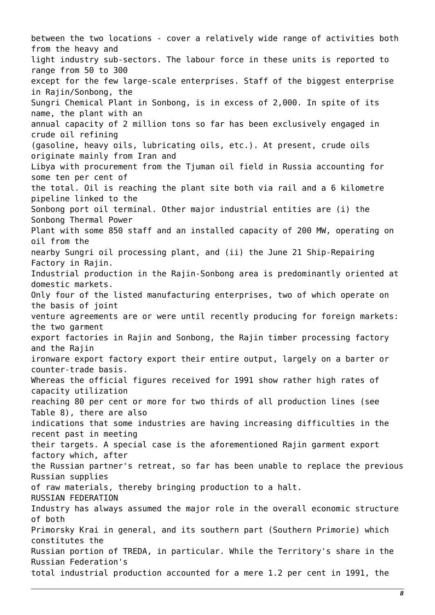between the two locations - cover a relatively wide range of activities both from the heavy and light industry sub-sectors. The labour force in these units is reported to range from 50 to 300 except for the few large-scale enterprises. Staff of the biggest enterprise in Rajin/Sonbong, the Sungri Chemical Plant in Sonbong, is in excess of 2,000. In spite of its name, the plant with an annual capacity of 2 million tons so far has been exclusively engaged in crude oil refining (gasoline, heavy oils, lubricating oils, etc.). At present, crude oils originate mainly from Iran and Libya with procurement from the Tjuman oil field in Russia accounting for some ten per cent of the total. Oil is reaching the plant site both via rail and a 6 kilometre pipeline linked to the Sonbong port oil terminal. Other major industrial entities are (i) the Sonbong Thermal Power Plant with some 850 staff and an installed capacity of 200 MW, operating on oil from the nearby Sungri oil processing plant, and (ii) the June 21 Ship-Repairing Factory in Rajin. Industrial production in the Rajin-Sonbong area is predominantly oriented at domestic markets. Only four of the listed manufacturing enterprises, two of which operate on the basis of joint venture agreements are or were until recently producing for foreign markets: the two garment export factories in Rajin and Sonbong, the Rajin timber processing factory and the Rajin ironware export factory export their entire output, largely on a barter or counter-trade basis. Whereas the official figures received for 1991 show rather high rates of capacity utilization reaching 80 per cent or more for two thirds of all production lines (see Table 8), there are also indications that some industries are having increasing difficulties in the recent past in meeting their targets. A special case is the aforementioned Rajin garment export factory which, after the Russian partner's retreat, so far has been unable to replace the previous Russian supplies of raw materials, thereby bringing production to a halt. RUSSIAN FEDERATION Industry has always assumed the major role in the overall economic structure of both Primorsky Krai in general, and its southern part (Southern Primorie) which constitutes the Russian portion of TREDA, in particular. While the Territory's share in the Russian Federation's total industrial production accounted for a mere 1.2 per cent in 1991, the

*8*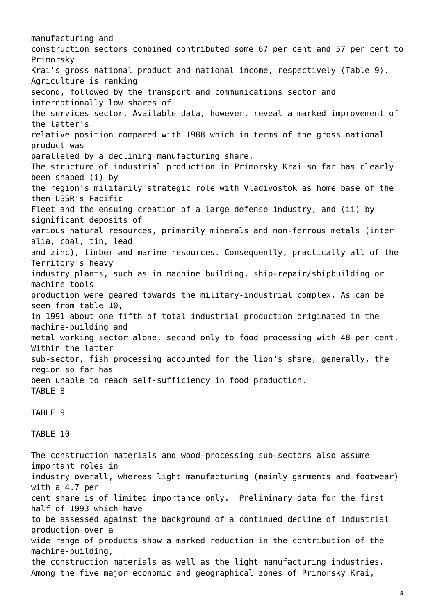manufacturing and construction sectors combined contributed some 67 per cent and 57 per cent to Primorsky Krai's gross national product and national income, respectively (Table 9). Agriculture is ranking second, followed by the transport and communications sector and internationally low shares of the services sector. Available data, however, reveal a marked improvement of the latter's relative position compared with 1988 which in terms of the gross national product was paralleled by a declining manufacturing share. The structure of industrial production in Primorsky Krai so far has clearly been shaped (i) by the region's militarily strategic role with Vladivostok as home base of the then USSR's Pacific Fleet and the ensuing creation of a large defense industry, and (ii) by significant deposits of various natural resources, primarily minerals and non-ferrous metals (inter alia, coal, tin, lead and zinc), timber and marine resources. Consequently, practically all of the Territory's heavy industry plants, such as in machine building, ship-repair/shipbuilding or machine tools production were geared towards the military-industrial complex. As can be seen from table 10, in 1991 about one fifth of total industrial production originated in the machine-building and metal working sector alone, second only to food processing with 48 per cent. Within the latter sub-sector, fish processing accounted for the lion's share; generally, the region so far has been unable to reach self-sufficiency in food production. TABLE 8 TABLE 9 TABLE 10 The construction materials and wood-processing sub-sectors also assume important roles in industry overall, whereas light manufacturing (mainly garments and footwear) with a 4.7 per cent share is of limited importance only. Preliminary data for the first half of 1993 which have to be assessed against the background of a continued decline of industrial production over a

wide range of products show a marked reduction in the contribution of the machine-building,

the construction materials as well as the light manufacturing industries. Among the five major economic and geographical zones of Primorsky Krai,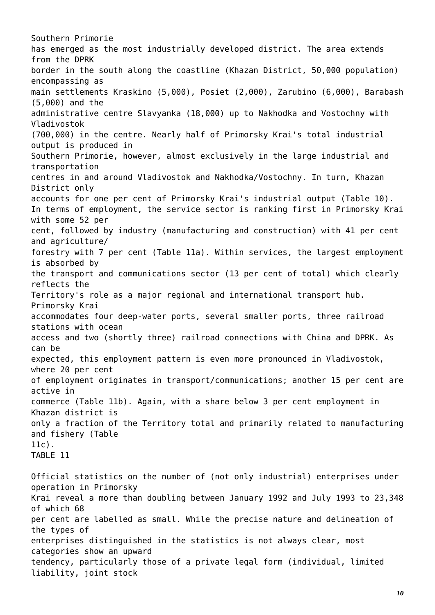Southern Primorie has emerged as the most industrially developed district. The area extends from the DPRK border in the south along the coastline (Khazan District, 50,000 population) encompassing as main settlements Kraskino (5,000), Posiet (2,000), Zarubino (6,000), Barabash (5,000) and the administrative centre Slavyanka (18,000) up to Nakhodka and Vostochny with Vladivostok (700,000) in the centre. Nearly half of Primorsky Krai's total industrial output is produced in Southern Primorie, however, almost exclusively in the large industrial and transportation centres in and around Vladivostok and Nakhodka/Vostochny. In turn, Khazan District only accounts for one per cent of Primorsky Krai's industrial output (Table 10). In terms of employment, the service sector is ranking first in Primorsky Krai with some 52 per cent, followed by industry (manufacturing and construction) with 41 per cent and agriculture/ forestry with 7 per cent (Table 11a). Within services, the largest employment is absorbed by the transport and communications sector (13 per cent of total) which clearly reflects the Territory's role as a major regional and international transport hub. Primorsky Krai accommodates four deep-water ports, several smaller ports, three railroad stations with ocean access and two (shortly three) railroad connections with China and DPRK. As can be expected, this employment pattern is even more pronounced in Vladivostok, where 20 per cent of employment originates in transport/communications; another 15 per cent are active in commerce (Table 11b). Again, with a share below 3 per cent employment in Khazan district is only a fraction of the Territory total and primarily related to manufacturing and fishery (Table 11c). TABLE 11 Official statistics on the number of (not only industrial) enterprises under operation in Primorsky Krai reveal a more than doubling between January 1992 and July 1993 to 23,348 of which 68 per cent are labelled as small. While the precise nature and delineation of the types of enterprises distinguished in the statistics is not always clear, most categories show an upward

tendency, particularly those of a private legal form (individual, limited liability, joint stock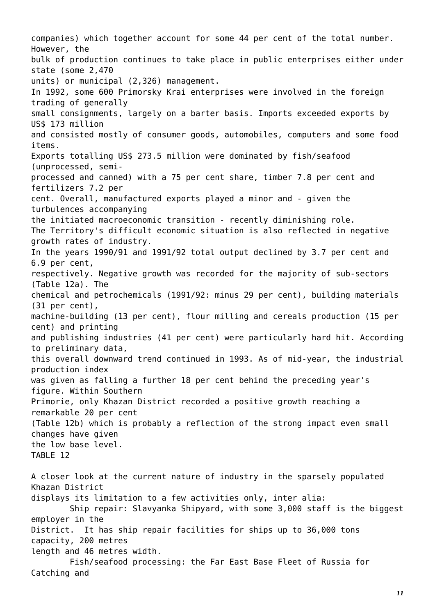companies) which together account for some 44 per cent of the total number. However, the bulk of production continues to take place in public enterprises either under state (some 2,470 units) or municipal (2,326) management. In 1992, some 600 Primorsky Krai enterprises were involved in the foreign trading of generally small consignments, largely on a barter basis. Imports exceeded exports by US\$ 173 million and consisted mostly of consumer goods, automobiles, computers and some food items. Exports totalling US\$ 273.5 million were dominated by fish/seafood (unprocessed, semiprocessed and canned) with a 75 per cent share, timber 7.8 per cent and fertilizers 7.2 per cent. Overall, manufactured exports played a minor and - given the turbulences accompanying the initiated macroeconomic transition - recently diminishing role. The Territory's difficult economic situation is also reflected in negative growth rates of industry. In the years 1990/91 and 1991/92 total output declined by 3.7 per cent and 6.9 per cent, respectively. Negative growth was recorded for the majority of sub-sectors (Table 12a). The chemical and petrochemicals (1991/92: minus 29 per cent), building materials (31 per cent), machine-building (13 per cent), flour milling and cereals production (15 per cent) and printing and publishing industries (41 per cent) were particularly hard hit. According to preliminary data, this overall downward trend continued in 1993. As of mid-year, the industrial production index was given as falling a further 18 per cent behind the preceding year's figure. Within Southern Primorie, only Khazan District recorded a positive growth reaching a remarkable 20 per cent (Table 12b) which is probably a reflection of the strong impact even small changes have given the low base level. TABLE 12 A closer look at the current nature of industry in the sparsely populated Khazan District displays its limitation to a few activities only, inter alia: Ship repair: Slavyanka Shipyard, with some 3,000 staff is the biggest employer in the District. It has ship repair facilities for ships up to 36,000 tons capacity, 200 metres length and 46 metres width. Fish/seafood processing: the Far East Base Fleet of Russia for Catching and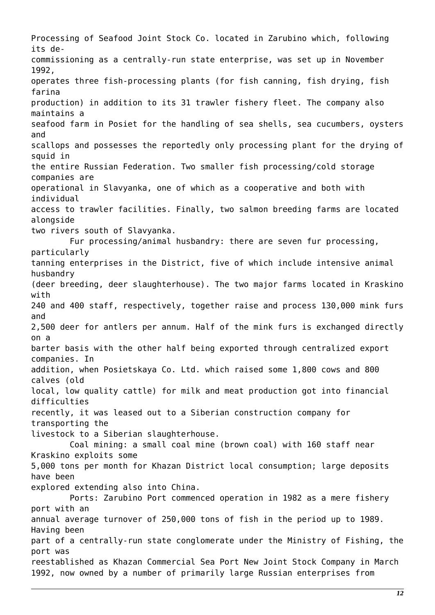Processing of Seafood Joint Stock Co. located in Zarubino which, following its decommissioning as a centrally-run state enterprise, was set up in November 1992, operates three fish-processing plants (for fish canning, fish drying, fish farina production) in addition to its 31 trawler fishery fleet. The company also maintains a seafood farm in Posiet for the handling of sea shells, sea cucumbers, oysters and scallops and possesses the reportedly only processing plant for the drying of squid in the entire Russian Federation. Two smaller fish processing/cold storage companies are operational in Slavyanka, one of which as a cooperative and both with individual access to trawler facilities. Finally, two salmon breeding farms are located alongside two rivers south of Slavyanka. Fur processing/animal husbandry: there are seven fur processing, particularly tanning enterprises in the District, five of which include intensive animal husbandry (deer breeding, deer slaughterhouse). The two major farms located in Kraskino with 240 and 400 staff, respectively, together raise and process 130,000 mink furs and 2,500 deer for antlers per annum. Half of the mink furs is exchanged directly on a barter basis with the other half being exported through centralized export companies. In addition, when Posietskaya Co. Ltd. which raised some 1,800 cows and 800 calves (old local, low quality cattle) for milk and meat production got into financial difficulties recently, it was leased out to a Siberian construction company for transporting the livestock to a Siberian slaughterhouse. Coal mining: a small coal mine (brown coal) with 160 staff near Kraskino exploits some 5,000 tons per month for Khazan District local consumption; large deposits have been explored extending also into China. Ports: Zarubino Port commenced operation in 1982 as a mere fishery port with an annual average turnover of 250,000 tons of fish in the period up to 1989. Having been part of a centrally-run state conglomerate under the Ministry of Fishing, the port was reestablished as Khazan Commercial Sea Port New Joint Stock Company in March 1992, now owned by a number of primarily large Russian enterprises from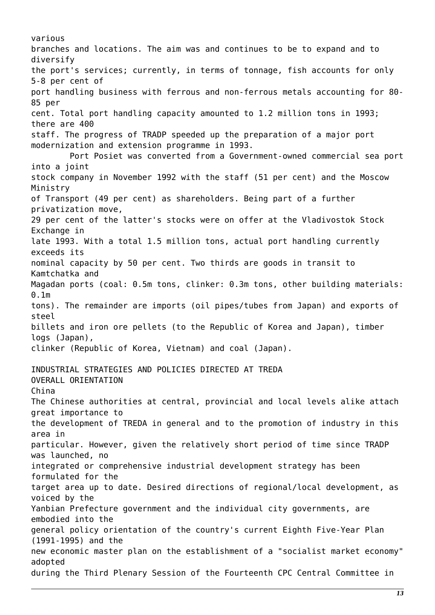various branches and locations. The aim was and continues to be to expand and to diversify the port's services; currently, in terms of tonnage, fish accounts for only 5-8 per cent of port handling business with ferrous and non-ferrous metals accounting for 80- 85 per cent. Total port handling capacity amounted to 1.2 million tons in 1993; there are 400 staff. The progress of TRADP speeded up the preparation of a major port modernization and extension programme in 1993. Port Posiet was converted from a Government-owned commercial sea port into a joint stock company in November 1992 with the staff (51 per cent) and the Moscow Ministry of Transport (49 per cent) as shareholders. Being part of a further privatization move, 29 per cent of the latter's stocks were on offer at the Vladivostok Stock Exchange in late 1993. With a total 1.5 million tons, actual port handling currently exceeds its nominal capacity by 50 per cent. Two thirds are goods in transit to Kamtchatka and Magadan ports (coal: 0.5m tons, clinker: 0.3m tons, other building materials: 0.1m tons). The remainder are imports (oil pipes/tubes from Japan) and exports of steel billets and iron ore pellets (to the Republic of Korea and Japan), timber logs (Japan), clinker (Republic of Korea, Vietnam) and coal (Japan). INDUSTRIAL STRATEGIES AND POLICIES DIRECTED AT TREDA OVERALL ORIENTATION China The Chinese authorities at central, provincial and local levels alike attach great importance to the development of TREDA in general and to the promotion of industry in this area in particular. However, given the relatively short period of time since TRADP was launched, no integrated or comprehensive industrial development strategy has been formulated for the target area up to date. Desired directions of regional/local development, as voiced by the Yanbian Prefecture government and the individual city governments, are embodied into the general policy orientation of the country's current Eighth Five-Year Plan (1991-1995) and the new economic master plan on the establishment of a "socialist market economy" adopted during the Third Plenary Session of the Fourteenth CPC Central Committee in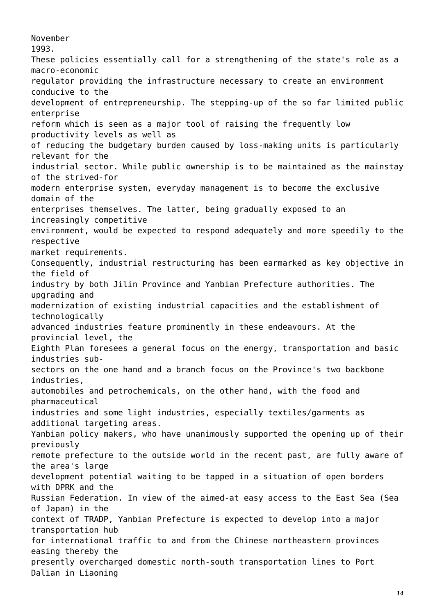November 1993. These policies essentially call for a strengthening of the state's role as a macro-economic regulator providing the infrastructure necessary to create an environment conducive to the development of entrepreneurship. The stepping-up of the so far limited public enterprise reform which is seen as a major tool of raising the frequently low productivity levels as well as of reducing the budgetary burden caused by loss-making units is particularly relevant for the industrial sector. While public ownership is to be maintained as the mainstay of the strived-for modern enterprise system, everyday management is to become the exclusive domain of the enterprises themselves. The latter, being gradually exposed to an increasingly competitive environment, would be expected to respond adequately and more speedily to the respective market requirements. Consequently, industrial restructuring has been earmarked as key objective in the field of industry by both Jilin Province and Yanbian Prefecture authorities. The upgrading and modernization of existing industrial capacities and the establishment of technologically advanced industries feature prominently in these endeavours. At the provincial level, the Eighth Plan foresees a general focus on the energy, transportation and basic industries subsectors on the one hand and a branch focus on the Province's two backbone industries, automobiles and petrochemicals, on the other hand, with the food and pharmaceutical industries and some light industries, especially textiles/garments as additional targeting areas. Yanbian policy makers, who have unanimously supported the opening up of their previously remote prefecture to the outside world in the recent past, are fully aware of the area's large development potential waiting to be tapped in a situation of open borders with DPRK and the Russian Federation. In view of the aimed-at easy access to the East Sea (Sea of Japan) in the context of TRADP, Yanbian Prefecture is expected to develop into a major transportation hub for international traffic to and from the Chinese northeastern provinces easing thereby the presently overcharged domestic north-south transportation lines to Port Dalian in Liaoning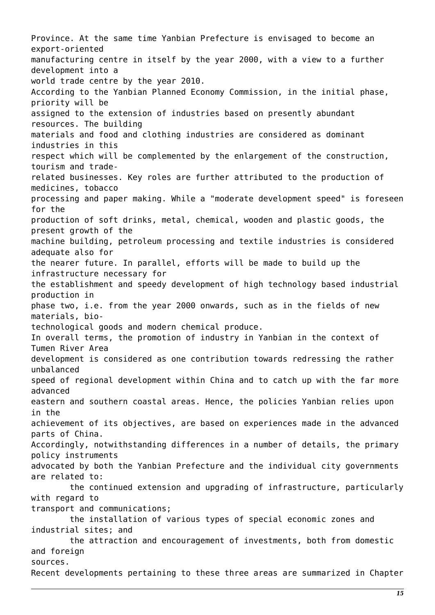Province. At the same time Yanbian Prefecture is envisaged to become an export-oriented manufacturing centre in itself by the year 2000, with a view to a further development into a world trade centre by the year 2010. According to the Yanbian Planned Economy Commission, in the initial phase, priority will be assigned to the extension of industries based on presently abundant resources. The building materials and food and clothing industries are considered as dominant industries in this respect which will be complemented by the enlargement of the construction, tourism and traderelated businesses. Key roles are further attributed to the production of medicines, tobacco processing and paper making. While a "moderate development speed" is foreseen for the production of soft drinks, metal, chemical, wooden and plastic goods, the present growth of the machine building, petroleum processing and textile industries is considered adequate also for the nearer future. In parallel, efforts will be made to build up the infrastructure necessary for the establishment and speedy development of high technology based industrial production in phase two, i.e. from the year 2000 onwards, such as in the fields of new materials, biotechnological goods and modern chemical produce. In overall terms, the promotion of industry in Yanbian in the context of Tumen River Area development is considered as one contribution towards redressing the rather unbalanced speed of regional development within China and to catch up with the far more advanced eastern and southern coastal areas. Hence, the policies Yanbian relies upon in the achievement of its objectives, are based on experiences made in the advanced parts of China. Accordingly, notwithstanding differences in a number of details, the primary policy instruments advocated by both the Yanbian Prefecture and the individual city governments are related to: the continued extension and upgrading of infrastructure, particularly with regard to transport and communications; the installation of various types of special economic zones and industrial sites; and the attraction and encouragement of investments, both from domestic and foreign sources. Recent developments pertaining to these three areas are summarized in Chapter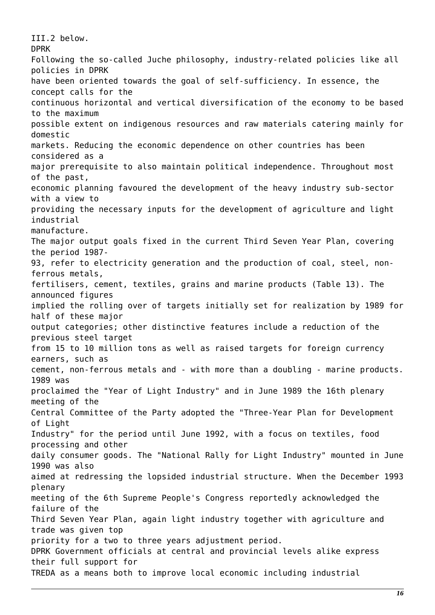III.2 below. DPRK Following the so-called Juche philosophy, industry-related policies like all policies in DPRK have been oriented towards the goal of self-sufficiency. In essence, the concept calls for the continuous horizontal and vertical diversification of the economy to be based to the maximum possible extent on indigenous resources and raw materials catering mainly for domestic markets. Reducing the economic dependence on other countries has been considered as a major prerequisite to also maintain political independence. Throughout most of the past, economic planning favoured the development of the heavy industry sub-sector with a view to providing the necessary inputs for the development of agriculture and light industrial manufacture. The major output goals fixed in the current Third Seven Year Plan, covering the period 1987- 93, refer to electricity generation and the production of coal, steel, nonferrous metals, fertilisers, cement, textiles, grains and marine products (Table 13). The announced figures implied the rolling over of targets initially set for realization by 1989 for half of these major output categories; other distinctive features include a reduction of the previous steel target from 15 to 10 million tons as well as raised targets for foreign currency earners, such as cement, non-ferrous metals and - with more than a doubling - marine products. 1989 was proclaimed the "Year of Light Industry" and in June 1989 the 16th plenary meeting of the Central Committee of the Party adopted the "Three-Year Plan for Development of Light Industry" for the period until June 1992, with a focus on textiles, food processing and other daily consumer goods. The "National Rally for Light Industry" mounted in June 1990 was also aimed at redressing the lopsided industrial structure. When the December 1993 plenary meeting of the 6th Supreme People's Congress reportedly acknowledged the failure of the Third Seven Year Plan, again light industry together with agriculture and trade was given top priority for a two to three years adjustment period. DPRK Government officials at central and provincial levels alike express their full support for TREDA as a means both to improve local economic including industrial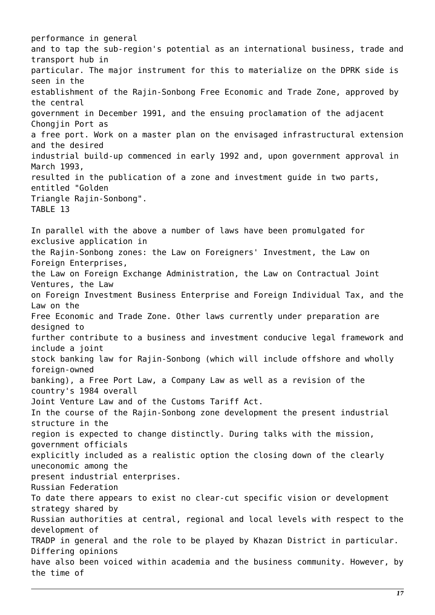performance in general and to tap the sub-region's potential as an international business, trade and transport hub in particular. The major instrument for this to materialize on the DPRK side is seen in the establishment of the Rajin-Sonbong Free Economic and Trade Zone, approved by the central government in December 1991, and the ensuing proclamation of the adjacent Chongjin Port as a free port. Work on a master plan on the envisaged infrastructural extension and the desired industrial build-up commenced in early 1992 and, upon government approval in March 1993, resulted in the publication of a zone and investment guide in two parts, entitled "Golden Triangle Rajin-Sonbong". TABLE 13 In parallel with the above a number of laws have been promulgated for exclusive application in the Rajin-Sonbong zones: the Law on Foreigners' Investment, the Law on Foreign Enterprises, the Law on Foreign Exchange Administration, the Law on Contractual Joint Ventures, the Law on Foreign Investment Business Enterprise and Foreign Individual Tax, and the Law on the Free Economic and Trade Zone. Other laws currently under preparation are designed to further contribute to a business and investment conducive legal framework and include a joint stock banking law for Rajin-Sonbong (which will include offshore and wholly foreign-owned banking), a Free Port Law, a Company Law as well as a revision of the country's 1984 overall Joint Venture Law and of the Customs Tariff Act. In the course of the Rajin-Sonbong zone development the present industrial structure in the region is expected to change distinctly. During talks with the mission, government officials explicitly included as a realistic option the closing down of the clearly uneconomic among the present industrial enterprises. Russian Federation To date there appears to exist no clear-cut specific vision or development strategy shared by Russian authorities at central, regional and local levels with respect to the development of TRADP in general and the role to be played by Khazan District in particular. Differing opinions have also been voiced within academia and the business community. However, by the time of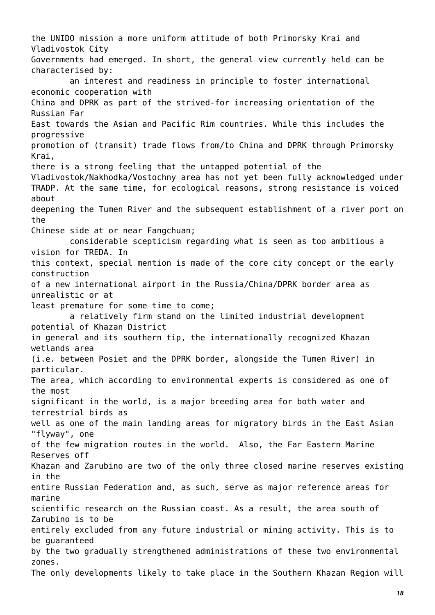the UNIDO mission a more uniform attitude of both Primorsky Krai and Vladivostok City Governments had emerged. In short, the general view currently held can be characterised by: an interest and readiness in principle to foster international economic cooperation with China and DPRK as part of the strived-for increasing orientation of the Russian Far East towards the Asian and Pacific Rim countries. While this includes the progressive promotion of (transit) trade flows from/to China and DPRK through Primorsky Krai, there is a strong feeling that the untapped potential of the Vladivostok/Nakhodka/Vostochny area has not yet been fully acknowledged under TRADP. At the same time, for ecological reasons, strong resistance is voiced about deepening the Tumen River and the subsequent establishment of a river port on the Chinese side at or near Fangchuan; considerable scepticism regarding what is seen as too ambitious a vision for TREDA. In this context, special mention is made of the core city concept or the early construction of a new international airport in the Russia/China/DPRK border area as unrealistic or at least premature for some time to come; a relatively firm stand on the limited industrial development potential of Khazan District in general and its southern tip, the internationally recognized Khazan wetlands area (i.e. between Posiet and the DPRK border, alongside the Tumen River) in particular. The area, which according to environmental experts is considered as one of the most significant in the world, is a major breeding area for both water and terrestrial birds as well as one of the main landing areas for migratory birds in the East Asian "flyway", one of the few migration routes in the world. Also, the Far Eastern Marine Reserves off Khazan and Zarubino are two of the only three closed marine reserves existing in the entire Russian Federation and, as such, serve as major reference areas for marine scientific research on the Russian coast. As a result, the area south of Zarubino is to be entirely excluded from any future industrial or mining activity. This is to be guaranteed by the two gradually strengthened administrations of these two environmental zones. The only developments likely to take place in the Southern Khazan Region will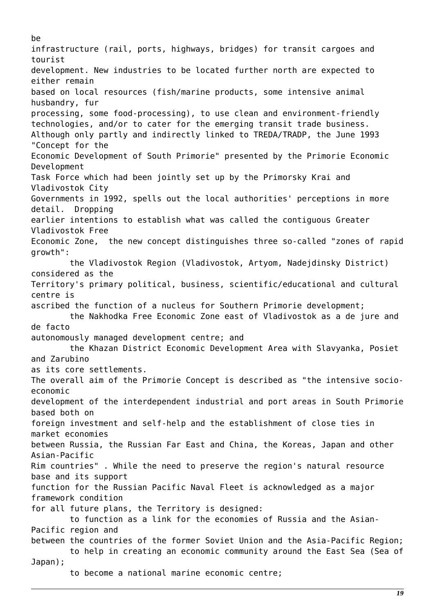be infrastructure (rail, ports, highways, bridges) for transit cargoes and tourist development. New industries to be located further north are expected to either remain based on local resources (fish/marine products, some intensive animal husbandry, fur processing, some food-processing), to use clean and environment-friendly technologies, and/or to cater for the emerging transit trade business. Although only partly and indirectly linked to TREDA/TRADP, the June 1993 "Concept for the Economic Development of South Primorie" presented by the Primorie Economic Development Task Force which had been jointly set up by the Primorsky Krai and Vladivostok City Governments in 1992, spells out the local authorities' perceptions in more detail. Dropping earlier intentions to establish what was called the contiguous Greater Vladivostok Free Economic Zone, the new concept distinguishes three so-called "zones of rapid growth": the Vladivostok Region (Vladivostok, Artyom, Nadejdinsky District) considered as the Territory's primary political, business, scientific/educational and cultural centre is ascribed the function of a nucleus for Southern Primorie development; the Nakhodka Free Economic Zone east of Vladivostok as a de jure and de facto autonomously managed development centre; and the Khazan District Economic Development Area with Slavyanka, Posiet and Zarubino as its core settlements. The overall aim of the Primorie Concept is described as "the intensive socioeconomic development of the interdependent industrial and port areas in South Primorie based both on foreign investment and self-help and the establishment of close ties in market economies between Russia, the Russian Far East and China, the Koreas, Japan and other Asian-Pacific Rim countries" . While the need to preserve the region's natural resource base and its support function for the Russian Pacific Naval Fleet is acknowledged as a major framework condition for all future plans, the Territory is designed: to function as a link for the economies of Russia and the Asian-Pacific region and between the countries of the former Soviet Union and the Asia-Pacific Region; to help in creating an economic community around the East Sea (Sea of Japan); to become a national marine economic centre;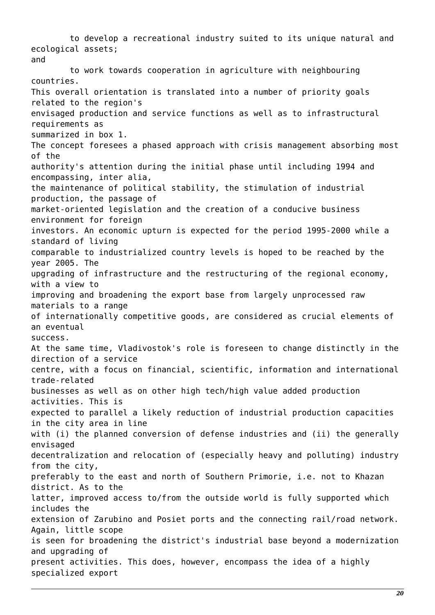to develop a recreational industry suited to its unique natural and ecological assets; and to work towards cooperation in agriculture with neighbouring countries. This overall orientation is translated into a number of priority goals related to the region's envisaged production and service functions as well as to infrastructural requirements as summarized in box 1. The concept foresees a phased approach with crisis management absorbing most of the authority's attention during the initial phase until including 1994 and encompassing, inter alia, the maintenance of political stability, the stimulation of industrial production, the passage of market-oriented legislation and the creation of a conducive business environment for foreign investors. An economic upturn is expected for the period 1995-2000 while a standard of living comparable to industrialized country levels is hoped to be reached by the year 2005. The upgrading of infrastructure and the restructuring of the regional economy, with a view to improving and broadening the export base from largely unprocessed raw materials to a range of internationally competitive goods, are considered as crucial elements of an eventual success. At the same time, Vladivostok's role is foreseen to change distinctly in the direction of a service centre, with a focus on financial, scientific, information and international trade-related businesses as well as on other high tech/high value added production activities. This is expected to parallel a likely reduction of industrial production capacities in the city area in line with (i) the planned conversion of defense industries and (ii) the generally envisaged decentralization and relocation of (especially heavy and polluting) industry from the city, preferably to the east and north of Southern Primorie, i.e. not to Khazan district. As to the latter, improved access to/from the outside world is fully supported which includes the extension of Zarubino and Posiet ports and the connecting rail/road network. Again, little scope is seen for broadening the district's industrial base beyond a modernization and upgrading of present activities. This does, however, encompass the idea of a highly specialized export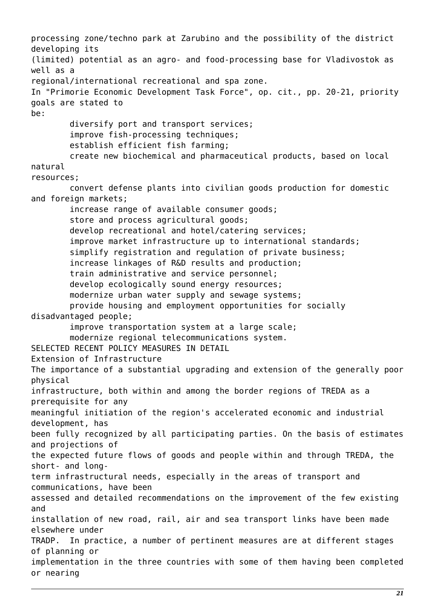processing zone/techno park at Zarubino and the possibility of the district developing its (limited) potential as an agro- and food-processing base for Vladivostok as well as a regional/international recreational and spa zone. In "Primorie Economic Development Task Force", op. cit., pp. 20-21, priority goals are stated to be: diversify port and transport services; improve fish-processing techniques; establish efficient fish farming; create new biochemical and pharmaceutical products, based on local natural resources; convert defense plants into civilian goods production for domestic and foreign markets; increase range of available consumer goods; store and process agricultural goods; develop recreational and hotel/catering services; improve market infrastructure up to international standards; simplify registration and regulation of private business; increase linkages of R&D results and production; train administrative and service personnel; develop ecologically sound energy resources; modernize urban water supply and sewage systems; provide housing and employment opportunities for socially disadvantaged people; improve transportation system at a large scale; modernize regional telecommunications system. SELECTED RECENT POLICY MEASURES IN DETAIL Extension of Infrastructure The importance of a substantial upgrading and extension of the generally poor physical infrastructure, both within and among the border regions of TREDA as a prerequisite for any meaningful initiation of the region's accelerated economic and industrial development, has been fully recognized by all participating parties. On the basis of estimates and projections of the expected future flows of goods and people within and through TREDA, the short- and longterm infrastructural needs, especially in the areas of transport and communications, have been assessed and detailed recommendations on the improvement of the few existing and installation of new road, rail, air and sea transport links have been made elsewhere under TRADP. In practice, a number of pertinent measures are at different stages of planning or implementation in the three countries with some of them having been completed or nearing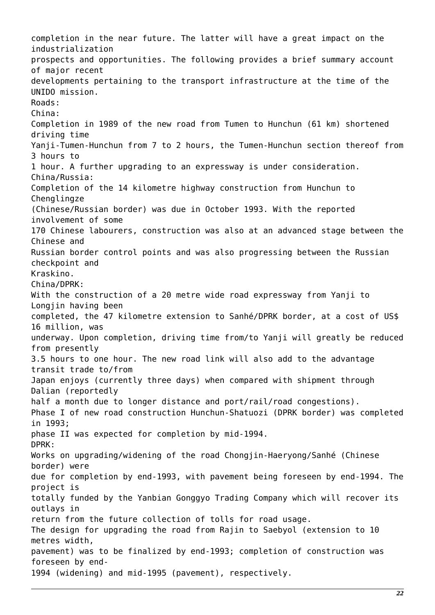completion in the near future. The latter will have a great impact on the industrialization prospects and opportunities. The following provides a brief summary account of major recent developments pertaining to the transport infrastructure at the time of the UNIDO mission. Roads: China: Completion in 1989 of the new road from Tumen to Hunchun (61 km) shortened driving time Yanji-Tumen-Hunchun from 7 to 2 hours, the Tumen-Hunchun section thereof from 3 hours to 1 hour. A further upgrading to an expressway is under consideration. China/Russia: Completion of the 14 kilometre highway construction from Hunchun to Chenglingze (Chinese/Russian border) was due in October 1993. With the reported involvement of some 170 Chinese labourers, construction was also at an advanced stage between the Chinese and Russian border control points and was also progressing between the Russian checkpoint and Kraskino. China/DPRK: With the construction of a 20 metre wide road expressway from Yanji to Longjin having been completed, the 47 kilometre extension to Sanhé/DPRK border, at a cost of US\$ 16 million, was underway. Upon completion, driving time from/to Yanji will greatly be reduced from presently 3.5 hours to one hour. The new road link will also add to the advantage transit trade to/from Japan enjoys (currently three days) when compared with shipment through Dalian (reportedly half a month due to longer distance and port/rail/road congestions). Phase I of new road construction Hunchun-Shatuozi (DPRK border) was completed in 1993; phase II was expected for completion by mid-1994. DPRK: Works on upgrading/widening of the road Chongjin-Haeryong/Sanhé (Chinese border) were due for completion by end-1993, with pavement being foreseen by end-1994. The project is totally funded by the Yanbian Gonggyo Trading Company which will recover its outlays in return from the future collection of tolls for road usage. The design for upgrading the road from Rajin to Saebyol (extension to 10 metres width, pavement) was to be finalized by end-1993; completion of construction was foreseen by end-1994 (widening) and mid-1995 (pavement), respectively.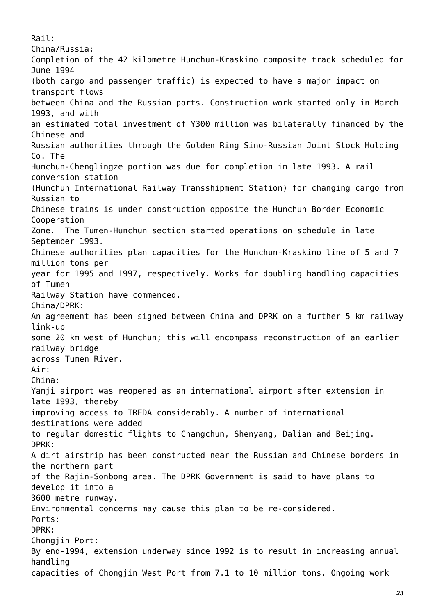Rail: China/Russia: Completion of the 42 kilometre Hunchun-Kraskino composite track scheduled for June 1994 (both cargo and passenger traffic) is expected to have a major impact on transport flows between China and the Russian ports. Construction work started only in March 1993, and with an estimated total investment of Y300 million was bilaterally financed by the Chinese and Russian authorities through the Golden Ring Sino-Russian Joint Stock Holding Co. The Hunchun-Chenglingze portion was due for completion in late 1993. A rail conversion station (Hunchun International Railway Transshipment Station) for changing cargo from Russian to Chinese trains is under construction opposite the Hunchun Border Economic Cooperation Zone. The Tumen-Hunchun section started operations on schedule in late September 1993. Chinese authorities plan capacities for the Hunchun-Kraskino line of 5 and 7 million tons per year for 1995 and 1997, respectively. Works for doubling handling capacities of Tumen Railway Station have commenced. China/DPRK: An agreement has been signed between China and DPRK on a further 5 km railway link-up some 20 km west of Hunchun; this will encompass reconstruction of an earlier railway bridge across Tumen River. Air: China: Yanji airport was reopened as an international airport after extension in late 1993, thereby improving access to TREDA considerably. A number of international destinations were added to regular domestic flights to Changchun, Shenyang, Dalian and Beijing. DPRK: A dirt airstrip has been constructed near the Russian and Chinese borders in the northern part of the Rajin-Sonbong area. The DPRK Government is said to have plans to develop it into a 3600 metre runway. Environmental concerns may cause this plan to be re-considered. Ports: DPRK: Chongjin Port: By end-1994, extension underway since 1992 is to result in increasing annual handling capacities of Chongjin West Port from 7.1 to 10 million tons. Ongoing work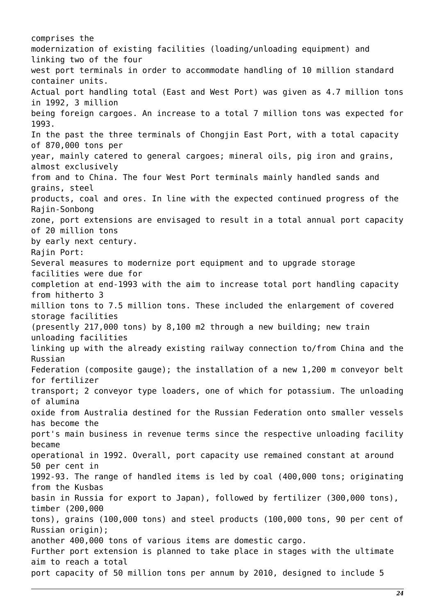comprises the modernization of existing facilities (loading/unloading equipment) and linking two of the four west port terminals in order to accommodate handling of 10 million standard container units. Actual port handling total (East and West Port) was given as 4.7 million tons in 1992, 3 million being foreign cargoes. An increase to a total 7 million tons was expected for 1993. In the past the three terminals of Chongjin East Port, with a total capacity of 870,000 tons per year, mainly catered to general cargoes; mineral oils, pig iron and grains, almost exclusively from and to China. The four West Port terminals mainly handled sands and grains, steel products, coal and ores. In line with the expected continued progress of the Rajin-Sonbong zone, port extensions are envisaged to result in a total annual port capacity of 20 million tons by early next century. Rajin Port: Several measures to modernize port equipment and to upgrade storage facilities were due for completion at end-1993 with the aim to increase total port handling capacity from hitherto 3 million tons to 7.5 million tons. These included the enlargement of covered storage facilities (presently 217,000 tons) by 8,100 m2 through a new building; new train unloading facilities linking up with the already existing railway connection to/from China and the Russian Federation (composite gauge); the installation of a new 1,200 m conveyor belt for fertilizer transport; 2 conveyor type loaders, one of which for potassium. The unloading of alumina oxide from Australia destined for the Russian Federation onto smaller vessels has become the port's main business in revenue terms since the respective unloading facility became operational in 1992. Overall, port capacity use remained constant at around 50 per cent in 1992-93. The range of handled items is led by coal (400,000 tons; originating from the Kusbas basin in Russia for export to Japan), followed by fertilizer (300,000 tons), timber (200,000 tons), grains (100,000 tons) and steel products (100,000 tons, 90 per cent of Russian origin); another 400,000 tons of various items are domestic cargo. Further port extension is planned to take place in stages with the ultimate aim to reach a total port capacity of 50 million tons per annum by 2010, designed to include 5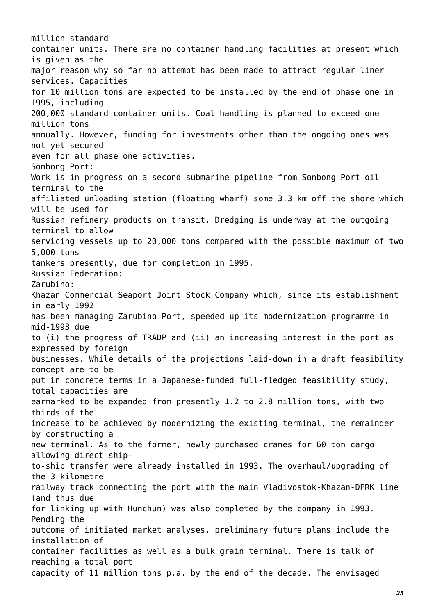million standard container units. There are no container handling facilities at present which is given as the major reason why so far no attempt has been made to attract regular liner services. Capacities for 10 million tons are expected to be installed by the end of phase one in 1995, including 200,000 standard container units. Coal handling is planned to exceed one million tons annually. However, funding for investments other than the ongoing ones was not yet secured even for all phase one activities. Sonbong Port: Work is in progress on a second submarine pipeline from Sonbong Port oil terminal to the affiliated unloading station (floating wharf) some 3.3 km off the shore which will be used for Russian refinery products on transit. Dredging is underway at the outgoing terminal to allow servicing vessels up to 20,000 tons compared with the possible maximum of two 5,000 tons tankers presently, due for completion in 1995. Russian Federation: Zarubino: Khazan Commercial Seaport Joint Stock Company which, since its establishment in early 1992 has been managing Zarubino Port, speeded up its modernization programme in mid-1993 due to (i) the progress of TRADP and (ii) an increasing interest in the port as expressed by foreign businesses. While details of the projections laid-down in a draft feasibility concept are to be put in concrete terms in a Japanese-funded full-fledged feasibility study, total capacities are earmarked to be expanded from presently 1.2 to 2.8 million tons, with two thirds of the increase to be achieved by modernizing the existing terminal, the remainder by constructing a new terminal. As to the former, newly purchased cranes for 60 ton cargo allowing direct shipto-ship transfer were already installed in 1993. The overhaul/upgrading of the 3 kilometre railway track connecting the port with the main Vladivostok-Khazan-DPRK line (and thus due for linking up with Hunchun) was also completed by the company in 1993. Pending the outcome of initiated market analyses, preliminary future plans include the installation of container facilities as well as a bulk grain terminal. There is talk of reaching a total port capacity of 11 million tons p.a. by the end of the decade. The envisaged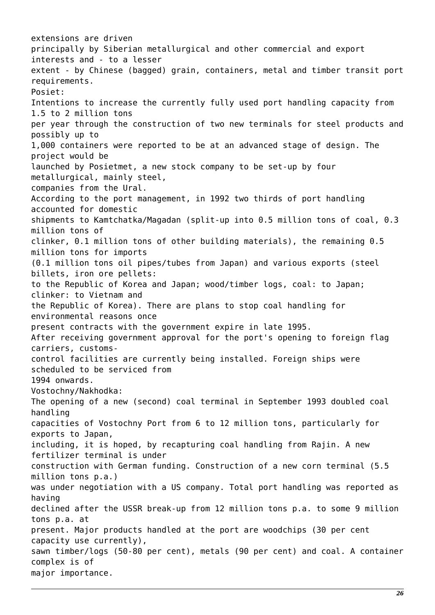extensions are driven principally by Siberian metallurgical and other commercial and export interests and - to a lesser extent - by Chinese (bagged) grain, containers, metal and timber transit port requirements. Posiet: Intentions to increase the currently fully used port handling capacity from 1.5 to 2 million tons per year through the construction of two new terminals for steel products and possibly up to 1,000 containers were reported to be at an advanced stage of design. The project would be launched by Posietmet, a new stock company to be set-up by four metallurgical, mainly steel, companies from the Ural. According to the port management, in 1992 two thirds of port handling accounted for domestic shipments to Kamtchatka/Magadan (split-up into 0.5 million tons of coal, 0.3 million tons of clinker, 0.1 million tons of other building materials), the remaining 0.5 million tons for imports (0.1 million tons oil pipes/tubes from Japan) and various exports (steel billets, iron ore pellets: to the Republic of Korea and Japan; wood/timber logs, coal: to Japan; clinker: to Vietnam and the Republic of Korea). There are plans to stop coal handling for environmental reasons once present contracts with the government expire in late 1995. After receiving government approval for the port's opening to foreign flag carriers, customscontrol facilities are currently being installed. Foreign ships were scheduled to be serviced from 1994 onwards. Vostochny/Nakhodka: The opening of a new (second) coal terminal in September 1993 doubled coal handling capacities of Vostochny Port from 6 to 12 million tons, particularly for exports to Japan, including, it is hoped, by recapturing coal handling from Rajin. A new fertilizer terminal is under construction with German funding. Construction of a new corn terminal (5.5 million tons p.a.) was under negotiation with a US company. Total port handling was reported as having declined after the USSR break-up from 12 million tons p.a. to some 9 million tons p.a. at present. Major products handled at the port are woodchips (30 per cent capacity use currently), sawn timber/logs (50-80 per cent), metals (90 per cent) and coal. A container complex is of major importance.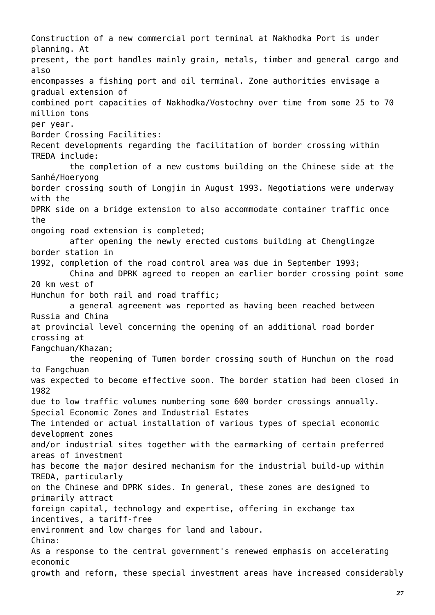Construction of a new commercial port terminal at Nakhodka Port is under planning. At present, the port handles mainly grain, metals, timber and general cargo and also encompasses a fishing port and oil terminal. Zone authorities envisage a gradual extension of combined port capacities of Nakhodka/Vostochny over time from some 25 to 70 million tons per year. Border Crossing Facilities: Recent developments regarding the facilitation of border crossing within TREDA include: the completion of a new customs building on the Chinese side at the Sanhé/Hoeryong border crossing south of Longjin in August 1993. Negotiations were underway with the DPRK side on a bridge extension to also accommodate container traffic once the ongoing road extension is completed; after opening the newly erected customs building at Chenglingze border station in 1992, completion of the road control area was due in September 1993; China and DPRK agreed to reopen an earlier border crossing point some 20 km west of Hunchun for both rail and road traffic; a general agreement was reported as having been reached between Russia and China at provincial level concerning the opening of an additional road border crossing at Fangchuan/Khazan; the reopening of Tumen border crossing south of Hunchun on the road to Fangchuan was expected to become effective soon. The border station had been closed in 1982 due to low traffic volumes numbering some 600 border crossings annually. Special Economic Zones and Industrial Estates The intended or actual installation of various types of special economic development zones and/or industrial sites together with the earmarking of certain preferred areas of investment has become the major desired mechanism for the industrial build-up within TREDA, particularly on the Chinese and DPRK sides. In general, these zones are designed to primarily attract foreign capital, technology and expertise, offering in exchange tax incentives, a tariff-free environment and low charges for land and labour. China: As a response to the central government's renewed emphasis on accelerating economic growth and reform, these special investment areas have increased considerably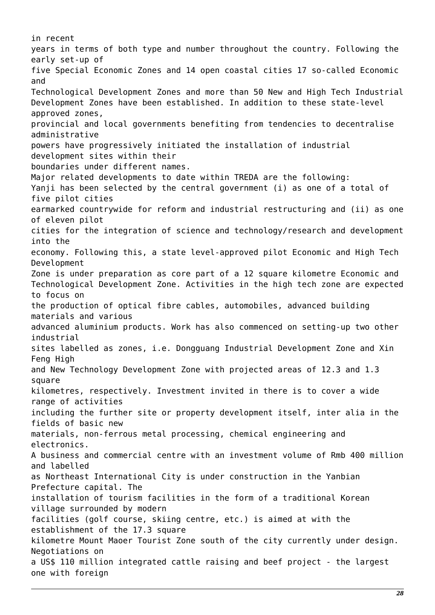in recent years in terms of both type and number throughout the country. Following the early set-up of five Special Economic Zones and 14 open coastal cities 17 so-called Economic and Technological Development Zones and more than 50 New and High Tech Industrial Development Zones have been established. In addition to these state-level approved zones, provincial and local governments benefiting from tendencies to decentralise administrative powers have progressively initiated the installation of industrial development sites within their boundaries under different names. Major related developments to date within TREDA are the following: Yanji has been selected by the central government (i) as one of a total of five pilot cities earmarked countrywide for reform and industrial restructuring and (ii) as one of eleven pilot cities for the integration of science and technology/research and development into the economy. Following this, a state level-approved pilot Economic and High Tech Development Zone is under preparation as core part of a 12 square kilometre Economic and Technological Development Zone. Activities in the high tech zone are expected to focus on the production of optical fibre cables, automobiles, advanced building materials and various advanced aluminium products. Work has also commenced on setting-up two other industrial sites labelled as zones, i.e. Dongguang Industrial Development Zone and Xin Feng High and New Technology Development Zone with projected areas of 12.3 and 1.3 square kilometres, respectively. Investment invited in there is to cover a wide range of activities including the further site or property development itself, inter alia in the fields of basic new materials, non-ferrous metal processing, chemical engineering and electronics. A business and commercial centre with an investment volume of Rmb 400 million and labelled as Northeast International City is under construction in the Yanbian Prefecture capital. The installation of tourism facilities in the form of a traditional Korean village surrounded by modern facilities (golf course, skiing centre, etc.) is aimed at with the establishment of the 17.3 square kilometre Mount Maoer Tourist Zone south of the city currently under design. Negotiations on a US\$ 110 million integrated cattle raising and beef project - the largest one with foreign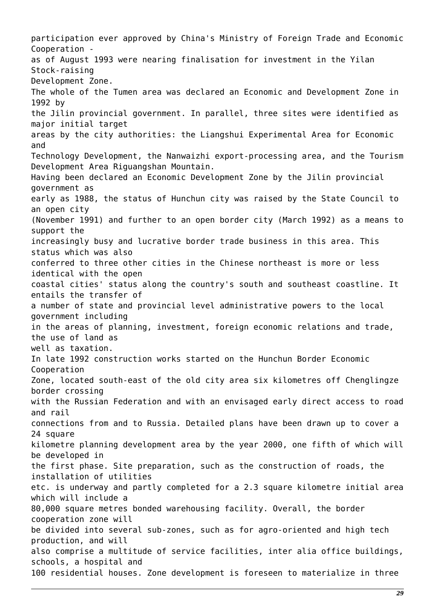participation ever approved by China's Ministry of Foreign Trade and Economic Cooperation as of August 1993 were nearing finalisation for investment in the Yilan Stock-raising Development Zone. The whole of the Tumen area was declared an Economic and Development Zone in 1992 by the Jilin provincial government. In parallel, three sites were identified as major initial target areas by the city authorities: the Liangshui Experimental Area for Economic and Technology Development, the Nanwaizhi export-processing area, and the Tourism Development Area Riguangshan Mountain. Having been declared an Economic Development Zone by the Jilin provincial government as early as 1988, the status of Hunchun city was raised by the State Council to an open city (November 1991) and further to an open border city (March 1992) as a means to support the increasingly busy and lucrative border trade business in this area. This status which was also conferred to three other cities in the Chinese northeast is more or less identical with the open coastal cities' status along the country's south and southeast coastline. It entails the transfer of a number of state and provincial level administrative powers to the local government including in the areas of planning, investment, foreign economic relations and trade, the use of land as well as taxation. In late 1992 construction works started on the Hunchun Border Economic Cooperation Zone, located south-east of the old city area six kilometres off Chenglingze border crossing with the Russian Federation and with an envisaged early direct access to road and rail connections from and to Russia. Detailed plans have been drawn up to cover a 24 square kilometre planning development area by the year 2000, one fifth of which will be developed in the first phase. Site preparation, such as the construction of roads, the installation of utilities etc. is underway and partly completed for a 2.3 square kilometre initial area which will include a 80,000 square metres bonded warehousing facility. Overall, the border cooperation zone will be divided into several sub-zones, such as for agro-oriented and high tech production, and will also comprise a multitude of service facilities, inter alia office buildings, schools, a hospital and 100 residential houses. Zone development is foreseen to materialize in three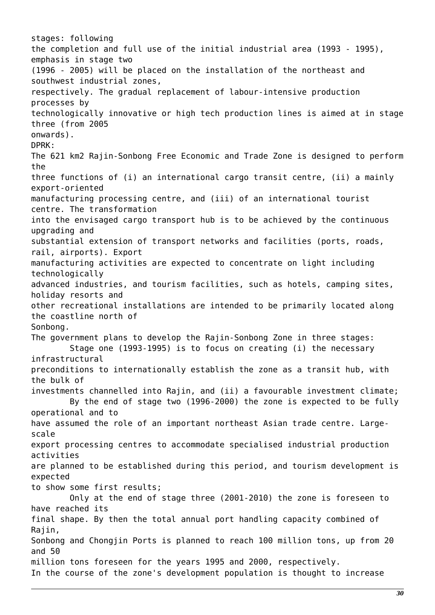stages: following the completion and full use of the initial industrial area (1993 - 1995), emphasis in stage two (1996 - 2005) will be placed on the installation of the northeast and southwest industrial zones, respectively. The gradual replacement of labour-intensive production processes by technologically innovative or high tech production lines is aimed at in stage three (from 2005 onwards). DPRK: The 621 km2 Rajin-Sonbong Free Economic and Trade Zone is designed to perform the three functions of (i) an international cargo transit centre, (ii) a mainly export-oriented manufacturing processing centre, and (iii) of an international tourist centre. The transformation into the envisaged cargo transport hub is to be achieved by the continuous upgrading and substantial extension of transport networks and facilities (ports, roads, rail, airports). Export manufacturing activities are expected to concentrate on light including technologically advanced industries, and tourism facilities, such as hotels, camping sites, holiday resorts and other recreational installations are intended to be primarily located along the coastline north of Sonbong. The government plans to develop the Rajin-Sonbong Zone in three stages: Stage one (1993-1995) is to focus on creating (i) the necessary infrastructural preconditions to internationally establish the zone as a transit hub, with the bulk of investments channelled into Rajin, and (ii) a favourable investment climate; By the end of stage two (1996-2000) the zone is expected to be fully operational and to have assumed the role of an important northeast Asian trade centre. Largescale export processing centres to accommodate specialised industrial production activities are planned to be established during this period, and tourism development is expected to show some first results; Only at the end of stage three (2001-2010) the zone is foreseen to have reached its final shape. By then the total annual port handling capacity combined of Rajin, Sonbong and Chongjin Ports is planned to reach 100 million tons, up from 20 and 50 million tons foreseen for the years 1995 and 2000, respectively. In the course of the zone's development population is thought to increase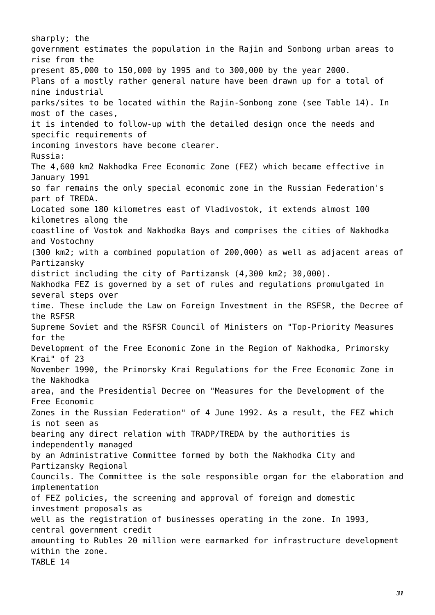sharply; the government estimates the population in the Rajin and Sonbong urban areas to rise from the present 85,000 to 150,000 by 1995 and to 300,000 by the year 2000. Plans of a mostly rather general nature have been drawn up for a total of nine industrial parks/sites to be located within the Rajin-Sonbong zone (see Table 14). In most of the cases, it is intended to follow-up with the detailed design once the needs and specific requirements of incoming investors have become clearer. Russia: The 4,600 km2 Nakhodka Free Economic Zone (FEZ) which became effective in January 1991 so far remains the only special economic zone in the Russian Federation's part of TREDA. Located some 180 kilometres east of Vladivostok, it extends almost 100 kilometres along the coastline of Vostok and Nakhodka Bays and comprises the cities of Nakhodka and Vostochny (300 km2; with a combined population of 200,000) as well as adjacent areas of Partizansky district including the city of Partizansk (4,300 km2; 30,000). Nakhodka FEZ is governed by a set of rules and regulations promulgated in several steps over time. These include the Law on Foreign Investment in the RSFSR, the Decree of the RSFSR Supreme Soviet and the RSFSR Council of Ministers on "Top-Priority Measures for the Development of the Free Economic Zone in the Region of Nakhodka, Primorsky Krai" of 23 November 1990, the Primorsky Krai Regulations for the Free Economic Zone in the Nakhodka area, and the Presidential Decree on "Measures for the Development of the Free Economic Zones in the Russian Federation" of 4 June 1992. As a result, the FEZ which is not seen as bearing any direct relation with TRADP/TREDA by the authorities is independently managed by an Administrative Committee formed by both the Nakhodka City and Partizansky Regional Councils. The Committee is the sole responsible organ for the elaboration and implementation of FEZ policies, the screening and approval of foreign and domestic investment proposals as well as the registration of businesses operating in the zone. In 1993, central government credit amounting to Rubles 20 million were earmarked for infrastructure development within the zone. TABLE 14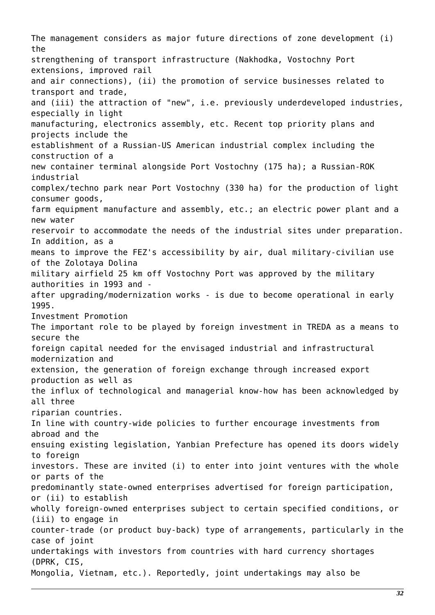The management considers as major future directions of zone development (i) the strengthening of transport infrastructure (Nakhodka, Vostochny Port extensions, improved rail and air connections), (ii) the promotion of service businesses related to transport and trade, and (iii) the attraction of "new", i.e. previously underdeveloped industries, especially in light manufacturing, electronics assembly, etc. Recent top priority plans and projects include the establishment of a Russian-US American industrial complex including the construction of a new container terminal alongside Port Vostochny (175 ha); a Russian-ROK industrial complex/techno park near Port Vostochny (330 ha) for the production of light consumer goods, farm equipment manufacture and assembly, etc.; an electric power plant and a new water reservoir to accommodate the needs of the industrial sites under preparation. In addition, as a means to improve the FEZ's accessibility by air, dual military-civilian use of the Zolotaya Dolina military airfield 25 km off Vostochny Port was approved by the military authorities in 1993 and after upgrading/modernization works - is due to become operational in early 1995. Investment Promotion The important role to be played by foreign investment in TREDA as a means to secure the foreign capital needed for the envisaged industrial and infrastructural modernization and extension, the generation of foreign exchange through increased export production as well as the influx of technological and managerial know-how has been acknowledged by all three riparian countries. In line with country-wide policies to further encourage investments from abroad and the ensuing existing legislation, Yanbian Prefecture has opened its doors widely to foreign investors. These are invited (i) to enter into joint ventures with the whole or parts of the predominantly state-owned enterprises advertised for foreign participation, or (ii) to establish wholly foreign-owned enterprises subject to certain specified conditions, or (iii) to engage in counter-trade (or product buy-back) type of arrangements, particularly in the case of joint undertakings with investors from countries with hard currency shortages (DPRK, CIS, Mongolia, Vietnam, etc.). Reportedly, joint undertakings may also be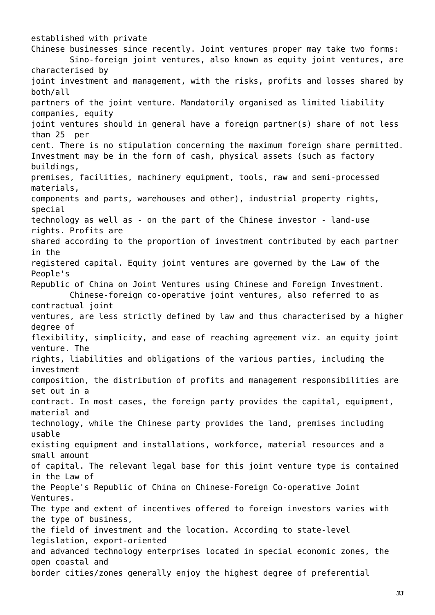established with private Chinese businesses since recently. Joint ventures proper may take two forms: Sino-foreign joint ventures, also known as equity joint ventures, are characterised by joint investment and management, with the risks, profits and losses shared by both/all partners of the joint venture. Mandatorily organised as limited liability companies, equity joint ventures should in general have a foreign partner(s) share of not less than 25 per cent. There is no stipulation concerning the maximum foreign share permitted. Investment may be in the form of cash, physical assets (such as factory buildings, premises, facilities, machinery equipment, tools, raw and semi-processed materials, components and parts, warehouses and other), industrial property rights, special technology as well as - on the part of the Chinese investor - land-use rights. Profits are shared according to the proportion of investment contributed by each partner in the registered capital. Equity joint ventures are governed by the Law of the People's Republic of China on Joint Ventures using Chinese and Foreign Investment. Chinese-foreign co-operative joint ventures, also referred to as contractual joint ventures, are less strictly defined by law and thus characterised by a higher degree of flexibility, simplicity, and ease of reaching agreement viz. an equity joint venture. The rights, liabilities and obligations of the various parties, including the investment composition, the distribution of profits and management responsibilities are set out in a contract. In most cases, the foreign party provides the capital, equipment, material and technology, while the Chinese party provides the land, premises including usable existing equipment and installations, workforce, material resources and a small amount of capital. The relevant legal base for this joint venture type is contained in the Law of the People's Republic of China on Chinese-Foreign Co-operative Joint Ventures. The type and extent of incentives offered to foreign investors varies with the type of business, the field of investment and the location. According to state-level legislation, export-oriented and advanced technology enterprises located in special economic zones, the open coastal and border cities/zones generally enjoy the highest degree of preferential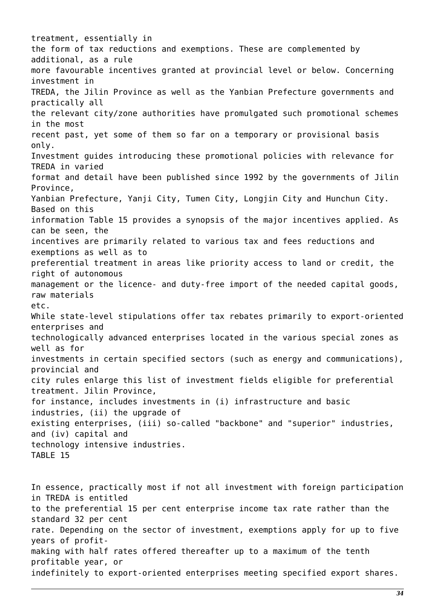treatment, essentially in the form of tax reductions and exemptions. These are complemented by additional, as a rule more favourable incentives granted at provincial level or below. Concerning investment in TREDA, the Jilin Province as well as the Yanbian Prefecture governments and practically all the relevant city/zone authorities have promulgated such promotional schemes in the most recent past, yet some of them so far on a temporary or provisional basis only. Investment guides introducing these promotional policies with relevance for TREDA in varied format and detail have been published since 1992 by the governments of Jilin Province, Yanbian Prefecture, Yanji City, Tumen City, Longjin City and Hunchun City. Based on this information Table 15 provides a synopsis of the major incentives applied. As can be seen, the incentives are primarily related to various tax and fees reductions and exemptions as well as to preferential treatment in areas like priority access to land or credit, the right of autonomous management or the licence- and duty-free import of the needed capital goods, raw materials etc. While state-level stipulations offer tax rebates primarily to export-oriented enterprises and technologically advanced enterprises located in the various special zones as well as for investments in certain specified sectors (such as energy and communications), provincial and city rules enlarge this list of investment fields eligible for preferential treatment. Jilin Province, for instance, includes investments in (i) infrastructure and basic industries, (ii) the upgrade of existing enterprises, (iii) so-called "backbone" and "superior" industries, and (iv) capital and technology intensive industries. TABLE 15 In essence, practically most if not all investment with foreign participation

in TREDA is entitled to the preferential 15 per cent enterprise income tax rate rather than the standard 32 per cent rate. Depending on the sector of investment, exemptions apply for up to five years of profitmaking with half rates offered thereafter up to a maximum of the tenth profitable year, or indefinitely to export-oriented enterprises meeting specified export shares.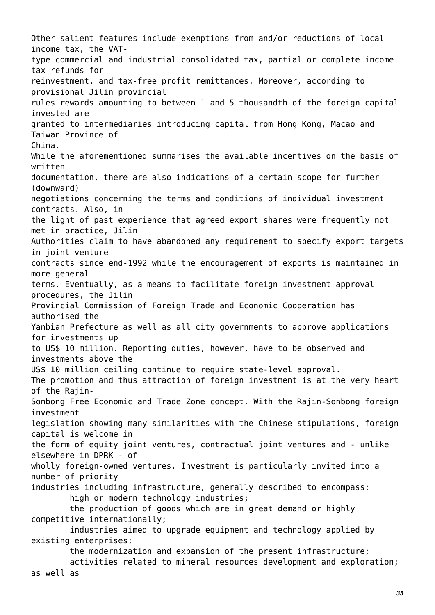Other salient features include exemptions from and/or reductions of local income tax, the VATtype commercial and industrial consolidated tax, partial or complete income tax refunds for reinvestment, and tax-free profit remittances. Moreover, according to provisional Jilin provincial rules rewards amounting to between 1 and 5 thousandth of the foreign capital invested are granted to intermediaries introducing capital from Hong Kong, Macao and Taiwan Province of China. While the aforementioned summarises the available incentives on the basis of written documentation, there are also indications of a certain scope for further (downward) negotiations concerning the terms and conditions of individual investment contracts. Also, in the light of past experience that agreed export shares were frequently not met in practice, Jilin Authorities claim to have abandoned any requirement to specify export targets in joint venture contracts since end-1992 while the encouragement of exports is maintained in more general terms. Eventually, as a means to facilitate foreign investment approval procedures, the Jilin Provincial Commission of Foreign Trade and Economic Cooperation has authorised the Yanbian Prefecture as well as all city governments to approve applications for investments up to US\$ 10 million. Reporting duties, however, have to be observed and investments above the US\$ 10 million ceiling continue to require state-level approval. The promotion and thus attraction of foreign investment is at the very heart of the Rajin-Sonbong Free Economic and Trade Zone concept. With the Rajin-Sonbong foreign investment legislation showing many similarities with the Chinese stipulations, foreign capital is welcome in the form of equity joint ventures, contractual joint ventures and - unlike elsewhere in DPRK - of wholly foreign-owned ventures. Investment is particularly invited into a number of priority industries including infrastructure, generally described to encompass: high or modern technology industries; the production of goods which are in great demand or highly competitive internationally; industries aimed to upgrade equipment and technology applied by existing enterprises; the modernization and expansion of the present infrastructure; activities related to mineral resources development and exploration;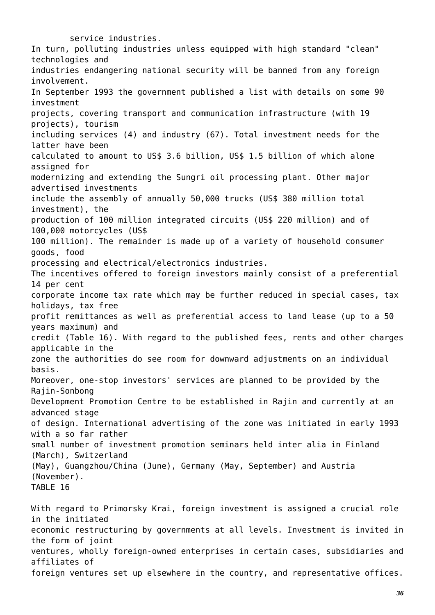service industries. In turn, polluting industries unless equipped with high standard "clean" technologies and industries endangering national security will be banned from any foreign involvement. In September 1993 the government published a list with details on some 90 investment projects, covering transport and communication infrastructure (with 19 projects), tourism including services (4) and industry (67). Total investment needs for the latter have been calculated to amount to US\$ 3.6 billion, US\$ 1.5 billion of which alone assigned for modernizing and extending the Sungri oil processing plant. Other major advertised investments include the assembly of annually 50,000 trucks (US\$ 380 million total investment), the production of 100 million integrated circuits (US\$ 220 million) and of 100,000 motorcycles (US\$ 100 million). The remainder is made up of a variety of household consumer goods, food processing and electrical/electronics industries. The incentives offered to foreign investors mainly consist of a preferential 14 per cent corporate income tax rate which may be further reduced in special cases, tax holidays, tax free profit remittances as well as preferential access to land lease (up to a 50 years maximum) and credit (Table 16). With regard to the published fees, rents and other charges applicable in the zone the authorities do see room for downward adjustments on an individual basis. Moreover, one-stop investors' services are planned to be provided by the Rajin-Sonbong Development Promotion Centre to be established in Rajin and currently at an advanced stage of design. International advertising of the zone was initiated in early 1993 with a so far rather small number of investment promotion seminars held inter alia in Finland (March), Switzerland (May), Guangzhou/China (June), Germany (May, September) and Austria (November). TABLE 16 With regard to Primorsky Krai, foreign investment is assigned a crucial role in the initiated economic restructuring by governments at all levels. Investment is invited in the form of joint ventures, wholly foreign-owned enterprises in certain cases, subsidiaries and affiliates of

foreign ventures set up elsewhere in the country, and representative offices.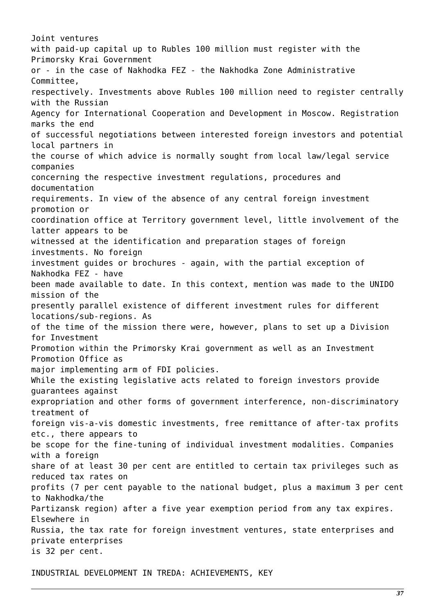Joint ventures with paid-up capital up to Rubles 100 million must register with the Primorsky Krai Government or - in the case of Nakhodka FEZ - the Nakhodka Zone Administrative Committee, respectively. Investments above Rubles 100 million need to register centrally with the Russian Agency for International Cooperation and Development in Moscow. Registration marks the end of successful negotiations between interested foreign investors and potential local partners in the course of which advice is normally sought from local law/legal service companies concerning the respective investment regulations, procedures and documentation requirements. In view of the absence of any central foreign investment promotion or coordination office at Territory government level, little involvement of the latter appears to be witnessed at the identification and preparation stages of foreign investments. No foreign investment guides or brochures - again, with the partial exception of Nakhodka FEZ - have been made available to date. In this context, mention was made to the UNIDO mission of the presently parallel existence of different investment rules for different locations/sub-regions. As of the time of the mission there were, however, plans to set up a Division for Investment Promotion within the Primorsky Krai government as well as an Investment Promotion Office as major implementing arm of FDI policies. While the existing legislative acts related to foreign investors provide guarantees against expropriation and other forms of government interference, non-discriminatory treatment of foreign vis-a-vis domestic investments, free remittance of after-tax profits etc., there appears to be scope for the fine-tuning of individual investment modalities. Companies with a foreign share of at least 30 per cent are entitled to certain tax privileges such as reduced tax rates on profits (7 per cent payable to the national budget, plus a maximum 3 per cent to Nakhodka/the Partizansk region) after a five year exemption period from any tax expires. Elsewhere in Russia, the tax rate for foreign investment ventures, state enterprises and private enterprises is 32 per cent.

INDUSTRIAL DEVELOPMENT IN TREDA: ACHIEVEMENTS, KEY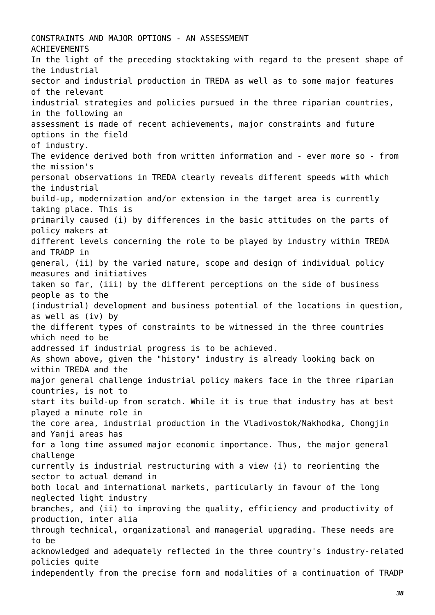CONSTRAINTS AND MAJOR OPTIONS - AN ASSESSMENT ACHIEVEMENTS In the light of the preceding stocktaking with regard to the present shape of the industrial sector and industrial production in TREDA as well as to some major features of the relevant industrial strategies and policies pursued in the three riparian countries, in the following an assessment is made of recent achievements, major constraints and future options in the field of industry. The evidence derived both from written information and - ever more so - from the mission's personal observations in TREDA clearly reveals different speeds with which the industrial build-up, modernization and/or extension in the target area is currently taking place. This is primarily caused (i) by differences in the basic attitudes on the parts of policy makers at different levels concerning the role to be played by industry within TREDA and TRADP in general, (ii) by the varied nature, scope and design of individual policy measures and initiatives taken so far, (iii) by the different perceptions on the side of business people as to the (industrial) development and business potential of the locations in question, as well as (iv) by the different types of constraints to be witnessed in the three countries which need to be addressed if industrial progress is to be achieved. As shown above, given the "history" industry is already looking back on within TREDA and the major general challenge industrial policy makers face in the three riparian countries, is not to start its build-up from scratch. While it is true that industry has at best played a minute role in the core area, industrial production in the Vladivostok/Nakhodka, Chongjin and Yanji areas has for a long time assumed major economic importance. Thus, the major general challenge currently is industrial restructuring with a view (i) to reorienting the sector to actual demand in both local and international markets, particularly in favour of the long neglected light industry branches, and (ii) to improving the quality, efficiency and productivity of production, inter alia through technical, organizational and managerial upgrading. These needs are to be acknowledged and adequately reflected in the three country's industry-related policies quite independently from the precise form and modalities of a continuation of TRADP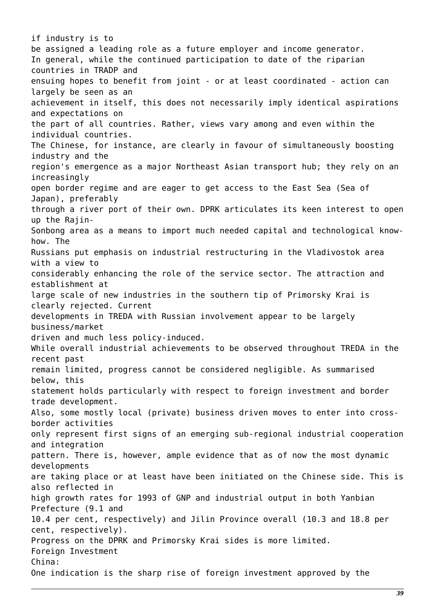if industry is to be assigned a leading role as a future employer and income generator. In general, while the continued participation to date of the riparian countries in TRADP and ensuing hopes to benefit from joint - or at least coordinated - action can largely be seen as an achievement in itself, this does not necessarily imply identical aspirations and expectations on the part of all countries. Rather, views vary among and even within the individual countries. The Chinese, for instance, are clearly in favour of simultaneously boosting industry and the region's emergence as a major Northeast Asian transport hub; they rely on an increasingly open border regime and are eager to get access to the East Sea (Sea of Japan), preferably through a river port of their own. DPRK articulates its keen interest to open up the Rajin-Sonbong area as a means to import much needed capital and technological knowhow. The Russians put emphasis on industrial restructuring in the Vladivostok area with a view to considerably enhancing the role of the service sector. The attraction and establishment at large scale of new industries in the southern tip of Primorsky Krai is clearly rejected. Current developments in TREDA with Russian involvement appear to be largely business/market driven and much less policy-induced. While overall industrial achievements to be observed throughout TREDA in the recent past remain limited, progress cannot be considered negligible. As summarised below, this statement holds particularly with respect to foreign investment and border trade development. Also, some mostly local (private) business driven moves to enter into crossborder activities only represent first signs of an emerging sub-regional industrial cooperation and integration pattern. There is, however, ample evidence that as of now the most dynamic developments are taking place or at least have been initiated on the Chinese side. This is also reflected in high growth rates for 1993 of GNP and industrial output in both Yanbian Prefecture (9.1 and 10.4 per cent, respectively) and Jilin Province overall (10.3 and 18.8 per cent, respectively). Progress on the DPRK and Primorsky Krai sides is more limited. Foreign Investment China: One indication is the sharp rise of foreign investment approved by the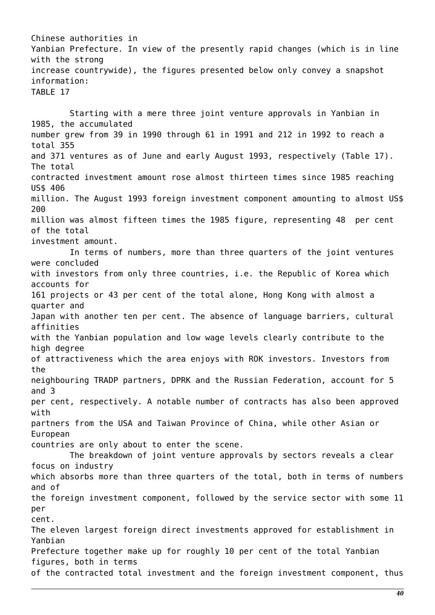Chinese authorities in Yanbian Prefecture. In view of the presently rapid changes (which is in line with the strong increase countrywide), the figures presented below only convey a snapshot information: TABLE 17

 Starting with a mere three joint venture approvals in Yanbian in 1985, the accumulated number grew from 39 in 1990 through 61 in 1991 and 212 in 1992 to reach a total 355 and 371 ventures as of June and early August 1993, respectively (Table 17). The total contracted investment amount rose almost thirteen times since 1985 reaching US\$ 406 million. The August 1993 foreign investment component amounting to almost US\$ 200 million was almost fifteen times the 1985 figure, representing 48 per cent of the total investment amount. In terms of numbers, more than three quarters of the joint ventures were concluded with investors from only three countries, i.e. the Republic of Korea which accounts for 161 projects or 43 per cent of the total alone, Hong Kong with almost a quarter and Japan with another ten per cent. The absence of language barriers, cultural affinities with the Yanbian population and low wage levels clearly contribute to the high degree of attractiveness which the area enjoys with ROK investors. Investors from the neighbouring TRADP partners, DPRK and the Russian Federation, account for 5 and 3 per cent, respectively. A notable number of contracts has also been approved with partners from the USA and Taiwan Province of China, while other Asian or European countries are only about to enter the scene. The breakdown of joint venture approvals by sectors reveals a clear focus on industry which absorbs more than three quarters of the total, both in terms of numbers and of the foreign investment component, followed by the service sector with some 11 per cent. The eleven largest foreign direct investments approved for establishment in Yanbian Prefecture together make up for roughly 10 per cent of the total Yanbian figures, both in terms of the contracted total investment and the foreign investment component, thus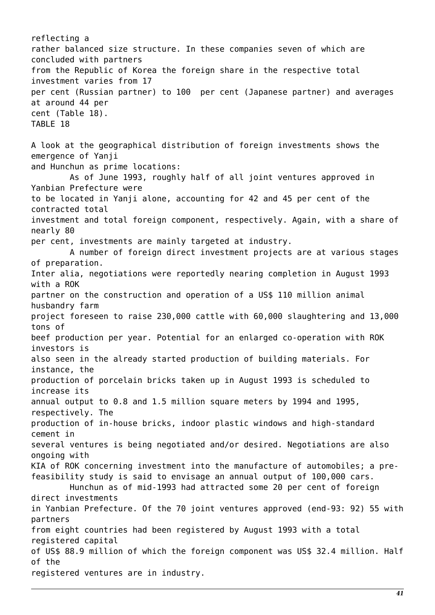reflecting a rather balanced size structure. In these companies seven of which are concluded with partners from the Republic of Korea the foreign share in the respective total investment varies from 17 per cent (Russian partner) to 100 per cent (Japanese partner) and averages at around 44 per cent (Table 18). TABLE 18 A look at the geographical distribution of foreign investments shows the emergence of Yanji and Hunchun as prime locations: As of June 1993, roughly half of all joint ventures approved in Yanbian Prefecture were to be located in Yanji alone, accounting for 42 and 45 per cent of the contracted total investment and total foreign component, respectively. Again, with a share of nearly 80 per cent, investments are mainly targeted at industry. A number of foreign direct investment projects are at various stages of preparation. Inter alia, negotiations were reportedly nearing completion in August 1993 with a ROK partner on the construction and operation of a US\$ 110 million animal husbandry farm project foreseen to raise 230,000 cattle with 60,000 slaughtering and 13,000 tons of beef production per year. Potential for an enlarged co-operation with ROK investors is also seen in the already started production of building materials. For instance, the production of porcelain bricks taken up in August 1993 is scheduled to increase its annual output to 0.8 and 1.5 million square meters by 1994 and 1995, respectively. The production of in-house bricks, indoor plastic windows and high-standard cement in several ventures is being negotiated and/or desired. Negotiations are also ongoing with KIA of ROK concerning investment into the manufacture of automobiles; a prefeasibility study is said to envisage an annual output of 100,000 cars. Hunchun as of mid-1993 had attracted some 20 per cent of foreign direct investments in Yanbian Prefecture. Of the 70 joint ventures approved (end-93: 92) 55 with partners from eight countries had been registered by August 1993 with a total registered capital of US\$ 88.9 million of which the foreign component was US\$ 32.4 million. Half of the registered ventures are in industry.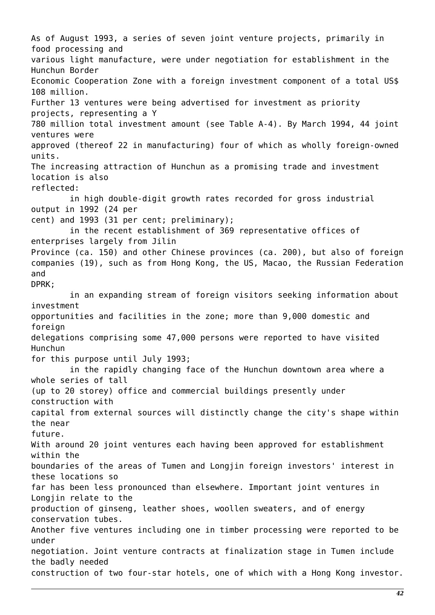As of August 1993, a series of seven joint venture projects, primarily in food processing and various light manufacture, were under negotiation for establishment in the Hunchun Border Economic Cooperation Zone with a foreign investment component of a total US\$ 108 million. Further 13 ventures were being advertised for investment as priority projects, representing a Y 780 million total investment amount (see Table A-4). By March 1994, 44 joint ventures were approved (thereof 22 in manufacturing) four of which as wholly foreign-owned units. The increasing attraction of Hunchun as a promising trade and investment location is also reflected: in high double-digit growth rates recorded for gross industrial output in 1992 (24 per cent) and 1993 (31 per cent; preliminary); in the recent establishment of 369 representative offices of enterprises largely from Jilin Province (ca. 150) and other Chinese provinces (ca. 200), but also of foreign companies (19), such as from Hong Kong, the US, Macao, the Russian Federation and DPRK; in an expanding stream of foreign visitors seeking information about investment opportunities and facilities in the zone; more than 9,000 domestic and foreign delegations comprising some 47,000 persons were reported to have visited Hunchun for this purpose until July 1993; in the rapidly changing face of the Hunchun downtown area where a whole series of tall (up to 20 storey) office and commercial buildings presently under construction with capital from external sources will distinctly change the city's shape within the near future. With around 20 joint ventures each having been approved for establishment within the boundaries of the areas of Tumen and Longjin foreign investors' interest in these locations so far has been less pronounced than elsewhere. Important joint ventures in Longjin relate to the production of ginseng, leather shoes, woollen sweaters, and of energy conservation tubes. Another five ventures including one in timber processing were reported to be under negotiation. Joint venture contracts at finalization stage in Tumen include the badly needed construction of two four-star hotels, one of which with a Hong Kong investor.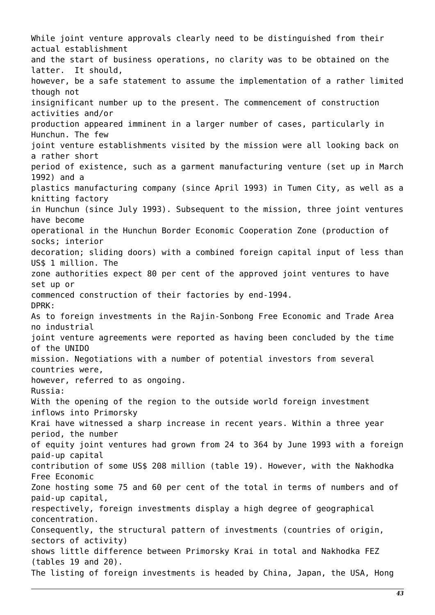While joint venture approvals clearly need to be distinguished from their actual establishment and the start of business operations, no clarity was to be obtained on the latter. It should, however, be a safe statement to assume the implementation of a rather limited though not insignificant number up to the present. The commencement of construction activities and/or production appeared imminent in a larger number of cases, particularly in Hunchun. The few joint venture establishments visited by the mission were all looking back on a rather short period of existence, such as a garment manufacturing venture (set up in March 1992) and a plastics manufacturing company (since April 1993) in Tumen City, as well as a knitting factory in Hunchun (since July 1993). Subsequent to the mission, three joint ventures have become operational in the Hunchun Border Economic Cooperation Zone (production of socks; interior decoration; sliding doors) with a combined foreign capital input of less than US\$ 1 million. The zone authorities expect 80 per cent of the approved joint ventures to have set up or commenced construction of their factories by end-1994. DPRK: As to foreign investments in the Rajin-Sonbong Free Economic and Trade Area no industrial joint venture agreements were reported as having been concluded by the time of the UNIDO mission. Negotiations with a number of potential investors from several countries were, however, referred to as ongoing. Russia: With the opening of the region to the outside world foreign investment inflows into Primorsky Krai have witnessed a sharp increase in recent years. Within a three year period, the number of equity joint ventures had grown from 24 to 364 by June 1993 with a foreign paid-up capital contribution of some US\$ 208 million (table 19). However, with the Nakhodka Free Economic Zone hosting some 75 and 60 per cent of the total in terms of numbers and of paid-up capital, respectively, foreign investments display a high degree of geographical concentration. Consequently, the structural pattern of investments (countries of origin, sectors of activity) shows little difference between Primorsky Krai in total and Nakhodka FEZ (tables 19 and 20). The listing of foreign investments is headed by China, Japan, the USA, Hong

*43*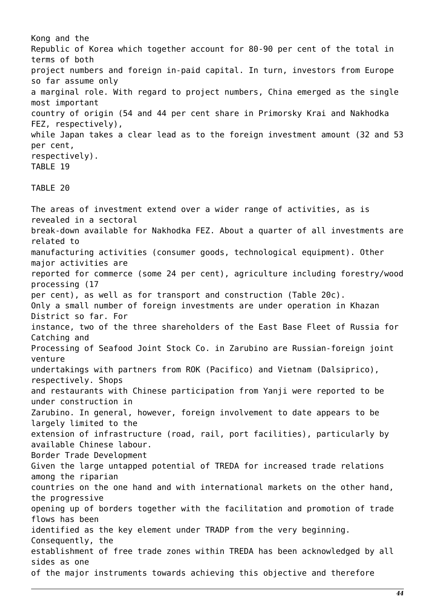Kong and the Republic of Korea which together account for 80-90 per cent of the total in terms of both project numbers and foreign in-paid capital. In turn, investors from Europe so far assume only a marginal role. With regard to project numbers, China emerged as the single most important country of origin (54 and 44 per cent share in Primorsky Krai and Nakhodka FEZ, respectively), while Japan takes a clear lead as to the foreign investment amount (32 and 53 per cent, respectively). TABLE 19

### TABLE 20

The areas of investment extend over a wider range of activities, as is revealed in a sectoral break-down available for Nakhodka FEZ. About a quarter of all investments are related to manufacturing activities (consumer goods, technological equipment). Other major activities are reported for commerce (some 24 per cent), agriculture including forestry/wood processing (17 per cent), as well as for transport and construction (Table 20c). Only a small number of foreign investments are under operation in Khazan District so far. For instance, two of the three shareholders of the East Base Fleet of Russia for Catching and Processing of Seafood Joint Stock Co. in Zarubino are Russian-foreign joint venture undertakings with partners from ROK (Pacifico) and Vietnam (Dalsiprico), respectively. Shops and restaurants with Chinese participation from Yanji were reported to be under construction in Zarubino. In general, however, foreign involvement to date appears to be largely limited to the extension of infrastructure (road, rail, port facilities), particularly by available Chinese labour. Border Trade Development Given the large untapped potential of TREDA for increased trade relations among the riparian countries on the one hand and with international markets on the other hand, the progressive opening up of borders together with the facilitation and promotion of trade flows has been identified as the key element under TRADP from the very beginning. Consequently, the establishment of free trade zones within TREDA has been acknowledged by all sides as one of the major instruments towards achieving this objective and therefore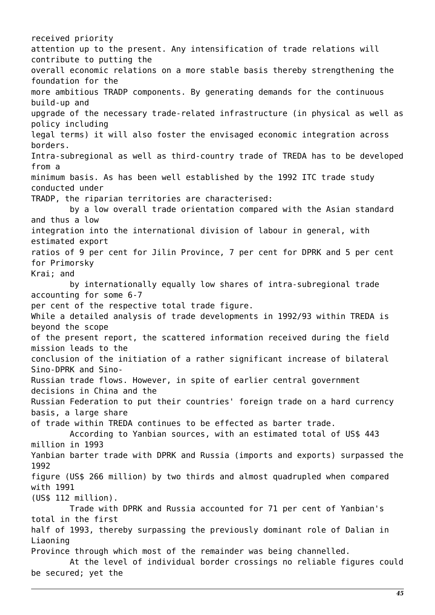received priority attention up to the present. Any intensification of trade relations will contribute to putting the overall economic relations on a more stable basis thereby strengthening the foundation for the more ambitious TRADP components. By generating demands for the continuous build-up and upgrade of the necessary trade-related infrastructure (in physical as well as policy including legal terms) it will also foster the envisaged economic integration across borders. Intra-subregional as well as third-country trade of TREDA has to be developed from a minimum basis. As has been well established by the 1992 ITC trade study conducted under TRADP, the riparian territories are characterised: by a low overall trade orientation compared with the Asian standard and thus a low integration into the international division of labour in general, with estimated export ratios of 9 per cent for Jilin Province, 7 per cent for DPRK and 5 per cent for Primorsky Krai; and by internationally equally low shares of intra-subregional trade accounting for some 6-7 per cent of the respective total trade figure. While a detailed analysis of trade developments in 1992/93 within TREDA is beyond the scope of the present report, the scattered information received during the field mission leads to the conclusion of the initiation of a rather significant increase of bilateral Sino-DPRK and Sino-Russian trade flows. However, in spite of earlier central government decisions in China and the Russian Federation to put their countries' foreign trade on a hard currency basis, a large share of trade within TREDA continues to be effected as barter trade. According to Yanbian sources, with an estimated total of US\$ 443 million in 1993 Yanbian barter trade with DPRK and Russia (imports and exports) surpassed the 1992 figure (US\$ 266 million) by two thirds and almost quadrupled when compared with 1991 (US\$ 112 million). Trade with DPRK and Russia accounted for 71 per cent of Yanbian's total in the first half of 1993, thereby surpassing the previously dominant role of Dalian in Liaoning Province through which most of the remainder was being channelled. At the level of individual border crossings no reliable figures could be secured; yet the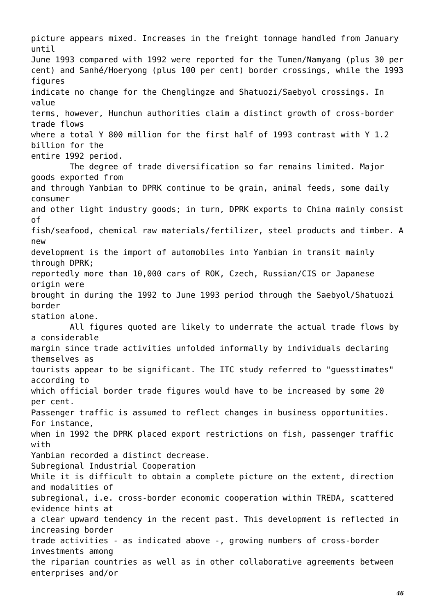picture appears mixed. Increases in the freight tonnage handled from January until June 1993 compared with 1992 were reported for the Tumen/Namyang (plus 30 per cent) and Sanhé/Hoeryong (plus 100 per cent) border crossings, while the 1993 figures indicate no change for the Chenglingze and Shatuozi/Saebyol crossings. In value terms, however, Hunchun authorities claim a distinct growth of cross-border trade flows where a total Y 800 million for the first half of 1993 contrast with Y 1.2 billion for the entire 1992 period. The degree of trade diversification so far remains limited. Major goods exported from and through Yanbian to DPRK continue to be grain, animal feeds, some daily consumer and other light industry goods; in turn, DPRK exports to China mainly consist of fish/seafood, chemical raw materials/fertilizer, steel products and timber. A new development is the import of automobiles into Yanbian in transit mainly through DPRK; reportedly more than 10,000 cars of ROK, Czech, Russian/CIS or Japanese origin were brought in during the 1992 to June 1993 period through the Saebyol/Shatuozi border station alone. All figures quoted are likely to underrate the actual trade flows by a considerable margin since trade activities unfolded informally by individuals declaring themselves as tourists appear to be significant. The ITC study referred to "guesstimates" according to which official border trade figures would have to be increased by some 20 per cent. Passenger traffic is assumed to reflect changes in business opportunities. For instance, when in 1992 the DPRK placed export restrictions on fish, passenger traffic with Yanbian recorded a distinct decrease. Subregional Industrial Cooperation While it is difficult to obtain a complete picture on the extent, direction and modalities of subregional, i.e. cross-border economic cooperation within TREDA, scattered evidence hints at a clear upward tendency in the recent past. This development is reflected in increasing border trade activities - as indicated above -, growing numbers of cross-border investments among the riparian countries as well as in other collaborative agreements between enterprises and/or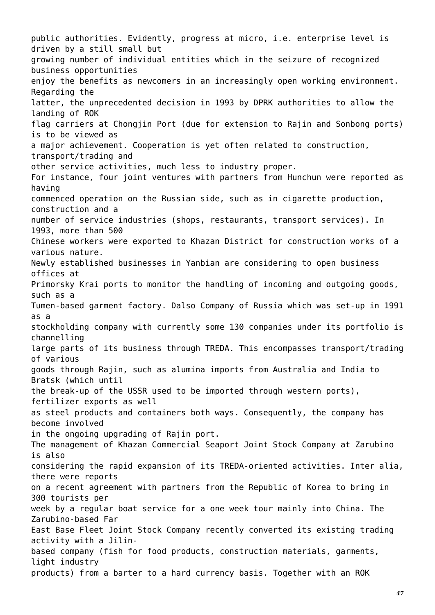public authorities. Evidently, progress at micro, i.e. enterprise level is driven by a still small but growing number of individual entities which in the seizure of recognized business opportunities enjoy the benefits as newcomers in an increasingly open working environment. Regarding the latter, the unprecedented decision in 1993 by DPRK authorities to allow the landing of ROK flag carriers at Chongjin Port (due for extension to Rajin and Sonbong ports) is to be viewed as a major achievement. Cooperation is yet often related to construction, transport/trading and other service activities, much less to industry proper. For instance, four joint ventures with partners from Hunchun were reported as having commenced operation on the Russian side, such as in cigarette production, construction and a number of service industries (shops, restaurants, transport services). In 1993, more than 500 Chinese workers were exported to Khazan District for construction works of a various nature. Newly established businesses in Yanbian are considering to open business offices at Primorsky Krai ports to monitor the handling of incoming and outgoing goods, such as a Tumen-based garment factory. Dalso Company of Russia which was set-up in 1991 as a stockholding company with currently some 130 companies under its portfolio is channelling large parts of its business through TREDA. This encompasses transport/trading of various goods through Rajin, such as alumina imports from Australia and India to Bratsk (which until the break-up of the USSR used to be imported through western ports), fertilizer exports as well as steel products and containers both ways. Consequently, the company has become involved in the ongoing upgrading of Rajin port. The management of Khazan Commercial Seaport Joint Stock Company at Zarubino is also considering the rapid expansion of its TREDA-oriented activities. Inter alia, there were reports on a recent agreement with partners from the Republic of Korea to bring in 300 tourists per week by a regular boat service for a one week tour mainly into China. The Zarubino-based Far East Base Fleet Joint Stock Company recently converted its existing trading activity with a Jilinbased company (fish for food products, construction materials, garments, light industry products) from a barter to a hard currency basis. Together with an ROK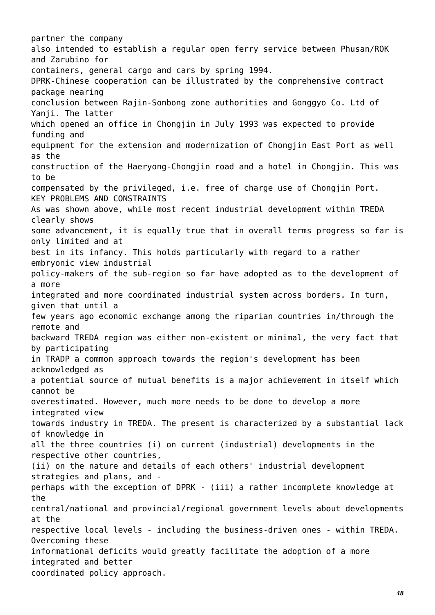partner the company also intended to establish a regular open ferry service between Phusan/ROK and Zarubino for containers, general cargo and cars by spring 1994. DPRK-Chinese cooperation can be illustrated by the comprehensive contract package nearing conclusion between Rajin-Sonbong zone authorities and Gonggyo Co. Ltd of Yanji. The latter which opened an office in Chongjin in July 1993 was expected to provide funding and equipment for the extension and modernization of Chongjin East Port as well as the construction of the Haeryong-Chongjin road and a hotel in Chongjin. This was to be compensated by the privileged, i.e. free of charge use of Chongjin Port. KEY PROBLEMS AND CONSTRAINTS As was shown above, while most recent industrial development within TREDA clearly shows some advancement, it is equally true that in overall terms progress so far is only limited and at best in its infancy. This holds particularly with regard to a rather embryonic view industrial policy-makers of the sub-region so far have adopted as to the development of a more integrated and more coordinated industrial system across borders. In turn, given that until a few years ago economic exchange among the riparian countries in/through the remote and backward TREDA region was either non-existent or minimal, the very fact that by participating in TRADP a common approach towards the region's development has been acknowledged as a potential source of mutual benefits is a major achievement in itself which cannot be overestimated. However, much more needs to be done to develop a more integrated view towards industry in TREDA. The present is characterized by a substantial lack of knowledge in all the three countries (i) on current (industrial) developments in the respective other countries, (ii) on the nature and details of each others' industrial development strategies and plans, and perhaps with the exception of DPRK - (iii) a rather incomplete knowledge at the central/national and provincial/regional government levels about developments at the respective local levels - including the business-driven ones - within TREDA. Overcoming these informational deficits would greatly facilitate the adoption of a more integrated and better coordinated policy approach.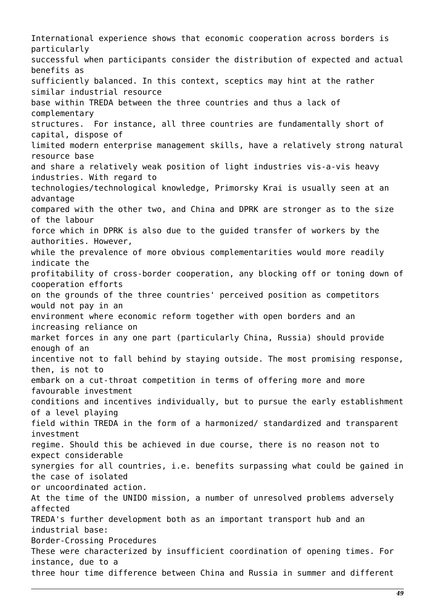International experience shows that economic cooperation across borders is particularly successful when participants consider the distribution of expected and actual benefits as sufficiently balanced. In this context, sceptics may hint at the rather similar industrial resource base within TREDA between the three countries and thus a lack of complementary structures. For instance, all three countries are fundamentally short of capital, dispose of limited modern enterprise management skills, have a relatively strong natural resource base and share a relatively weak position of light industries vis-a-vis heavy industries. With regard to technologies/technological knowledge, Primorsky Krai is usually seen at an advantage compared with the other two, and China and DPRK are stronger as to the size of the labour force which in DPRK is also due to the guided transfer of workers by the authorities. However, while the prevalence of more obvious complementarities would more readily indicate the profitability of cross-border cooperation, any blocking off or toning down of cooperation efforts on the grounds of the three countries' perceived position as competitors would not pay in an environment where economic reform together with open borders and an increasing reliance on market forces in any one part (particularly China, Russia) should provide enough of an incentive not to fall behind by staying outside. The most promising response, then, is not to embark on a cut-throat competition in terms of offering more and more favourable investment conditions and incentives individually, but to pursue the early establishment of a level playing field within TREDA in the form of a harmonized/ standardized and transparent investment regime. Should this be achieved in due course, there is no reason not to expect considerable synergies for all countries, i.e. benefits surpassing what could be gained in the case of isolated or uncoordinated action. At the time of the UNIDO mission, a number of unresolved problems adversely affected TREDA's further development both as an important transport hub and an industrial base: Border-Crossing Procedures These were characterized by insufficient coordination of opening times. For instance, due to a three hour time difference between China and Russia in summer and different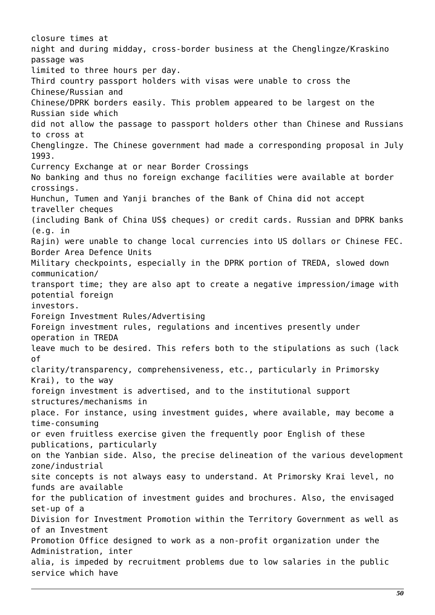closure times at night and during midday, cross-border business at the Chenglingze/Kraskino passage was limited to three hours per day. Third country passport holders with visas were unable to cross the Chinese/Russian and Chinese/DPRK borders easily. This problem appeared to be largest on the Russian side which did not allow the passage to passport holders other than Chinese and Russians to cross at Chenglingze. The Chinese government had made a corresponding proposal in July 1993. Currency Exchange at or near Border Crossings No banking and thus no foreign exchange facilities were available at border crossings. Hunchun, Tumen and Yanji branches of the Bank of China did not accept traveller cheques (including Bank of China US\$ cheques) or credit cards. Russian and DPRK banks (e.g. in Rajin) were unable to change local currencies into US dollars or Chinese FEC. Border Area Defence Units Military checkpoints, especially in the DPRK portion of TREDA, slowed down communication/ transport time; they are also apt to create a negative impression/image with potential foreign investors. Foreign Investment Rules/Advertising Foreign investment rules, regulations and incentives presently under operation in TREDA leave much to be desired. This refers both to the stipulations as such (lack of clarity/transparency, comprehensiveness, etc., particularly in Primorsky Krai), to the way foreign investment is advertised, and to the institutional support structures/mechanisms in place. For instance, using investment guides, where available, may become a time-consuming or even fruitless exercise given the frequently poor English of these publications, particularly on the Yanbian side. Also, the precise delineation of the various development zone/industrial site concepts is not always easy to understand. At Primorsky Krai level, no funds are available for the publication of investment guides and brochures. Also, the envisaged set-up of a Division for Investment Promotion within the Territory Government as well as of an Investment Promotion Office designed to work as a non-profit organization under the Administration, inter alia, is impeded by recruitment problems due to low salaries in the public service which have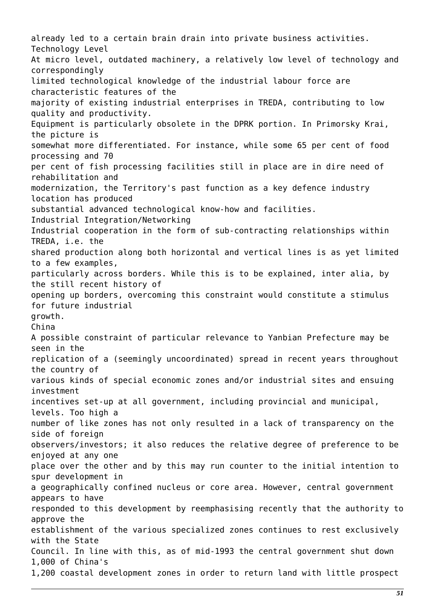already led to a certain brain drain into private business activities. Technology Level At micro level, outdated machinery, a relatively low level of technology and correspondingly limited technological knowledge of the industrial labour force are characteristic features of the majority of existing industrial enterprises in TREDA, contributing to low quality and productivity. Equipment is particularly obsolete in the DPRK portion. In Primorsky Krai, the picture is somewhat more differentiated. For instance, while some 65 per cent of food processing and 70 per cent of fish processing facilities still in place are in dire need of rehabilitation and modernization, the Territory's past function as a key defence industry location has produced substantial advanced technological know-how and facilities. Industrial Integration/Networking Industrial cooperation in the form of sub-contracting relationships within TREDA, i.e. the shared production along both horizontal and vertical lines is as yet limited to a few examples, particularly across borders. While this is to be explained, inter alia, by the still recent history of opening up borders, overcoming this constraint would constitute a stimulus for future industrial growth. China A possible constraint of particular relevance to Yanbian Prefecture may be seen in the replication of a (seemingly uncoordinated) spread in recent years throughout the country of various kinds of special economic zones and/or industrial sites and ensuing investment incentives set-up at all government, including provincial and municipal, levels. Too high a number of like zones has not only resulted in a lack of transparency on the side of foreign observers/investors; it also reduces the relative degree of preference to be enjoyed at any one place over the other and by this may run counter to the initial intention to spur development in a geographically confined nucleus or core area. However, central government appears to have responded to this development by reemphasising recently that the authority to approve the establishment of the various specialized zones continues to rest exclusively with the State Council. In line with this, as of mid-1993 the central government shut down 1,000 of China's 1,200 coastal development zones in order to return land with little prospect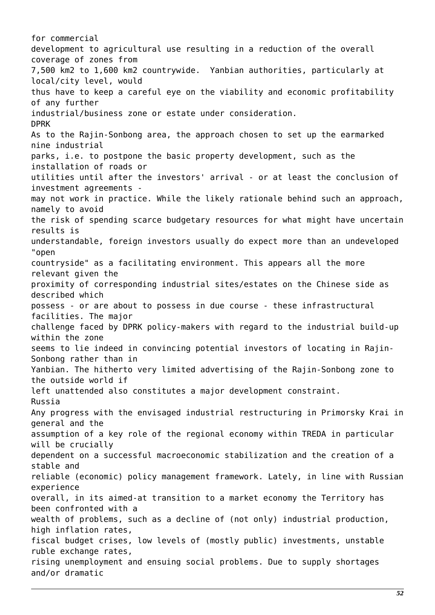for commercial development to agricultural use resulting in a reduction of the overall coverage of zones from 7,500 km2 to 1,600 km2 countrywide. Yanbian authorities, particularly at local/city level, would thus have to keep a careful eye on the viability and economic profitability of any further industrial/business zone or estate under consideration. DPRK As to the Rajin-Sonbong area, the approach chosen to set up the earmarked nine industrial parks, i.e. to postpone the basic property development, such as the installation of roads or utilities until after the investors' arrival - or at least the conclusion of investment agreements may not work in practice. While the likely rationale behind such an approach, namely to avoid the risk of spending scarce budgetary resources for what might have uncertain results is understandable, foreign investors usually do expect more than an undeveloped "open countryside" as a facilitating environment. This appears all the more relevant given the proximity of corresponding industrial sites/estates on the Chinese side as described which possess - or are about to possess in due course - these infrastructural facilities. The major challenge faced by DPRK policy-makers with regard to the industrial build-up within the zone seems to lie indeed in convincing potential investors of locating in Rajin-Sonbong rather than in Yanbian. The hitherto very limited advertising of the Rajin-Sonbong zone to the outside world if left unattended also constitutes a major development constraint. Russia Any progress with the envisaged industrial restructuring in Primorsky Krai in general and the assumption of a key role of the regional economy within TREDA in particular will be crucially dependent on a successful macroeconomic stabilization and the creation of a stable and reliable (economic) policy management framework. Lately, in line with Russian experience overall, in its aimed-at transition to a market economy the Territory has been confronted with a wealth of problems, such as a decline of (not only) industrial production, high inflation rates, fiscal budget crises, low levels of (mostly public) investments, unstable ruble exchange rates, rising unemployment and ensuing social problems. Due to supply shortages and/or dramatic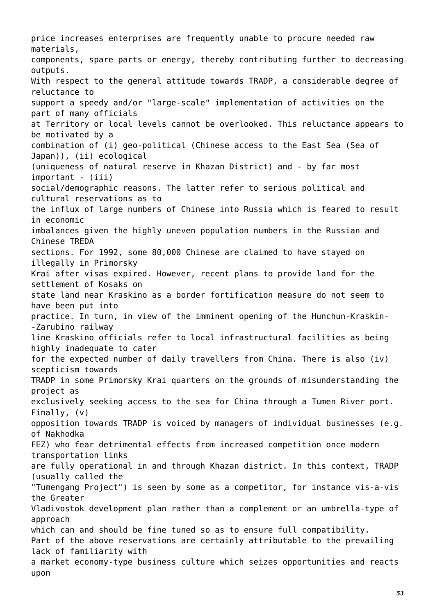price increases enterprises are frequently unable to procure needed raw materials, components, spare parts or energy, thereby contributing further to decreasing outputs. With respect to the general attitude towards TRADP, a considerable degree of reluctance to support a speedy and/or "large-scale" implementation of activities on the part of many officials at Territory or local levels cannot be overlooked. This reluctance appears to be motivated by a combination of (i) geo-political (Chinese access to the East Sea (Sea of Japan)), (ii) ecological (uniqueness of natural reserve in Khazan District) and - by far most important - (iii) social/demographic reasons. The latter refer to serious political and cultural reservations as to the influx of large numbers of Chinese into Russia which is feared to result in economic imbalances given the highly uneven population numbers in the Russian and Chinese TREDA sections. For 1992, some 80,000 Chinese are claimed to have stayed on illegally in Primorsky Krai after visas expired. However, recent plans to provide land for the settlement of Kosaks on state land near Kraskino as a border fortification measure do not seem to have been put into practice. In turn, in view of the imminent opening of the Hunchun-Kraskin- -Zarubino railway line Kraskino officials refer to local infrastructural facilities as being highly inadequate to cater for the expected number of daily travellers from China. There is also (iv) scepticism towards TRADP in some Primorsky Krai quarters on the grounds of misunderstanding the project as exclusively seeking access to the sea for China through a Tumen River port. Finally, (v) opposition towards TRADP is voiced by managers of individual businesses (e.g. of Nakhodka FEZ) who fear detrimental effects from increased competition once modern transportation links are fully operational in and through Khazan district. In this context, TRADP (usually called the "Tumengang Project") is seen by some as a competitor, for instance vis-a-vis the Greater Vladivostok development plan rather than a complement or an umbrella-type of approach which can and should be fine tuned so as to ensure full compatibility. Part of the above reservations are certainly attributable to the prevailing lack of familiarity with a market economy-type business culture which seizes opportunities and reacts upon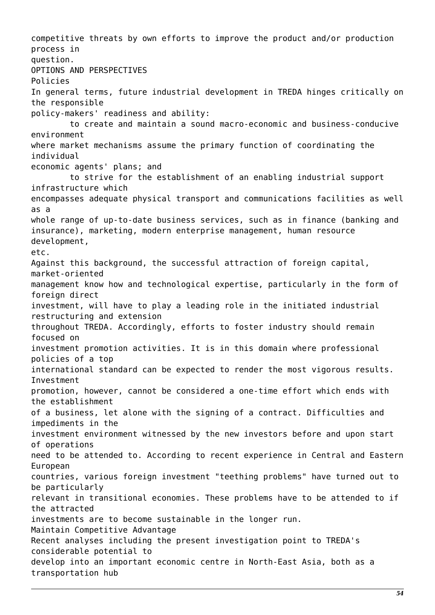competitive threats by own efforts to improve the product and/or production process in question. OPTIONS AND PERSPECTIVES Policies In general terms, future industrial development in TREDA hinges critically on the responsible policy-makers' readiness and ability: to create and maintain a sound macro-economic and business-conducive environment where market mechanisms assume the primary function of coordinating the individual economic agents' plans; and to strive for the establishment of an enabling industrial support infrastructure which encompasses adequate physical transport and communications facilities as well as a whole range of up-to-date business services, such as in finance (banking and insurance), marketing, modern enterprise management, human resource development, etc. Against this background, the successful attraction of foreign capital, market-oriented management know how and technological expertise, particularly in the form of foreign direct investment, will have to play a leading role in the initiated industrial restructuring and extension throughout TREDA. Accordingly, efforts to foster industry should remain focused on investment promotion activities. It is in this domain where professional policies of a top international standard can be expected to render the most vigorous results. Investment promotion, however, cannot be considered a one-time effort which ends with the establishment of a business, let alone with the signing of a contract. Difficulties and impediments in the investment environment witnessed by the new investors before and upon start of operations need to be attended to. According to recent experience in Central and Eastern European countries, various foreign investment "teething problems" have turned out to be particularly relevant in transitional economies. These problems have to be attended to if the attracted investments are to become sustainable in the longer run. Maintain Competitive Advantage Recent analyses including the present investigation point to TREDA's considerable potential to develop into an important economic centre in North-East Asia, both as a transportation hub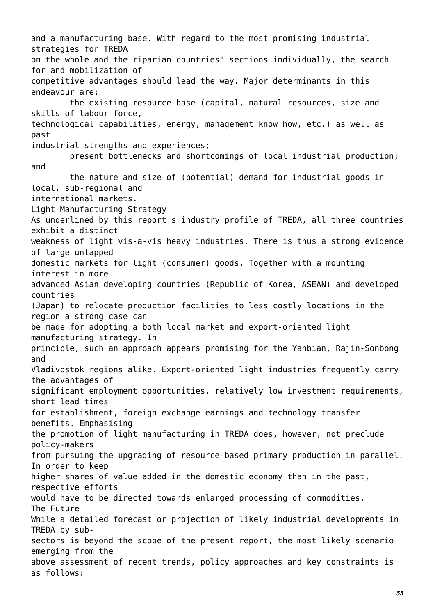and a manufacturing base. With regard to the most promising industrial strategies for TREDA on the whole and the riparian countries' sections individually, the search for and mobilization of competitive advantages should lead the way. Major determinants in this endeavour are: the existing resource base (capital, natural resources, size and skills of labour force, technological capabilities, energy, management know how, etc.) as well as past industrial strengths and experiences; present bottlenecks and shortcomings of local industrial production; and the nature and size of (potential) demand for industrial goods in local, sub-regional and international markets. Light Manufacturing Strategy As underlined by this report's industry profile of TREDA, all three countries exhibit a distinct weakness of light vis-a-vis heavy industries. There is thus a strong evidence of large untapped domestic markets for light (consumer) goods. Together with a mounting interest in more advanced Asian developing countries (Republic of Korea, ASEAN) and developed countries (Japan) to relocate production facilities to less costly locations in the region a strong case can be made for adopting a both local market and export-oriented light manufacturing strategy. In principle, such an approach appears promising for the Yanbian, Rajin-Sonbong and Vladivostok regions alike. Export-oriented light industries frequently carry the advantages of significant employment opportunities, relatively low investment requirements, short lead times for establishment, foreign exchange earnings and technology transfer benefits. Emphasising the promotion of light manufacturing in TREDA does, however, not preclude policy-makers from pursuing the upgrading of resource-based primary production in parallel. In order to keep higher shares of value added in the domestic economy than in the past, respective efforts would have to be directed towards enlarged processing of commodities. The Future While a detailed forecast or projection of likely industrial developments in TREDA by subsectors is beyond the scope of the present report, the most likely scenario emerging from the above assessment of recent trends, policy approaches and key constraints is as follows: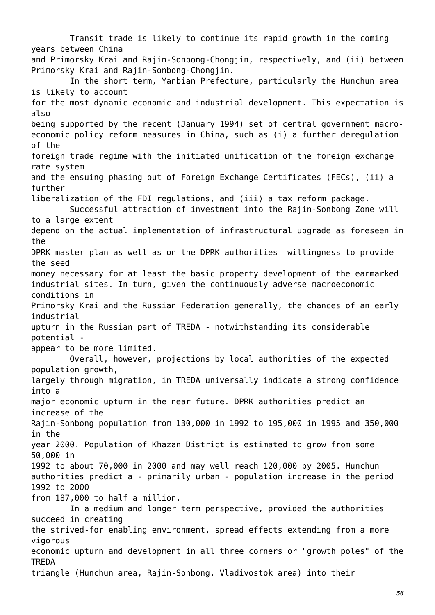Transit trade is likely to continue its rapid growth in the coming years between China and Primorsky Krai and Rajin-Sonbong-Chongjin, respectively, and (ii) between Primorsky Krai and Rajin-Sonbong-Chongjin. In the short term, Yanbian Prefecture, particularly the Hunchun area is likely to account for the most dynamic economic and industrial development. This expectation is also being supported by the recent (January 1994) set of central government macroeconomic policy reform measures in China, such as (i) a further deregulation of the foreign trade regime with the initiated unification of the foreign exchange rate system and the ensuing phasing out of Foreign Exchange Certificates (FECs), (ii) a further liberalization of the FDI regulations, and (iii) a tax reform package. Successful attraction of investment into the Rajin-Sonbong Zone will to a large extent depend on the actual implementation of infrastructural upgrade as foreseen in the DPRK master plan as well as on the DPRK authorities' willingness to provide the seed money necessary for at least the basic property development of the earmarked industrial sites. In turn, given the continuously adverse macroeconomic conditions in Primorsky Krai and the Russian Federation generally, the chances of an early industrial upturn in the Russian part of TREDA - notwithstanding its considerable potential appear to be more limited. Overall, however, projections by local authorities of the expected population growth, largely through migration, in TREDA universally indicate a strong confidence into a major economic upturn in the near future. DPRK authorities predict an increase of the Rajin-Sonbong population from 130,000 in 1992 to 195,000 in 1995 and 350,000 in the year 2000. Population of Khazan District is estimated to grow from some 50,000 in 1992 to about 70,000 in 2000 and may well reach 120,000 by 2005. Hunchun authorities predict a - primarily urban - population increase in the period 1992 to 2000 from 187,000 to half a million. In a medium and longer term perspective, provided the authorities succeed in creating the strived-for enabling environment, spread effects extending from a more vigorous economic upturn and development in all three corners or "growth poles" of the TREDA triangle (Hunchun area, Rajin-Sonbong, Vladivostok area) into their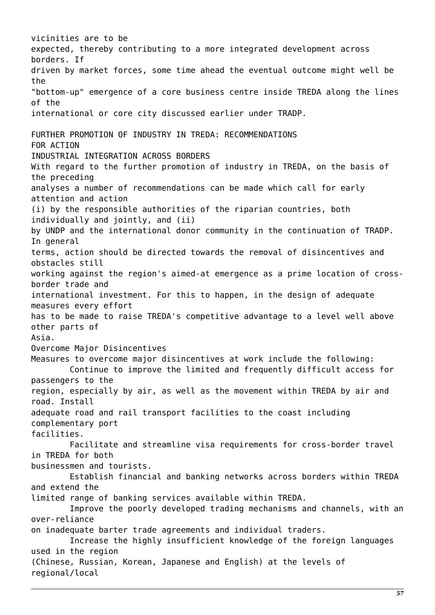vicinities are to be expected, thereby contributing to a more integrated development across borders. If driven by market forces, some time ahead the eventual outcome might well be the "bottom-up" emergence of a core business centre inside TREDA along the lines of the international or core city discussed earlier under TRADP. FURTHER PROMOTION OF INDUSTRY IN TREDA: RECOMMENDATIONS FOR ACTION INDUSTRIAL INTEGRATION ACROSS BORDERS With regard to the further promotion of industry in TREDA, on the basis of the preceding analyses a number of recommendations can be made which call for early attention and action (i) by the responsible authorities of the riparian countries, both individually and jointly, and (ii) by UNDP and the international donor community in the continuation of TRADP. In general terms, action should be directed towards the removal of disincentives and obstacles still working against the region's aimed-at emergence as a prime location of crossborder trade and international investment. For this to happen, in the design of adequate measures every effort has to be made to raise TREDA's competitive advantage to a level well above other parts of Asia. Overcome Major Disincentives Measures to overcome major disincentives at work include the following: Continue to improve the limited and frequently difficult access for passengers to the region, especially by air, as well as the movement within TREDA by air and road. Install adequate road and rail transport facilities to the coast including complementary port facilities. Facilitate and streamline visa requirements for cross-border travel in TREDA for both businessmen and tourists. Establish financial and banking networks across borders within TREDA and extend the limited range of banking services available within TREDA. Improve the poorly developed trading mechanisms and channels, with an over-reliance on inadequate barter trade agreements and individual traders. Increase the highly insufficient knowledge of the foreign languages used in the region (Chinese, Russian, Korean, Japanese and English) at the levels of regional/local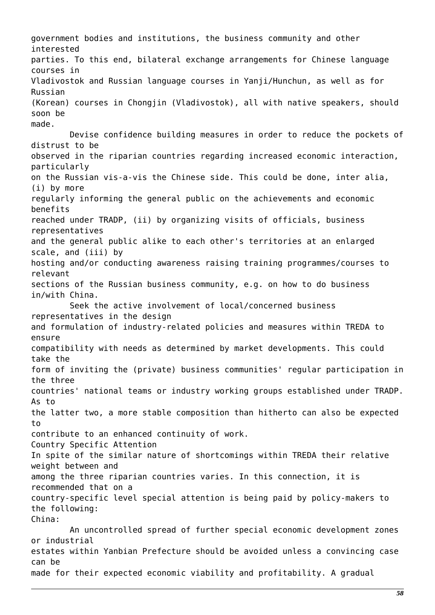government bodies and institutions, the business community and other interested parties. To this end, bilateral exchange arrangements for Chinese language courses in Vladivostok and Russian language courses in Yanji/Hunchun, as well as for Russian (Korean) courses in Chongjin (Vladivostok), all with native speakers, should soon be made. Devise confidence building measures in order to reduce the pockets of distrust to be observed in the riparian countries regarding increased economic interaction, particularly on the Russian vis-a-vis the Chinese side. This could be done, inter alia, (i) by more regularly informing the general public on the achievements and economic benefits reached under TRADP, (ii) by organizing visits of officials, business representatives and the general public alike to each other's territories at an enlarged scale, and (iii) by hosting and/or conducting awareness raising training programmes/courses to relevant sections of the Russian business community, e.g. on how to do business in/with China. Seek the active involvement of local/concerned business representatives in the design and formulation of industry-related policies and measures within TREDA to ensure compatibility with needs as determined by market developments. This could take the form of inviting the (private) business communities' regular participation in the three countries' national teams or industry working groups established under TRADP. As to the latter two, a more stable composition than hitherto can also be expected to contribute to an enhanced continuity of work. Country Specific Attention In spite of the similar nature of shortcomings within TREDA their relative weight between and among the three riparian countries varies. In this connection, it is recommended that on a country-specific level special attention is being paid by policy-makers to the following: China: An uncontrolled spread of further special economic development zones or industrial estates within Yanbian Prefecture should be avoided unless a convincing case can be made for their expected economic viability and profitability. A gradual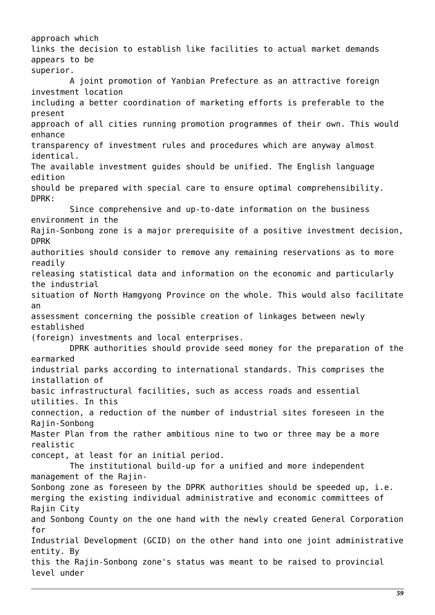approach which links the decision to establish like facilities to actual market demands appears to be superior. A joint promotion of Yanbian Prefecture as an attractive foreign investment location including a better coordination of marketing efforts is preferable to the present approach of all cities running promotion programmes of their own. This would enhance transparency of investment rules and procedures which are anyway almost identical. The available investment guides should be unified. The English language edition should be prepared with special care to ensure optimal comprehensibility. DPRK: Since comprehensive and up-to-date information on the business environment in the Rajin-Sonbong zone is a major prerequisite of a positive investment decision, DPRK authorities should consider to remove any remaining reservations as to more readily releasing statistical data and information on the economic and particularly the industrial situation of North Hamgyong Province on the whole. This would also facilitate an assessment concerning the possible creation of linkages between newly established (foreign) investments and local enterprises. DPRK authorities should provide seed money for the preparation of the earmarked industrial parks according to international standards. This comprises the installation of basic infrastructural facilities, such as access roads and essential utilities. In this connection, a reduction of the number of industrial sites foreseen in the Rajin-Sonbong Master Plan from the rather ambitious nine to two or three may be a more realistic concept, at least for an initial period. The institutional build-up for a unified and more independent management of the Rajin-Sonbong zone as foreseen by the DPRK authorities should be speeded up, i.e. merging the existing individual administrative and economic committees of Rajin City and Sonbong County on the one hand with the newly created General Corporation for Industrial Development (GCID) on the other hand into one joint administrative entity. By this the Rajin-Sonbong zone's status was meant to be raised to provincial level under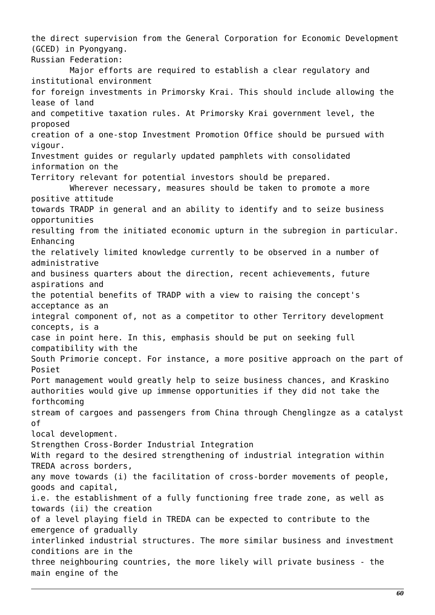the direct supervision from the General Corporation for Economic Development (GCED) in Pyongyang. Russian Federation: Major efforts are required to establish a clear regulatory and institutional environment for foreign investments in Primorsky Krai. This should include allowing the lease of land and competitive taxation rules. At Primorsky Krai government level, the proposed creation of a one-stop Investment Promotion Office should be pursued with vigour. Investment guides or regularly updated pamphlets with consolidated information on the Territory relevant for potential investors should be prepared. Wherever necessary, measures should be taken to promote a more positive attitude towards TRADP in general and an ability to identify and to seize business opportunities resulting from the initiated economic upturn in the subregion in particular. Enhancing the relatively limited knowledge currently to be observed in a number of administrative and business quarters about the direction, recent achievements, future aspirations and the potential benefits of TRADP with a view to raising the concept's acceptance as an integral component of, not as a competitor to other Territory development concepts, is a case in point here. In this, emphasis should be put on seeking full compatibility with the South Primorie concept. For instance, a more positive approach on the part of Posiet Port management would greatly help to seize business chances, and Kraskino authorities would give up immense opportunities if they did not take the forthcoming stream of cargoes and passengers from China through Chenglingze as a catalyst of local development. Strengthen Cross-Border Industrial Integration With regard to the desired strengthening of industrial integration within TREDA across borders, any move towards (i) the facilitation of cross-border movements of people, goods and capital, i.e. the establishment of a fully functioning free trade zone, as well as towards (ii) the creation of a level playing field in TREDA can be expected to contribute to the emergence of gradually interlinked industrial structures. The more similar business and investment conditions are in the three neighbouring countries, the more likely will private business - the main engine of the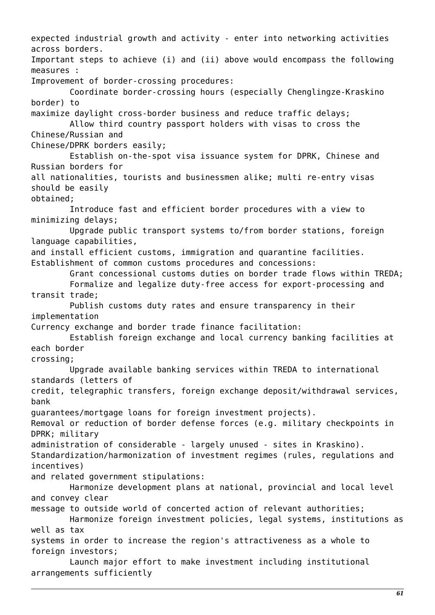expected industrial growth and activity - enter into networking activities across borders. Important steps to achieve (i) and (ii) above would encompass the following measures : Improvement of border-crossing procedures: Coordinate border-crossing hours (especially Chenglingze-Kraskino border) to maximize daylight cross-border business and reduce traffic delays; Allow third country passport holders with visas to cross the Chinese/Russian and Chinese/DPRK borders easily; Establish on-the-spot visa issuance system for DPRK, Chinese and Russian borders for all nationalities, tourists and businessmen alike; multi re-entry visas should be easily obtained; Introduce fast and efficient border procedures with a view to minimizing delays; Upgrade public transport systems to/from border stations, foreign language capabilities, and install efficient customs, immigration and quarantine facilities. Establishment of common customs procedures and concessions: Grant concessional customs duties on border trade flows within TREDA; Formalize and legalize duty-free access for export-processing and transit trade; Publish customs duty rates and ensure transparency in their implementation Currency exchange and border trade finance facilitation: Establish foreign exchange and local currency banking facilities at each border crossing; Upgrade available banking services within TREDA to international standards (letters of credit, telegraphic transfers, foreign exchange deposit/withdrawal services, bank guarantees/mortgage loans for foreign investment projects). Removal or reduction of border defense forces (e.g. military checkpoints in DPRK; military administration of considerable - largely unused - sites in Kraskino). Standardization/harmonization of investment regimes (rules, regulations and incentives) and related government stipulations: Harmonize development plans at national, provincial and local level and convey clear message to outside world of concerted action of relevant authorities; Harmonize foreign investment policies, legal systems, institutions as well as tax systems in order to increase the region's attractiveness as a whole to foreign investors; Launch major effort to make investment including institutional arrangements sufficiently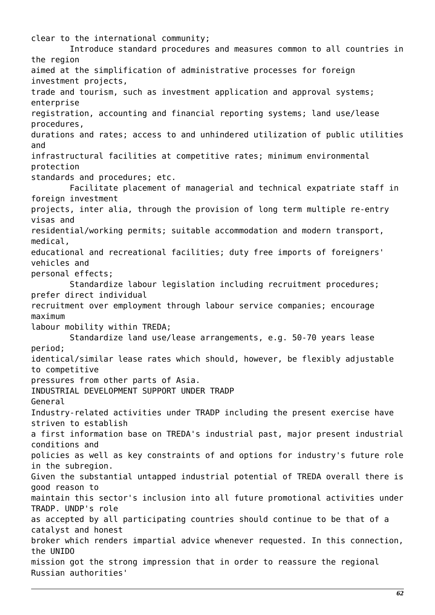clear to the international community; Introduce standard procedures and measures common to all countries in the region aimed at the simplification of administrative processes for foreign investment projects, trade and tourism, such as investment application and approval systems; enterprise registration, accounting and financial reporting systems; land use/lease procedures, durations and rates; access to and unhindered utilization of public utilities and infrastructural facilities at competitive rates; minimum environmental protection standards and procedures; etc. Facilitate placement of managerial and technical expatriate staff in foreign investment projects, inter alia, through the provision of long term multiple re-entry visas and residential/working permits; suitable accommodation and modern transport, medical, educational and recreational facilities; duty free imports of foreigners' vehicles and personal effects; Standardize labour legislation including recruitment procedures; prefer direct individual recruitment over employment through labour service companies; encourage maximum labour mobility within TREDA; Standardize land use/lease arrangements, e.g. 50-70 years lease period; identical/similar lease rates which should, however, be flexibly adjustable to competitive pressures from other parts of Asia. INDUSTRIAL DEVELOPMENT SUPPORT UNDER TRADP General Industry-related activities under TRADP including the present exercise have striven to establish a first information base on TREDA's industrial past, major present industrial conditions and policies as well as key constraints of and options for industry's future role in the subregion. Given the substantial untapped industrial potential of TREDA overall there is good reason to maintain this sector's inclusion into all future promotional activities under TRADP. UNDP's role as accepted by all participating countries should continue to be that of a catalyst and honest broker which renders impartial advice whenever requested. In this connection, the UNIDO mission got the strong impression that in order to reassure the regional Russian authorities'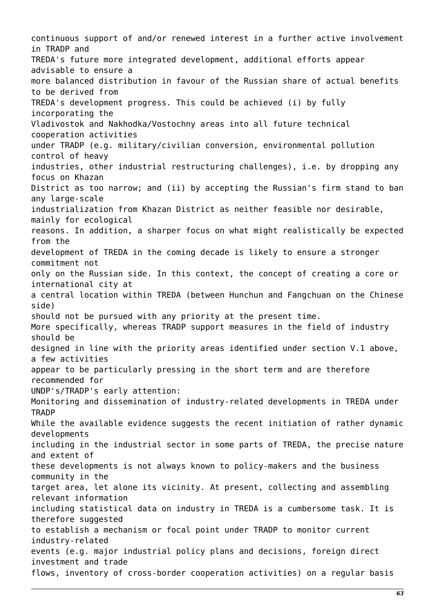continuous support of and/or renewed interest in a further active involvement in TRADP and TREDA's future more integrated development, additional efforts appear advisable to ensure a more balanced distribution in favour of the Russian share of actual benefits to be derived from TREDA's development progress. This could be achieved (i) by fully incorporating the Vladivostok and Nakhodka/Vostochny areas into all future technical cooperation activities under TRADP (e.g. military/civilian conversion, environmental pollution control of heavy industries, other industrial restructuring challenges), i.e. by dropping any focus on Khazan District as too narrow; and (ii) by accepting the Russian's firm stand to ban any large-scale industrialization from Khazan District as neither feasible nor desirable, mainly for ecological reasons. In addition, a sharper focus on what might realistically be expected from the development of TREDA in the coming decade is likely to ensure a stronger commitment not only on the Russian side. In this context, the concept of creating a core or international city at a central location within TREDA (between Hunchun and Fangchuan on the Chinese side) should not be pursued with any priority at the present time. More specifically, whereas TRADP support measures in the field of industry should be designed in line with the priority areas identified under section V.1 above, a few activities appear to be particularly pressing in the short term and are therefore recommended for UNDP's/TRADP's early attention: Monitoring and dissemination of industry-related developments in TREDA under **TRADP** While the available evidence suggests the recent initiation of rather dynamic developments including in the industrial sector in some parts of TREDA, the precise nature and extent of these developments is not always known to policy-makers and the business community in the target area, let alone its vicinity. At present, collecting and assembling relevant information including statistical data on industry in TREDA is a cumbersome task. It is therefore suggested to establish a mechanism or focal point under TRADP to monitor current industry-related events (e.g. major industrial policy plans and decisions, foreign direct investment and trade flows, inventory of cross-border cooperation activities) on a regular basis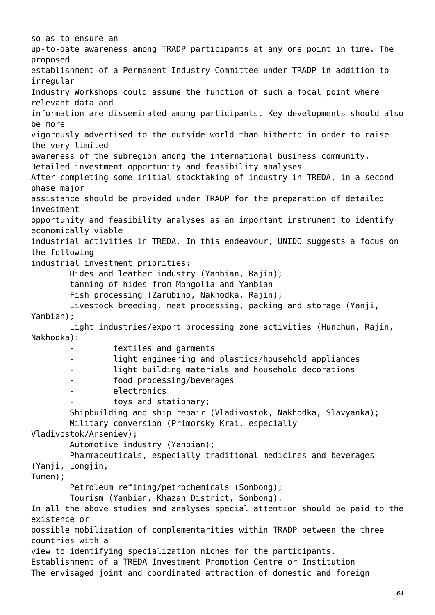so as to ensure an up-to-date awareness among TRADP participants at any one point in time. The proposed establishment of a Permanent Industry Committee under TRADP in addition to irregular Industry Workshops could assume the function of such a focal point where relevant data and information are disseminated among participants. Key developments should also be more vigorously advertised to the outside world than hitherto in order to raise the very limited awareness of the subregion among the international business community. Detailed investment opportunity and feasibility analyses After completing some initial stocktaking of industry in TREDA, in a second phase major assistance should be provided under TRADP for the preparation of detailed investment opportunity and feasibility analyses as an important instrument to identify economically viable industrial activities in TREDA. In this endeavour, UNIDO suggests a focus on the following industrial investment priorities: Hides and leather industry (Yanbian, Rajin); tanning of hides from Mongolia and Yanbian Fish processing (Zarubino, Nakhodka, Rajin); Livestock breeding, meat processing, packing and storage (Yanji, Yanbian); Light industries/export processing zone activities (Hunchun, Rajin, Nakhodka): textiles and garments light engineering and plastics/household appliances light building materials and household decorations food processing/beverages electronics toys and stationary; Shipbuilding and ship repair (Vladivostok, Nakhodka, Slavyanka); Military conversion (Primorsky Krai, especially Vladivostok/Arseniev); Automotive industry (Yanbian); Pharmaceuticals, especially traditional medicines and beverages (Yanji, Longjin, Tumen); Petroleum refining/petrochemicals (Sonbong); Tourism (Yanbian, Khazan District, Sonbong). In all the above studies and analyses special attention should be paid to the existence or possible mobilization of complementarities within TRADP between the three countries with a view to identifying specialization niches for the participants. Establishment of a TREDA Investment Promotion Centre or Institution The envisaged joint and coordinated attraction of domestic and foreign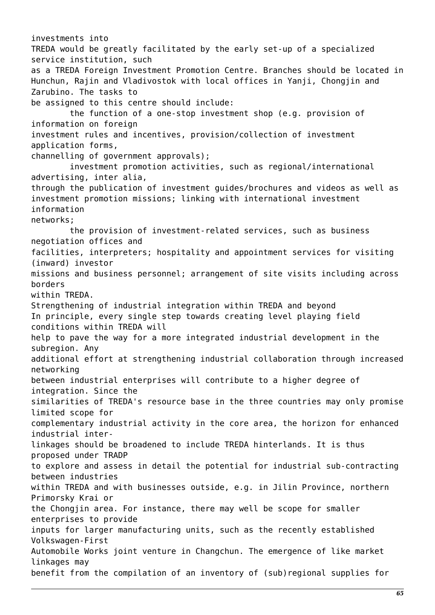investments into TREDA would be greatly facilitated by the early set-up of a specialized service institution, such as a TREDA Foreign Investment Promotion Centre. Branches should be located in Hunchun, Rajin and Vladivostok with local offices in Yanji, Chongjin and Zarubino. The tasks to be assigned to this centre should include: the function of a one-stop investment shop (e.g. provision of information on foreign investment rules and incentives, provision/collection of investment application forms, channelling of government approvals); investment promotion activities, such as regional/international advertising, inter alia, through the publication of investment guides/brochures and videos as well as investment promotion missions; linking with international investment information networks; the provision of investment-related services, such as business negotiation offices and facilities, interpreters; hospitality and appointment services for visiting (inward) investor missions and business personnel; arrangement of site visits including across borders within TREDA. Strengthening of industrial integration within TREDA and beyond In principle, every single step towards creating level playing field conditions within TREDA will help to pave the way for a more integrated industrial development in the subregion. Any additional effort at strengthening industrial collaboration through increased networking between industrial enterprises will contribute to a higher degree of integration. Since the similarities of TREDA's resource base in the three countries may only promise limited scope for complementary industrial activity in the core area, the horizon for enhanced industrial interlinkages should be broadened to include TREDA hinterlands. It is thus proposed under TRADP to explore and assess in detail the potential for industrial sub-contracting between industries within TREDA and with businesses outside, e.g. in Jilin Province, northern Primorsky Krai or the Chongjin area. For instance, there may well be scope for smaller enterprises to provide inputs for larger manufacturing units, such as the recently established Volkswagen-First Automobile Works joint venture in Changchun. The emergence of like market linkages may benefit from the compilation of an inventory of (sub)regional supplies for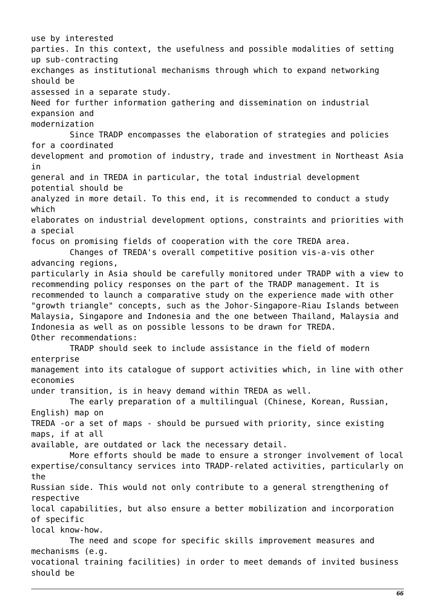use by interested parties. In this context, the usefulness and possible modalities of setting up sub-contracting exchanges as institutional mechanisms through which to expand networking should be assessed in a separate study. Need for further information gathering and dissemination on industrial expansion and modernization Since TRADP encompasses the elaboration of strategies and policies for a coordinated development and promotion of industry, trade and investment in Northeast Asia in general and in TREDA in particular, the total industrial development potential should be analyzed in more detail. To this end, it is recommended to conduct a study which elaborates on industrial development options, constraints and priorities with a special focus on promising fields of cooperation with the core TREDA area. Changes of TREDA's overall competitive position vis-a-vis other advancing regions, particularly in Asia should be carefully monitored under TRADP with a view to recommending policy responses on the part of the TRADP management. It is recommended to launch a comparative study on the experience made with other "growth triangle" concepts, such as the Johor-Singapore-Riau Islands between Malaysia, Singapore and Indonesia and the one between Thailand, Malaysia and Indonesia as well as on possible lessons to be drawn for TREDA. Other recommendations: TRADP should seek to include assistance in the field of modern enterprise management into its catalogue of support activities which, in line with other economies under transition, is in heavy demand within TREDA as well. The early preparation of a multilingual (Chinese, Korean, Russian, English) map on TREDA -or a set of maps - should be pursued with priority, since existing maps, if at all available, are outdated or lack the necessary detail. More efforts should be made to ensure a stronger involvement of local expertise/consultancy services into TRADP-related activities, particularly on the Russian side. This would not only contribute to a general strengthening of respective local capabilities, but also ensure a better mobilization and incorporation of specific local know-how. The need and scope for specific skills improvement measures and mechanisms (e.g. vocational training facilities) in order to meet demands of invited business should be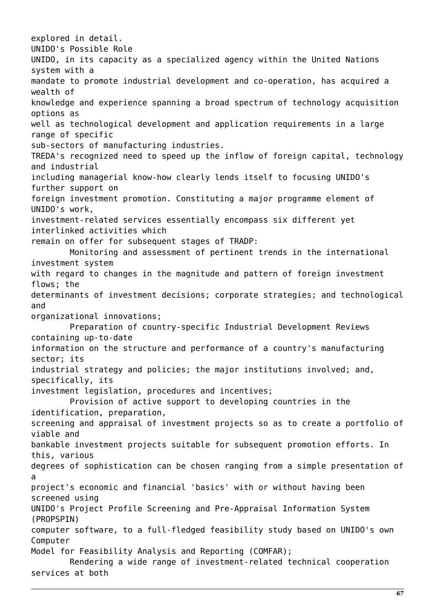explored in detail. UNIDO's Possible Role UNIDO, in its capacity as a specialized agency within the United Nations system with a mandate to promote industrial development and co-operation, has acquired a wealth of knowledge and experience spanning a broad spectrum of technology acquisition options as well as technological development and application requirements in a large range of specific sub-sectors of manufacturing industries. TREDA's recognized need to speed up the inflow of foreign capital, technology and industrial including managerial know-how clearly lends itself to focusing UNIDO's further support on foreign investment promotion. Constituting a major programme element of UNIDO's work, investment-related services essentially encompass six different yet interlinked activities which remain on offer for subsequent stages of TRADP: Monitoring and assessment of pertinent trends in the international investment system with regard to changes in the magnitude and pattern of foreign investment flows; the determinants of investment decisions; corporate strategies; and technological and organizational innovations; Preparation of country-specific Industrial Development Reviews containing up-to-date information on the structure and performance of a country's manufacturing sector; its industrial strategy and policies; the major institutions involved; and, specifically, its investment legislation, procedures and incentives; Provision of active support to developing countries in the identification, preparation, screening and appraisal of investment projects so as to create a portfolio of viable and bankable investment projects suitable for subsequent promotion efforts. In this, various degrees of sophistication can be chosen ranging from a simple presentation of a project's economic and financial 'basics' with or without having been screened using UNIDO's Project Profile Screening and Pre-Appraisal Information System (PROPSPIN) computer software, to a full-fledged feasibility study based on UNIDO's own Computer Model for Feasibility Analysis and Reporting (COMFAR); Rendering a wide range of investment-related technical cooperation services at both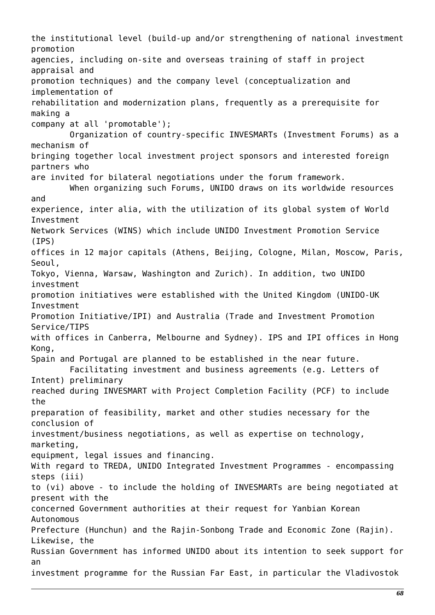the institutional level (build-up and/or strengthening of national investment promotion agencies, including on-site and overseas training of staff in project appraisal and promotion techniques) and the company level (conceptualization and implementation of rehabilitation and modernization plans, frequently as a prerequisite for making a company at all 'promotable'); Organization of country-specific INVESMARTs (Investment Forums) as a mechanism of bringing together local investment project sponsors and interested foreign partners who are invited for bilateral negotiations under the forum framework. When organizing such Forums, UNIDO draws on its worldwide resources and experience, inter alia, with the utilization of its global system of World Investment Network Services (WINS) which include UNIDO Investment Promotion Service (IPS) offices in 12 major capitals (Athens, Beijing, Cologne, Milan, Moscow, Paris, Seoul, Tokyo, Vienna, Warsaw, Washington and Zurich). In addition, two UNIDO investment promotion initiatives were established with the United Kingdom (UNIDO-UK Investment Promotion Initiative/IPI) and Australia (Trade and Investment Promotion Service/TIPS with offices in Canberra, Melbourne and Sydney). IPS and IPI offices in Hong Kong, Spain and Portugal are planned to be established in the near future. Facilitating investment and business agreements (e.g. Letters of Intent) preliminary reached during INVESMART with Project Completion Facility (PCF) to include the preparation of feasibility, market and other studies necessary for the conclusion of investment/business negotiations, as well as expertise on technology, marketing, equipment, legal issues and financing. With regard to TREDA, UNIDO Integrated Investment Programmes - encompassing steps (iii) to (vi) above - to include the holding of INVESMARTs are being negotiated at present with the concerned Government authorities at their request for Yanbian Korean Autonomous Prefecture (Hunchun) and the Rajin-Sonbong Trade and Economic Zone (Rajin). Likewise, the Russian Government has informed UNIDO about its intention to seek support for an investment programme for the Russian Far East, in particular the Vladivostok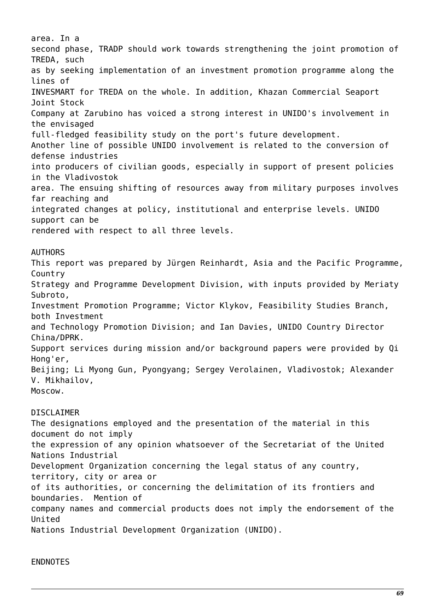area. In a second phase, TRADP should work towards strengthening the joint promotion of TREDA, such as by seeking implementation of an investment promotion programme along the lines of INVESMART for TREDA on the whole. In addition, Khazan Commercial Seaport Joint Stock Company at Zarubino has voiced a strong interest in UNIDO's involvement in the envisaged full-fledged feasibility study on the port's future development. Another line of possible UNIDO involvement is related to the conversion of defense industries into producers of civilian goods, especially in support of present policies in the Vladivostok area. The ensuing shifting of resources away from military purposes involves far reaching and integrated changes at policy, institutional and enterprise levels. UNIDO support can be rendered with respect to all three levels.

# AUTHORS

This report was prepared by Jürgen Reinhardt, Asia and the Pacific Programme, Country Strategy and Programme Development Division, with inputs provided by Meriaty Subroto, Investment Promotion Programme; Victor Klykov, Feasibility Studies Branch, both Investment and Technology Promotion Division; and Ian Davies, UNIDO Country Director China/DPRK. Support services during mission and/or background papers were provided by Qi Hong'er, Beijing; Li Myong Gun, Pyongyang; Sergey Verolainen, Vladivostok; Alexander V. Mikhailov, Moscow.

# DISCLAIMER

The designations employed and the presentation of the material in this document do not imply the expression of any opinion whatsoever of the Secretariat of the United Nations Industrial Development Organization concerning the legal status of any country, territory, city or area or of its authorities, or concerning the delimitation of its frontiers and boundaries. Mention of company names and commercial products does not imply the endorsement of the United Nations Industrial Development Organization (UNIDO).

# ENDNOTES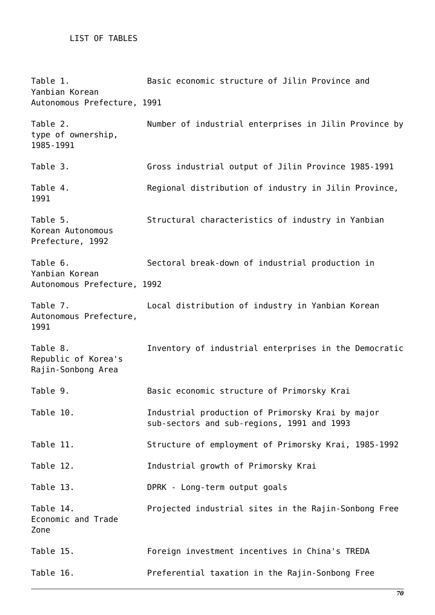# LIST OF TABLES

Table 1. Basic economic structure of Jilin Province and Yanbian Korean Autonomous Prefecture, 1991 Table 2. Number of industrial enterprises in Jilin Province by type of ownership, 1985-1991 Table 3. Gross industrial output of Jilin Province 1985-1991 Table 4. Regional distribution of industry in Jilin Province, 1991 Table 5. Structural characteristics of industry in Yanbian Korean Autonomous Prefecture, 1992 Table 6. Sectoral break-down of industrial production in Yanbian Korean Autonomous Prefecture, 1992 Table 7. Local distribution of industry in Yanbian Korean Autonomous Prefecture, 1991 Table 8. Inventory of industrial enterprises in the Democratic Republic of Korea's Rajin-Sonbong Area Table 9. Basic economic structure of Primorsky Krai Table 10. Industrial production of Primorsky Krai by major sub-sectors and sub-regions, 1991 and 1993 Table 11. Structure of employment of Primorsky Krai, 1985-1992 Table 12. Industrial growth of Primorsky Krai Table 13. DPRK - Long-term output goals Table 14. Projected industrial sites in the Rajin-Sonbong Free Economic and Trade Zone Table 15. Foreign investment incentives in China's TREDA Table 16. Preferential taxation in the Rajin-Sonbong Free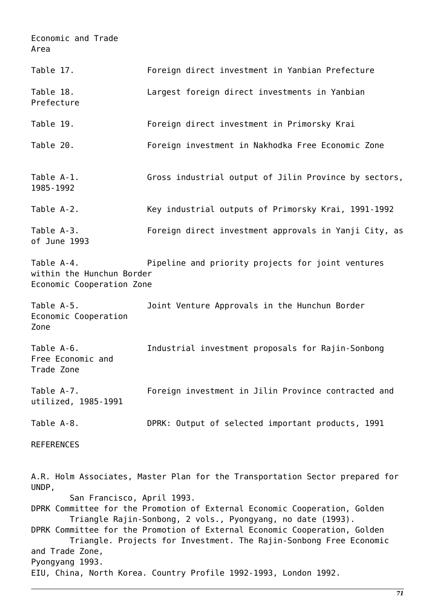Economic and Trade Area

| Table 17.                                                                                                                 | Foreign direct investment in Yanbian Prefecture                                                                                                                                                                                                                                                                                                                             |
|---------------------------------------------------------------------------------------------------------------------------|-----------------------------------------------------------------------------------------------------------------------------------------------------------------------------------------------------------------------------------------------------------------------------------------------------------------------------------------------------------------------------|
| Table 18.<br>Prefecture                                                                                                   | Largest foreign direct investments in Yanbian                                                                                                                                                                                                                                                                                                                               |
| Table 19.                                                                                                                 | Foreign direct investment in Primorsky Krai                                                                                                                                                                                                                                                                                                                                 |
| Table 20.                                                                                                                 | Foreign investment in Nakhodka Free Economic Zone                                                                                                                                                                                                                                                                                                                           |
| Table A-1.<br>1985 - 1992                                                                                                 | Gross industrial output of Jilin Province by sectors,                                                                                                                                                                                                                                                                                                                       |
| Table A-2.                                                                                                                | Key industrial outputs of Primorsky Krai, 1991-1992                                                                                                                                                                                                                                                                                                                         |
| Table A-3.<br>of June 1993                                                                                                | Foreign direct investment approvals in Yanji City, as                                                                                                                                                                                                                                                                                                                       |
| Table A-4.<br>Pipeline and priority projects for joint ventures<br>within the Hunchun Border<br>Economic Cooperation Zone |                                                                                                                                                                                                                                                                                                                                                                             |
| Table A-5.<br>Economic Cooperation<br>Zone                                                                                | Joint Venture Approvals in the Hunchun Border                                                                                                                                                                                                                                                                                                                               |
| Table A-6.<br>Free Economic and<br>Trade Zone                                                                             | Industrial investment proposals for Rajin-Sonbong                                                                                                                                                                                                                                                                                                                           |
| Table A-7.<br>utilized, 1985-1991                                                                                         | Foreign investment in Jilin Province contracted and                                                                                                                                                                                                                                                                                                                         |
| Table A-8.                                                                                                                | DPRK: Output of selected important products, 1991                                                                                                                                                                                                                                                                                                                           |
| <b>REFERENCES</b>                                                                                                         |                                                                                                                                                                                                                                                                                                                                                                             |
| UNDP,<br>San Francisco, April 1993.<br>and Trade Zone,                                                                    | A.R. Holm Associates, Master Plan for the Transportation Sector prepared for<br>DPRK Committee for the Promotion of External Economic Cooperation, Golden<br>Triangle Rajin-Sonbong, 2 vols., Pyongyang, no date (1993).<br>DPRK Committee for the Promotion of External Economic Cooperation, Golden<br>Triangle. Projects for Investment. The Rajin-Sonbong Free Economic |
| Pyongyang 1993.                                                                                                           | EIU, China, North Korea. Country Profile 1992-1993, London 1992.                                                                                                                                                                                                                                                                                                            |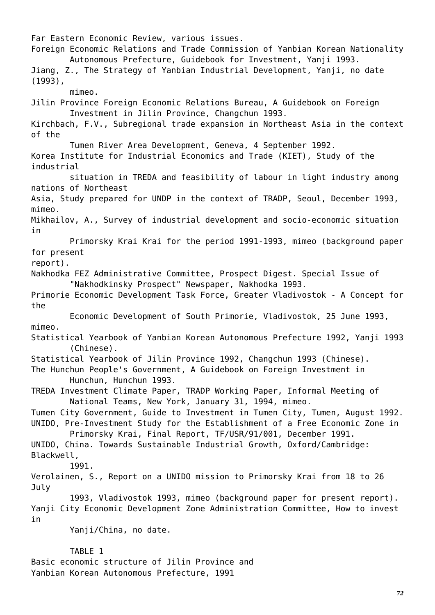Far Eastern Economic Review, various issues. Foreign Economic Relations and Trade Commission of Yanbian Korean Nationality Autonomous Prefecture, Guidebook for Investment, Yanji 1993. Jiang, Z., The Strategy of Yanbian Industrial Development, Yanji, no date (1993), mimeo. Jilin Province Foreign Economic Relations Bureau, A Guidebook on Foreign Investment in Jilin Province, Changchun 1993. Kirchbach, F.V., Subregional trade expansion in Northeast Asia in the context of the Tumen River Area Development, Geneva, 4 September 1992. Korea Institute for Industrial Economics and Trade (KIET), Study of the industrial situation in TREDA and feasibility of labour in light industry among nations of Northeast Asia, Study prepared for UNDP in the context of TRADP, Seoul, December 1993, mimeo. Mikhailov, A., Survey of industrial development and socio-economic situation in Primorsky Krai Krai for the period 1991-1993, mimeo (background paper for present report). Nakhodka FEZ Administrative Committee, Prospect Digest. Special Issue of "Nakhodkinsky Prospect" Newspaper, Nakhodka 1993. Primorie Economic Development Task Force, Greater Vladivostok - A Concept for the Economic Development of South Primorie, Vladivostok, 25 June 1993, mimeo. Statistical Yearbook of Yanbian Korean Autonomous Prefecture 1992, Yanji 1993 (Chinese). Statistical Yearbook of Jilin Province 1992, Changchun 1993 (Chinese). The Hunchun People's Government, A Guidebook on Foreign Investment in Hunchun, Hunchun 1993. TREDA Investment Climate Paper, TRADP Working Paper, Informal Meeting of National Teams, New York, January 31, 1994, mimeo. Tumen City Government, Guide to Investment in Tumen City, Tumen, August 1992. UNIDO, Pre-Investment Study for the Establishment of a Free Economic Zone in Primorsky Krai, Final Report, TF/USR/91/001, December 1991. UNIDO, China. Towards Sustainable Industrial Growth, Oxford/Cambridge: Blackwell, 1991. Verolainen, S., Report on a UNIDO mission to Primorsky Krai from 18 to 26 July 1993, Vladivostok 1993, mimeo (background paper for present report). Yanji City Economic Development Zone Administration Committee, How to invest in Yanji/China, no date. TABLE 1 Basic economic structure of Jilin Province and

Yanbian Korean Autonomous Prefecture, 1991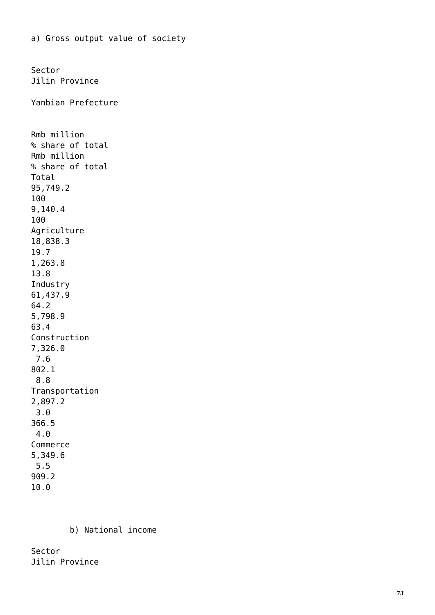Sector Jilin Province Yanbian Prefecture Rmb million % share of total Rmb million % share of total Total 95,749.2 100 9,140.4 100 Agriculture 18,838.3 19.7 1,263.8 13.8 Industry 61,437.9 64.2 5,798.9 63.4 Construction 7,326.0 7.6 802.1 8.8 Transportation 2,897.2 3.0 366.5 4.0 Commerce 5,349.6 5.5 909.2 10.0

a) Gross output value of society

b) National income

Sector Jilin Province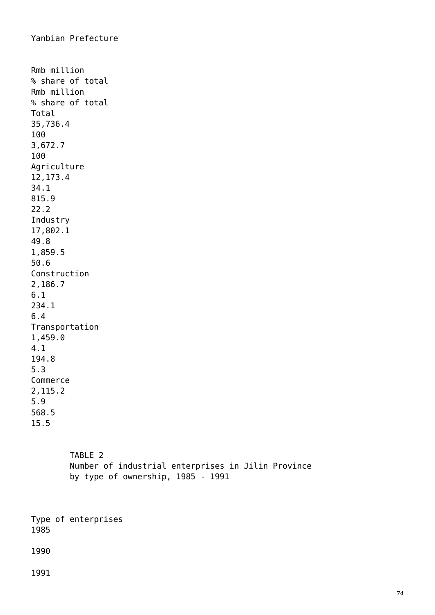```
Rmb million
% share of total
Rmb million
% share of total
Total
35,736.4
100
3,672.7
100
Agriculture
12,173.4
34.1
815.9
22.2
Industry
17,802.1
49.8
1,859.5
50.6
Construction
2,186.7
6.1
234.1
6.4
Transportation
1,459.0
4.1
194.8
5.3
Commerce
2,115.2
5.9
568.5
15.5
```
 TABLE 2 Number of industrial enterprises in Jilin Province by type of ownership, 1985 - 1991

Type of enterprises 1985

1990

1991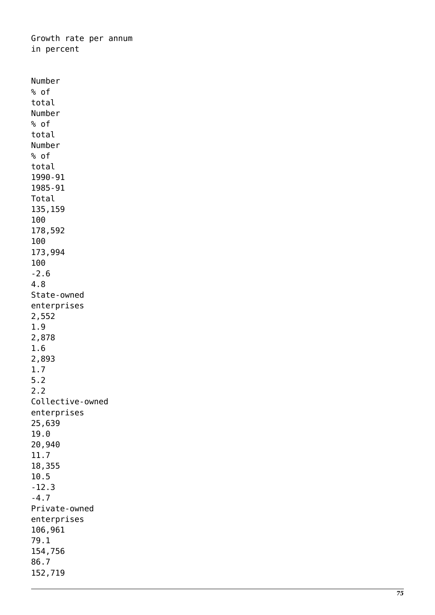Growth rate per annum in percent

Number % of total Number % of total Number % of total 1990-91 1985-91 Total 135,159 100 178,592 100 173,994 100 -2.6 4.8 State-owned enterprises 2,552 1.9 2,878 1.6 2,893 1.7 5.2 2.2 Collective-owned enterprises 25,639 19.0 20,940 11.7 18,355 10.5 -12.3 -4.7 Private-owned enterprises 106,961 79.1 154,756 86.7 152,719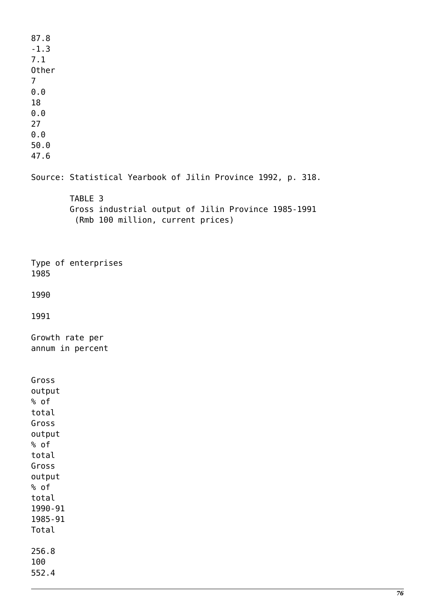87.8 -1.3 7.1 Other 7 0.0 18 0.0 27 0.0 50.0 47.6 Source: Statistical Yearbook of Jilin Province 1992, p. 318. TABLE 3 Gross industrial output of Jilin Province 1985-1991 (Rmb 100 million, current prices) Type of enterprises 1985 1990 1991 Growth rate per annum in percent Gross output % of total Gross output % of total Gross output % of total 1990-91 1985-91 Total 256.8 100 552.4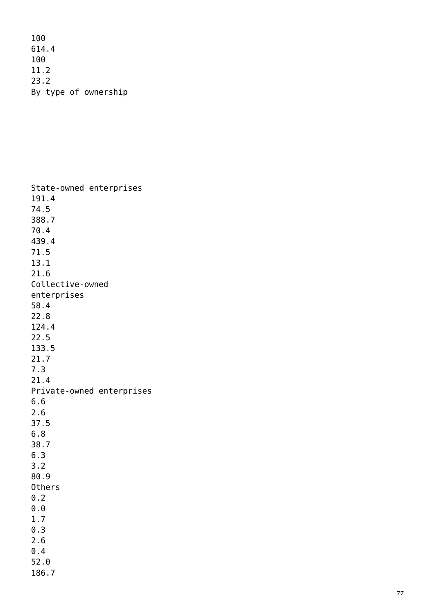100 614.4 100 11.2 23.2 By type of ownership

State-owned enterprises 191.4 74.5 388.7 70.4 439.4 71.5 13.1 21.6 Collective-owned enterprises 58.4 22.8 124.4 22.5 133.5 21.7 7.3 21.4 Private-owned enterprises 6.6 2.6 37.5 6.8 38.7 6.3 3.2 80.9 Others 0.2 0.0 1.7 0.3 2.6 0.4 52.0 186.7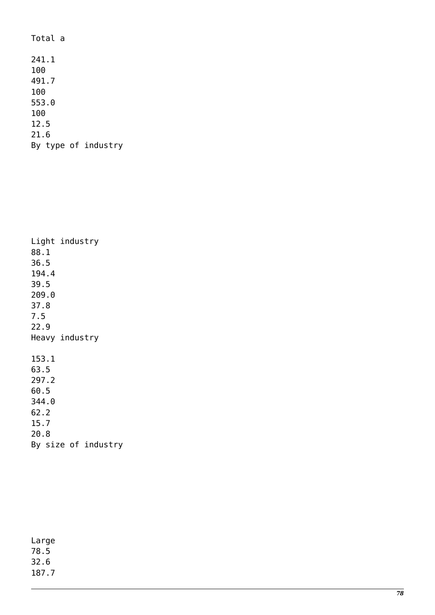Total a 241.1 100 491.7 100 553.0 100 12.5 21.6 By type of industry

| Light industry      |  |
|---------------------|--|
| 88.1                |  |
| 36.5                |  |
| 194.4               |  |
| 39.5                |  |
| 209.0               |  |
| 37.8                |  |
| 7.5                 |  |
| 22.9                |  |
| Heavy industry      |  |
|                     |  |
| 153.1               |  |
| 63.5                |  |
| 297.2               |  |
| 60.5                |  |
| 344.0               |  |
| 62.2                |  |
| 15.7                |  |
| 20.8                |  |
| By size of industry |  |

| Large |
|-------|
| 78.5  |
| 32.6  |
| 187.7 |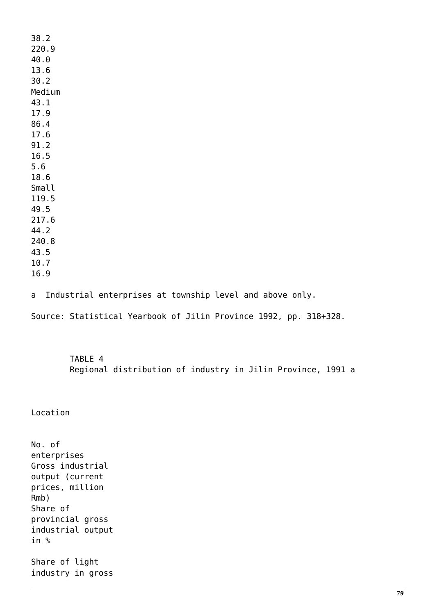38.2 220.9 40.0 13.6 30.2 Medium 43.1 17.9 86.4 17.6 91.2 16.5 5.6 18.6 Small 119.5 49.5 217.6 44.2 240.8 43.5 10.7 16.9

a Industrial enterprises at township level and above only.

Source: Statistical Yearbook of Jilin Province 1992, pp. 318+328.

 TABLE 4 Regional distribution of industry in Jilin Province, 1991 a

Location

No. of enterprises Gross industrial output (current prices, million Rmb) Share of provincial gross industrial output in % Share of light industry in gross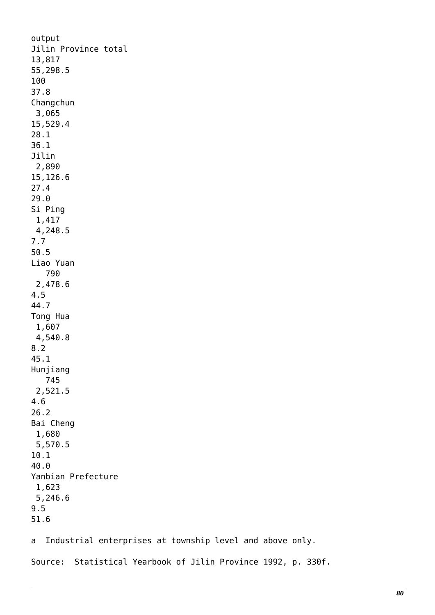output Jilin Province total 13,817 55,298.5 100 37.8 Changchun 3,065 15,529.4 28.1 36.1 Jilin 2,890 15,126.6 27.4 29.0 Si Ping 1,417 4,248.5 7.7 50.5 Liao Yuan 790 2,478.6 4.5 44.7 Tong Hua 1,607 4,540.8 8.2 45.1 Hunjiang 745 2,521.5 4.6 26.2 Bai Cheng 1,680 5,570.5 10.1 40.0 Yanbian Prefecture 1,623 5,246.6 9.5 51.6

a Industrial enterprises at township level and above only.

Source: Statistical Yearbook of Jilin Province 1992, p. 330f.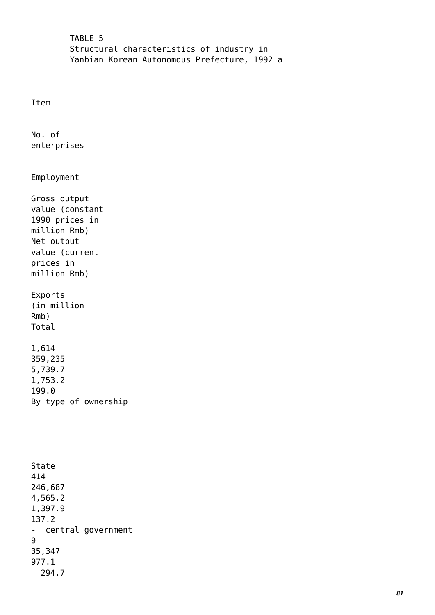TABLE 5 Structural characteristics of industry in Yanbian Korean Autonomous Prefecture, 1992 a

Item

No. of enterprises

Employment

Gross output value (constant 1990 prices in million Rmb) Net output value (current prices in million Rmb)

Exports (in million Rmb) Total

1,614 359,235 5,739.7 1,753.2 199.0 By type of ownership

State 414 246,687 4,565.2 1,397.9 137.2 - central government 9 35,347 977.1 294.7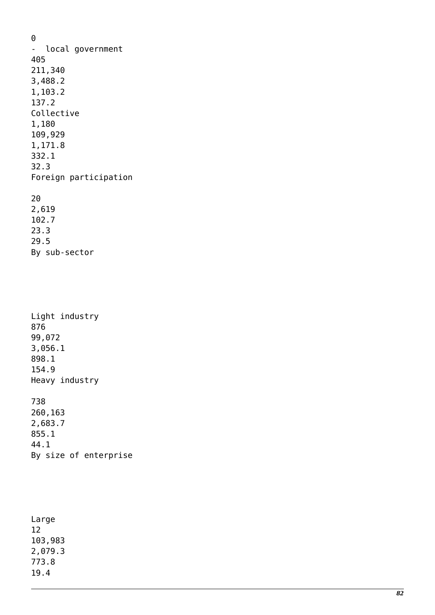0 - local government 405 211,340 3,488.2 1,103.2 137.2 Collective 1,180 109,929 1,171.8 332.1 32.3 Foreign participation 20 2,619

102.7 23.3 29.5 By sub-sector

Light industry 876 99,072 3,056.1 898.1 154.9 Heavy industry 738

260,163 2,683.7 855.1 44.1 By size of enterprise

Large 12 103,983 2,079.3 773.8 19.4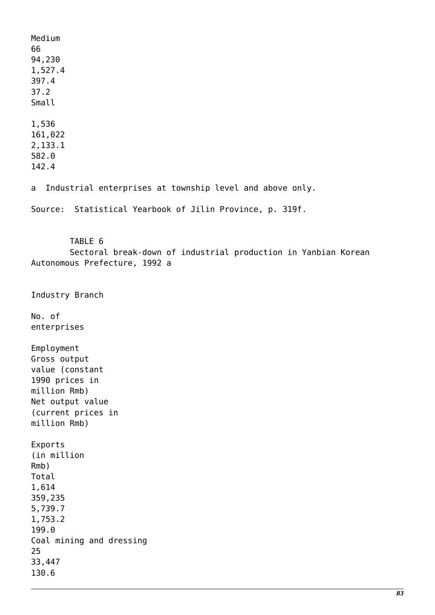Medium 66 94,230 1,527.4 397.4 37.2 Small 1,536 161,022 2,133.1 582.0 142.4 a Industrial enterprises at township level and above only. Source: Statistical Yearbook of Jilin Province, p. 319f. TABLE 6 Sectoral break-down of industrial production in Yanbian Korean Autonomous Prefecture, 1992 a Industry Branch No. of enterprises Employment Gross output value (constant 1990 prices in million Rmb) Net output value (current prices in million Rmb) Exports (in million Rmb) Total 1,614 359,235 5,739.7 1,753.2 199.0 Coal mining and dressing 25 33,447 130.6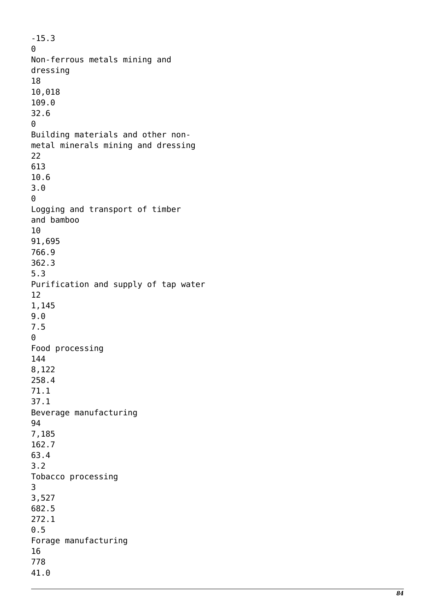-15.3 0 Non-ferrous metals mining and dressing 18 10,018 109.0 32.6  $\Theta$ Building materials and other nonmetal minerals mining and dressing 22 613 10.6 3.0  $\Theta$ Logging and transport of timber and bamboo 10 91,695 766.9 362.3 5.3 Purification and supply of tap water 12 1,145 9.0 7.5  $\Theta$ Food processing 144 8,122 258.4 71.1 37.1 Beverage manufacturing 94 7,185 162.7 63.4 3.2 Tobacco processing 3 3,527 682.5 272.1 0.5 Forage manufacturing 16 778 41.0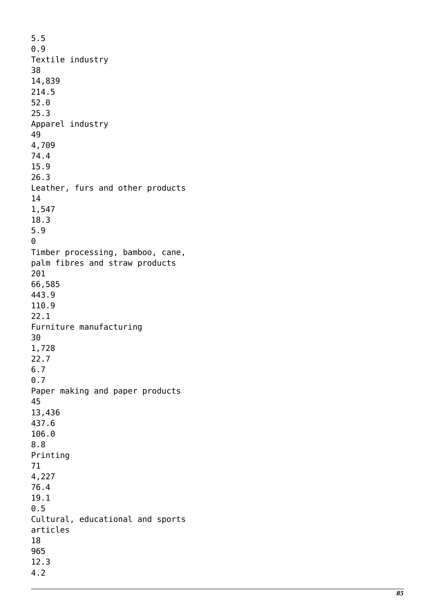5.5 0.9 Textile industry 38 14,839 214.5 52.0 25.3 Apparel industry 49 4,709 74.4 15.9 26.3 Leather, furs and other products 14 1,547 18.3 5.9 0 Timber processing, bamboo, cane, palm fibres and straw products 201 66,585 443.9 110.9 22.1 Furniture manufacturing 30 1,728 22.7 6.7 0.7 Paper making and paper products 45 13,436 437.6 106.0 8.8 Printing 71 4,227 76.4 19.1 0.5 Cultural, educational and sports articles 18 965 12.3 4.2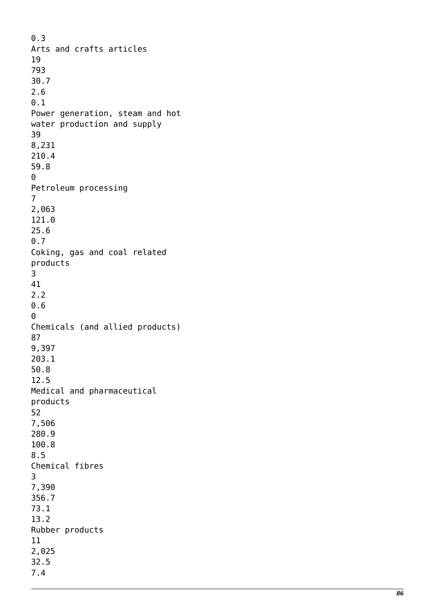0.3 Arts and crafts articles 19 793 30.7 2.6 0.1 Power generation, steam and hot water production and supply 39 8,231 210.4 59.8 0 Petroleum processing 7 2,063 121.0 25.6 0.7 Coking, gas and coal related products 3 41 2.2 0.6  $\theta$ Chemicals (and allied products) 87 9,397 203.1 50.8 12.5 Medical and pharmaceutical products 52 7,506 280.9 100.8 8.5 Chemical fibres 3 7,390 356.7 73.1 13.2 Rubber products 11 2,025 32.5 7.4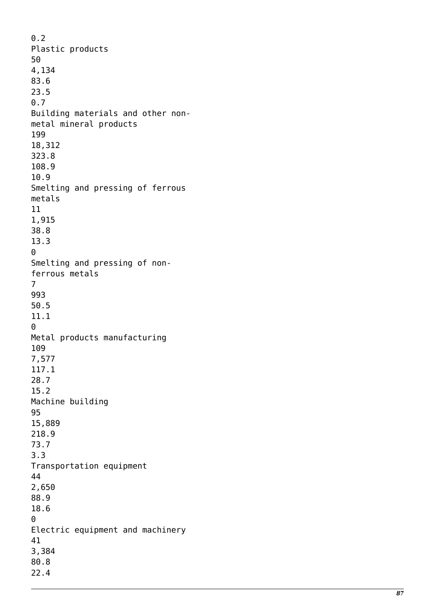$0.2$ Plastic products 50 4,134 83.6 23.5 0.7 Building materials and other nonmetal mineral products 199 18,312 323.8 108.9 10.9 Smelting and pressing of ferrous metals 11 1,915 38.8 13.3 0 Smelting and pressing of nonferrous metals 7 993 50.5 11.1  $\Theta$ Metal products manufacturing 109 7,577 117.1 28.7 15.2 Machine building 95 15,889 218.9 73.7 3.3 Transportation equipment 44 2,650 88.9 18.6 0 Electric equipment and machinery 41 3,384 80.8 22.4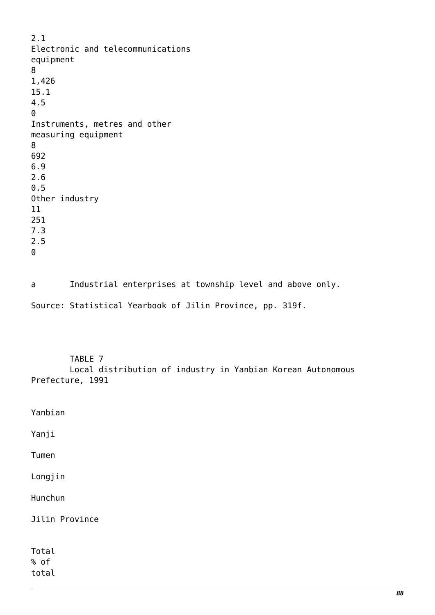2.1 Electronic and telecommunications equipment 8 1,426 15.1 4.5  $\Theta$ Instruments, metres and other measuring equipment 8 692 6.9 2.6 0.5 Other industry 11 251 7.3 2.5 0

a Industrial enterprises at township level and above only. Source: Statistical Yearbook of Jilin Province, pp. 319f.

TABLE 7

 Local distribution of industry in Yanbian Korean Autonomous Prefecture, 1991

| Yanbian        |  |
|----------------|--|
| Yanji          |  |
| Tumen          |  |
| Longjin        |  |
| Hunchun        |  |
| Jilin Province |  |
|                |  |
| Total          |  |
| % of           |  |
| total          |  |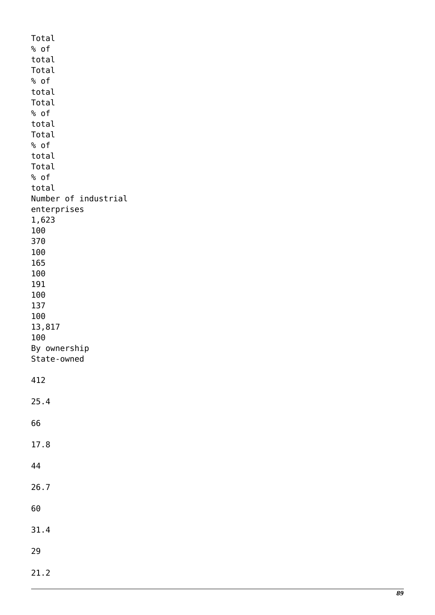Total % of total Total % of total Total % of total Total % of total Total % of total Number of industrial enterprises 1,623 100 370 100 165 100 191 100 137 100 13,817 100 By ownership State-owned 412 25.4 66 17.8 44 26.7 60 31.4 29 21.2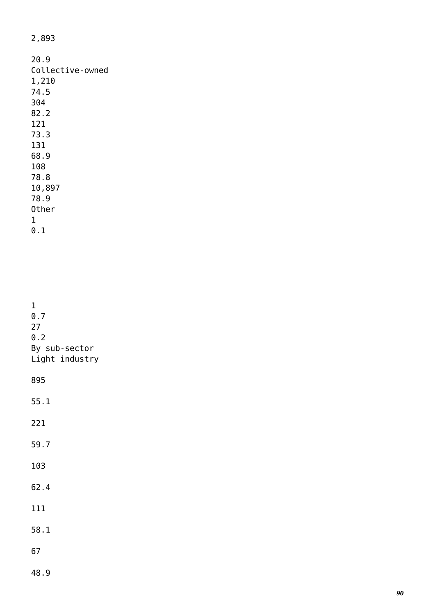2,893

| 20.9             |
|------------------|
| Collective-owned |
| 1,210            |
| 74.5             |
| 304              |
| 82.2             |
| 121              |
| 73.3             |
| 131              |
| 68.9             |
| 108              |
| 78.8             |
| 10,897           |
| 78.9             |
| Other            |
| 1                |
| 0.1              |

| $\mathbf 1$<br>0.7<br>27<br>0.2<br>By sub-sector<br>Light industry |
|--------------------------------------------------------------------|
| 895                                                                |
| 55.1                                                               |
| 221                                                                |
| 59.7                                                               |
| 103                                                                |
| 62.4                                                               |
| 111                                                                |
| 58.1                                                               |
| 67                                                                 |
| 48.9                                                               |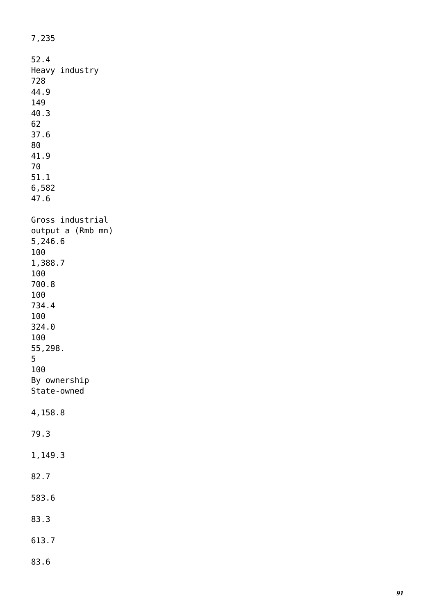7,235 52.4 Heavy industry 728 44.9 149 40.3 62 37.6 80 41.9 70 51.1 6,582 47.6 Gross industrial output a (Rmb mn) 5,246.6 100 1,388.7 100 700.8 100 734.4 100 324.0 100 55,298. 5 100 By ownership State-owned 4,158.8 79.3 1,149.3 82.7 583.6 83.3 613.7 83.6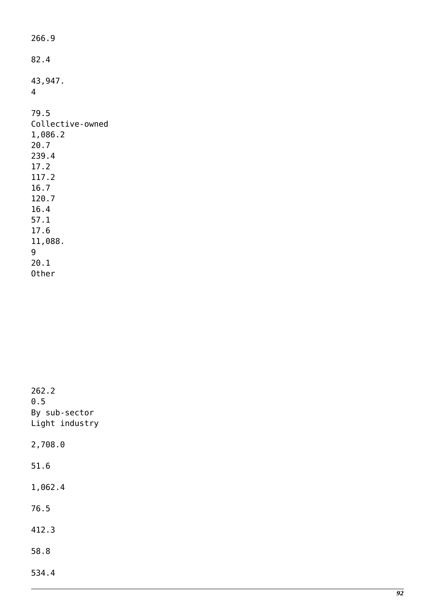| 266.9                                                                                                                          |
|--------------------------------------------------------------------------------------------------------------------------------|
| 82.4                                                                                                                           |
| 43,947.<br>4                                                                                                                   |
| 79.5<br>Collective-owned<br>1,086.2<br>20.7<br>239.4<br>17.2<br>117.2<br>16.7<br>120.7<br>16.4<br>57.1<br>17.6<br>11,088.<br>9 |
| 20.1<br>Other                                                                                                                  |

262.2 0.5 By sub-sector Light industry 2,708.0 51.6 1,062.4 76.5 412.3 58.8 534.4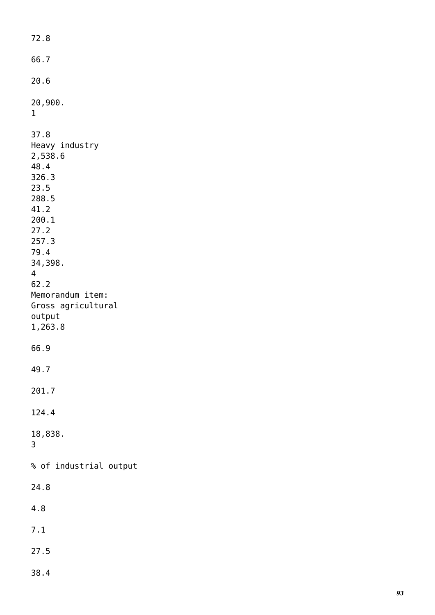72.8 66.7 20.6 20,900. 1 37.8 Heavy industry 2,538.6 48.4 326.3 23.5 288.5 41.2 200.1 27.2 257.3 79.4 34,398. 4 62.2 Memorandum item: Gross agricultural output 1,263.8 66.9 49.7 201.7 124.4 18,838. 3 % of industrial output 24.8 4.8 7.1 27.5 38.4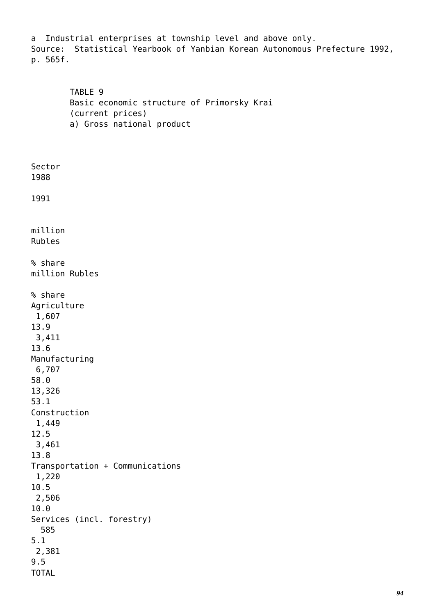a Industrial enterprises at township level and above only. Source: Statistical Yearbook of Yanbian Korean Autonomous Prefecture 1992, p. 565f.

 TABLE 9 Basic economic structure of Primorsky Krai (current prices) a) Gross national product

1988 1991 million Rubles % share million Rubles % share Agriculture 1,607 13.9 3,411 13.6 Manufacturing 6,707 58.0 13,326 53.1 Construction 1,449 12.5 3,461 13.8 Transportation + Communications 1,220 10.5 2,506 10.0 Services (incl. forestry) 585 5.1 2,381 9.5 TOTAL

Sector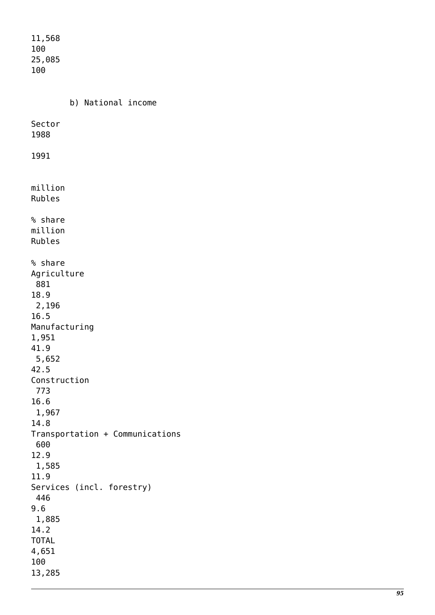11,568 100 25,085 100 b) National income Sector 1988 1991 million Rubles % share million Rubles % share Agriculture 881 18.9 2,196 16.5 Manufacturing 1,951 41.9 5,652 42.5 Construction 773 16.6 1,967 14.8 Transportation + Communications 600 12.9 1,585 11.9 Services (incl. forestry) 446 9.6 1,885 14.2 TOTAL 4,651 100 13,285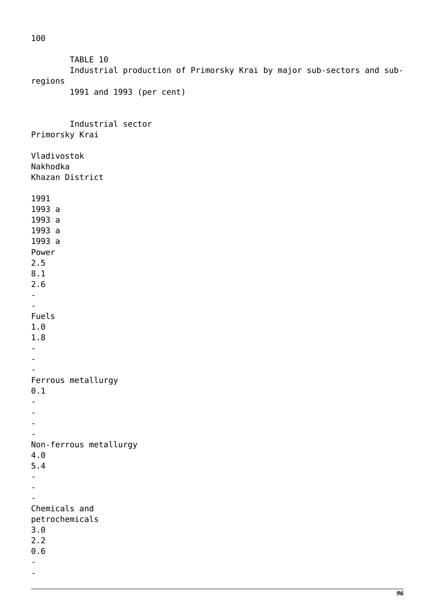100

 TABLE 10 Industrial production of Primorsky Krai by major sub-sectors and subregions 1991 and 1993 (per cent) Industrial sector Primorsky Krai Vladivostok Nakhodka Khazan District 1991 1993 a 1993 a 1993 a 1993 a Power 2.5 8.1 2.6 - - Fuels 1.0 1.8 - - - Ferrous metallurgy 0.1 - - - - Non-ferrous metallurgy 4.0 5.4 - - - Chemicals and petrochemicals 3.0 2.2 0.6 - -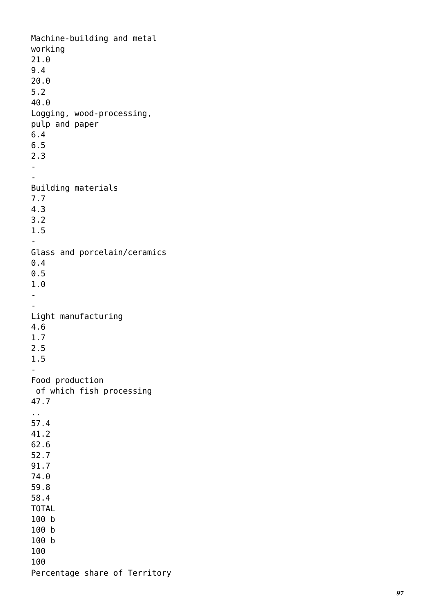Machine-building and metal working 21.0 9.4 20.0 5.2 40.0 Logging, wood-processing, pulp and paper 6.4 6.5 2.3 -- Building materials 7.7 4.3 3.2 1.5 - Glass and porcelain/ceramics 0.4 0.5 1.0 -- Light manufacturing 4.6 1.7 2.5 1.5 - Food production of which fish processing 47.7 .. 57.4 41.2 62.6 52.7 91.7 74.0 59.8 58.4 TOTAL 100 b 100 b 100 b 100 100 Percentage share of Territory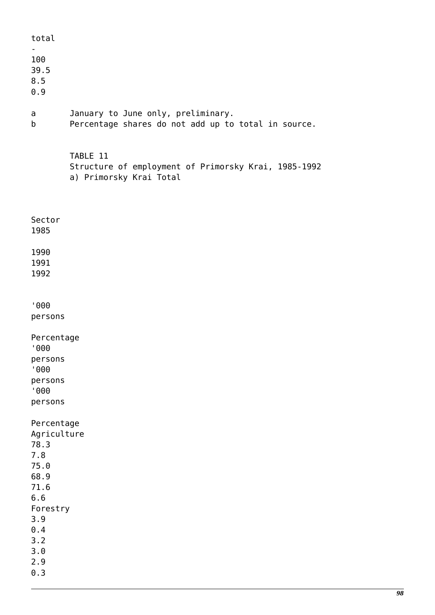| total                                                                                                                         |                                                                                             |
|-------------------------------------------------------------------------------------------------------------------------------|---------------------------------------------------------------------------------------------|
| 100<br>39.5<br>8.5<br>0.9                                                                                                     |                                                                                             |
| a<br>b                                                                                                                        | January to June only, preliminary.<br>Percentage shares do not add up to total in source.   |
|                                                                                                                               | TABLE 11<br>Structure of employment of Primorsky Krai, 1985-1992<br>a) Primorsky Krai Total |
| Sector<br>1985                                                                                                                |                                                                                             |
| 1990<br>1991<br>1992                                                                                                          |                                                                                             |
| '000<br>persons                                                                                                               |                                                                                             |
| Percentage<br>'000<br>persons<br>'000<br>persons<br>'000<br>persons                                                           |                                                                                             |
| Percentage<br>Agriculture<br>78.3<br>7.8<br>75.0<br>68.9<br>71.6<br>6.6<br>Forestry<br>3.9<br>0.4<br>3.2<br>3.0<br>2.9<br>0.3 |                                                                                             |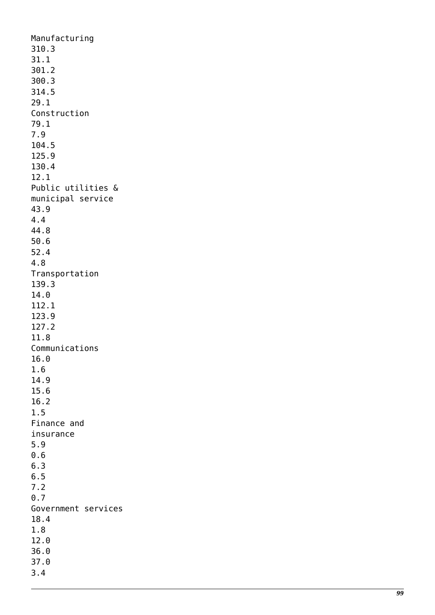Manufacturing 310.3 31.1 301.2 300.3 314.5 29.1 Construction 79.1 7.9 104.5 125.9 130.4 12.1 Public utilities & municipal service 43.9 4.4 44.8 50.6 52.4 4.8 Transportation 139.3 14.0 112.1 123.9 127.2 11.8 Communications 16.0 1.6 14.9 15.6 16.2 1.5 Finance and insurance 5.9 0.6 6.3 6.5 7.2 0.7 Government services 18.4 1.8 12.0 36.0 37.0 3.4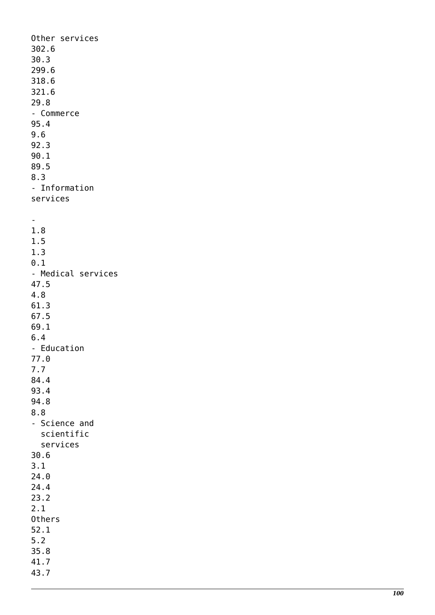Other services 302.6 30.3 299.6 318.6 321.6 29.8 - Commerce 95.4 9.6 92.3 90.1 89.5 8.3 - Information services - 1.8 1.5 1.3 0.1 - Medical services 47.5 4.8 61.3 67.5 69.1 6.4 - Education 77.0 7.7 84.4 93.4 94.8 8.8 - Science and scientific services 30.6 3.1 24.0 24.4 23.2 2.1 Others 52.1 5.2 35.8 41.7 43.7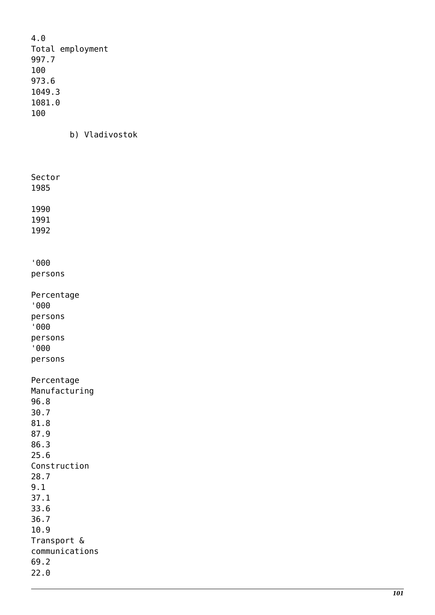4.0 Total employment 997.7 100 973.6 1049.3 1081.0 100

b) Vladivostok

Sector 1985 1990 1991 1992 '000 persons Percentage '000 persons '000 persons '000 persons Percentage Manufacturing 96.8 30.7 81.8 87.9 86.3 25.6 Construction 28.7 9.1 37.1 33.6 36.7 10.9 Transport & communications 69.2 22.0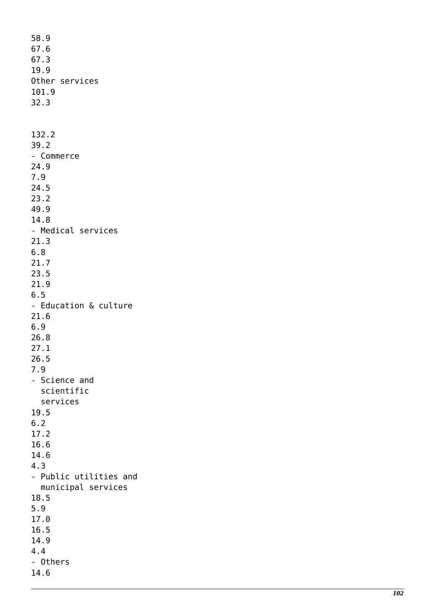58.9 67.6 67.3 19.9 Other services 101.9 32.3 132.2 39.2 - Commerce 24.9 7.9 24.5 23.2 49.9 14.8 - Medical services 21.3 6.8 21.7 23.5 21.9 6.5 - Education & culture 21.6 6.9 26.8 27.1 26.5 7.9 - Science and scientific services 19.5 6.2 17.2 16.6 14.6 4.3 - Public utilities and municipal services 18.5 5.9 17.0 16.5 14.9 4.4 - Others 14.6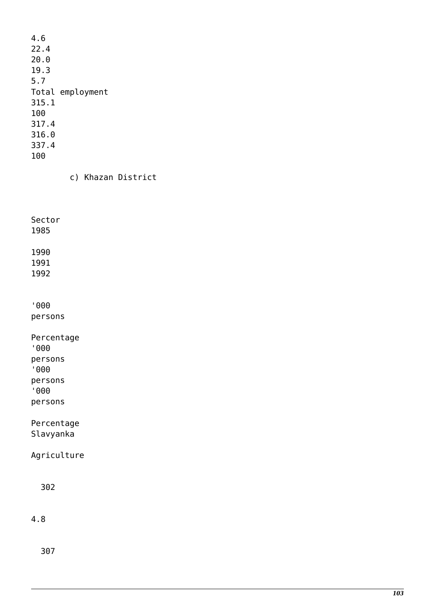| 4.6   |                  |
|-------|------------------|
| 22.4  |                  |
| 20.0  |                  |
| 19.3  |                  |
| 5.7   |                  |
|       | Total employment |
| 315.1 |                  |
| 100   |                  |
| 317.4 |                  |
| 316.0 |                  |
| 337.4 |                  |
| 100   |                  |

c) Khazan District

Sector

1985

1990 1991

1992

'000 persons

Percentage '000 persons '000 persons

'000

persons

Percentage Slavyanka

Agriculture

302

4.8

307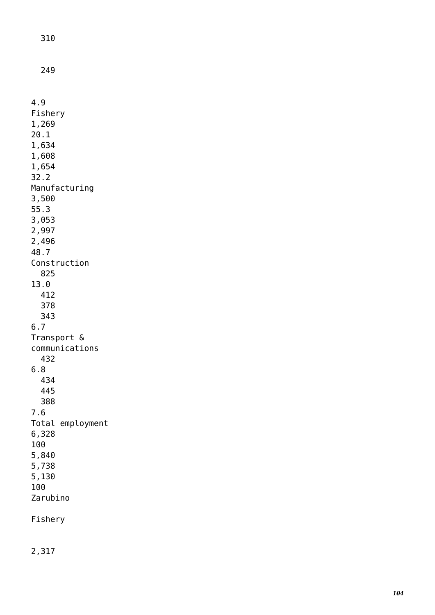310

249

4.9 Fishery 1,269 20.1 1,634 1,608 1,654 32.2 Manufacturing 3,500 55.3 3,053 2,997 2,496 48.7 Construction 825 13.0 412 378 343 6.7 Transport & communications 432 6.8 434 445 388 7.6 Total employment 6,328 100 5,840 5,738 5,130 100 Zarubino Fishery

2,317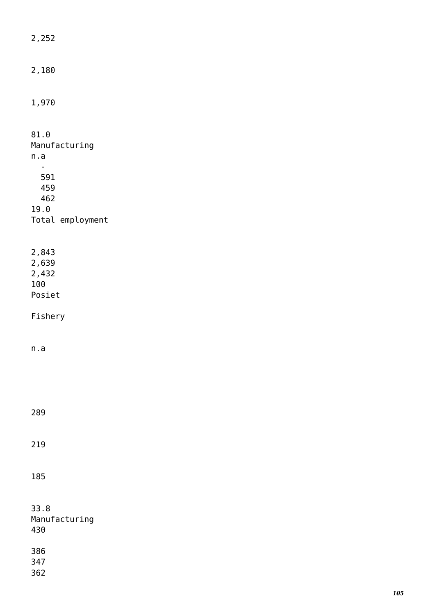| 2,252                                    |
|------------------------------------------|
| 2,180                                    |
| 1,970                                    |
| 81.0<br>Manufacturing<br>n.a             |
| 591<br>459<br>462<br>19.0                |
| Total employment                         |
| 2,843<br>2,639<br>2,432<br>100<br>Posiet |
| Fishery                                  |
| n.a                                      |
|                                          |
| 289                                      |
| 219                                      |
| 185                                      |
| 33.8<br>Manufacturing<br>430             |
| 386<br>347<br>362                        |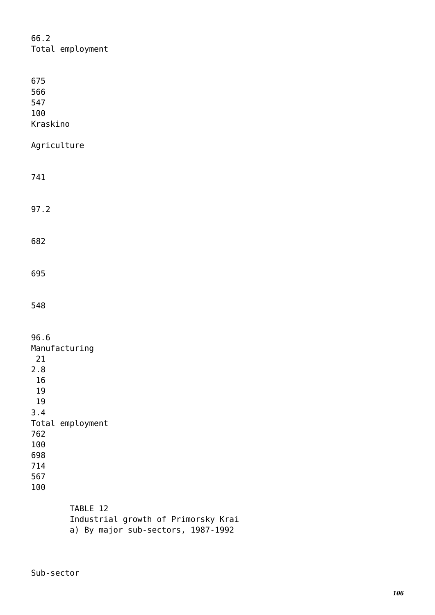| 66.2<br>Total employment                                                                                                  |
|---------------------------------------------------------------------------------------------------------------------------|
| 675<br>566<br>547<br>100<br>Kraskino                                                                                      |
| Agriculture                                                                                                               |
| 741                                                                                                                       |
| 97.2                                                                                                                      |
| 682                                                                                                                       |
| 695                                                                                                                       |
| 548                                                                                                                       |
| 96.6<br>Manufacturing<br>21<br>2.8<br>16<br>19<br>19<br>3.4<br>Total employment<br>762<br>100<br>698<br>714<br>567<br>100 |
| TABLE 12<br>Industrial growth of Primorsky Krai<br>a) By major sub-sectors, 1987-1992                                     |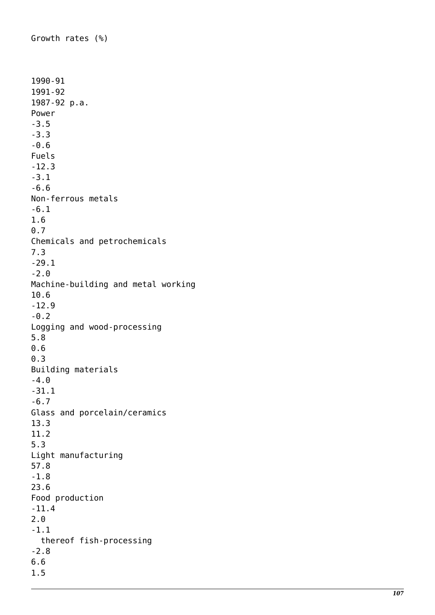Growth rates (%) 1990-91 1991-92 1987-92 p.a. Power -3.5 -3.3 -0.6 Fuels -12.3 -3.1 -6.6 Non-ferrous metals -6.1 1.6 0.7 Chemicals and petrochemicals 7.3 -29.1 -2.0 Machine-building and metal working 10.6 -12.9 -0.2 Logging and wood-processing 5.8 0.6 0.3 Building materials -4.0 -31.1 -6.7 Glass and porcelain/ceramics 13.3 11.2 5.3 Light manufacturing 57.8 -1.8 23.6 Food production -11.4 2.0 -1.1 thereof fish-processing -2.8 6.6 1.5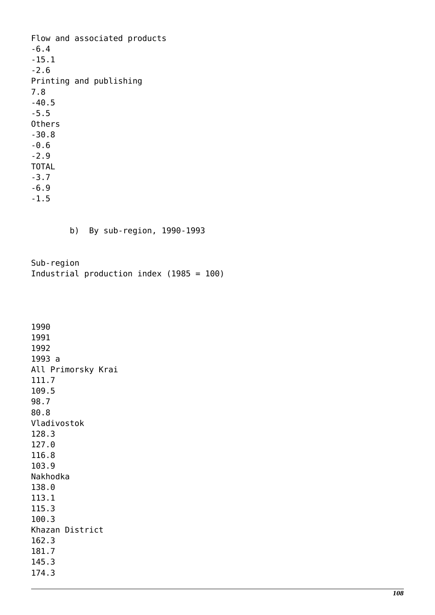Flow and associated products -6.4 -15.1 -2.6 Printing and publishing 7.8 -40.5 -5.5 Others -30.8 -0.6 -2.9 TOTAL -3.7 -6.9 -1.5 b) By sub-region, 1990-1993 Sub-region Industrial production index (1985 = 100) 1990 1991 1992 1993 a All Primorsky Krai 111.7 109.5 98.7 80.8 Vladivostok 128.3 127.0 116.8 103.9 Nakhodka 138.0 113.1 115.3 100.3 Khazan District 162.3 181.7 145.3 174.3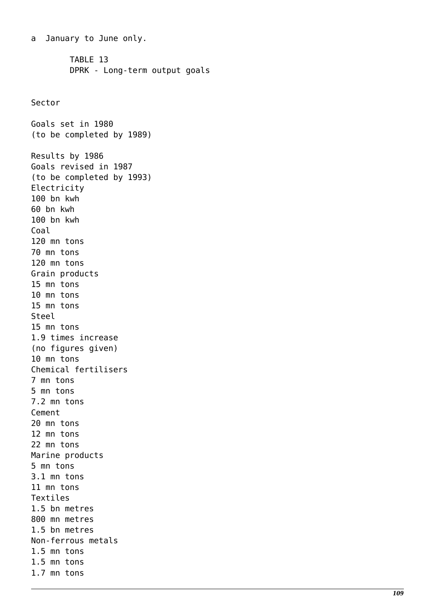a January to June only. TABLE 13 DPRK - Long-term output goals Sector Goals set in 1980 (to be completed by 1989) Results by 1986 Goals revised in 1987 (to be completed by 1993) Electricity 100 bn kwh 60 bn kwh 100 bn kwh Coal 120 mn tons 70 mn tons 120 mn tons Grain products 15 mn tons 10 mn tons 15 mn tons Steel 15 mn tons 1.9 times increase (no figures given) 10 mn tons Chemical fertilisers 7 mn tons 5 mn tons 7.2 mn tons Cement 20 mn tons 12 mn tons 22 mn tons Marine products 5 mn tons 3.1 mn tons 11 mn tons Textiles 1.5 bn metres 800 mn metres 1.5 bn metres Non-ferrous metals 1.5 mn tons 1.5 mn tons 1.7 mn tons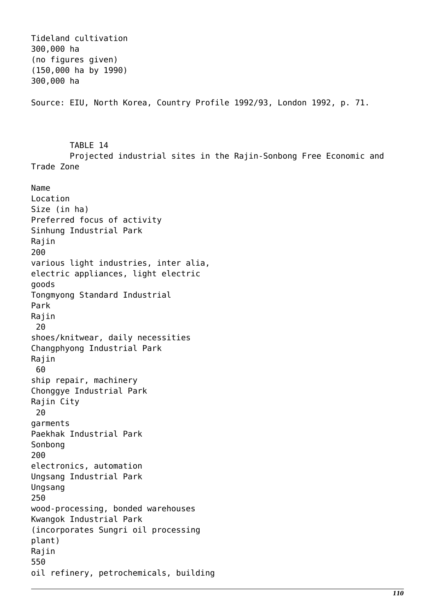Tideland cultivation 300,000 ha (no figures given) (150,000 ha by 1990) 300,000 ha Source: EIU, North Korea, Country Profile 1992/93, London 1992, p. 71. TABLE 14 Projected industrial sites in the Rajin-Sonbong Free Economic and Trade Zone Name Location Size (in ha) Preferred focus of activity Sinhung Industrial Park Rajin 200 various light industries, inter alia, electric appliances, light electric goods Tongmyong Standard Industrial Park Rajin 20 shoes/knitwear, daily necessities Changphyong Industrial Park Rajin 60 ship repair, machinery Chonggye Industrial Park Rajin City 20 garments Paekhak Industrial Park Sonbong 200 electronics, automation Ungsang Industrial Park Ungsang 250 wood-processing, bonded warehouses Kwangok Industrial Park (incorporates Sungri oil processing plant) Rajin 550 oil refinery, petrochemicals, building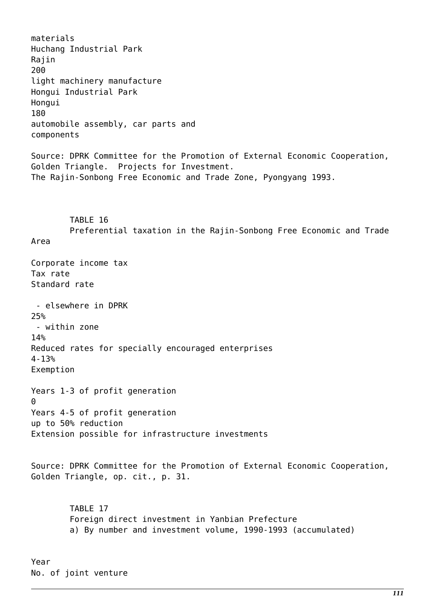materials Huchang Industrial Park Rajin 200 light machinery manufacture Hongui Industrial Park Hongui 180 automobile assembly, car parts and components Source: DPRK Committee for the Promotion of External Economic Cooperation, Golden Triangle. Projects for Investment. The Rajin-Sonbong Free Economic and Trade Zone, Pyongyang 1993. TABLE 16 Preferential taxation in the Rajin-Sonbong Free Economic and Trade Area Corporate income tax Tax rate Standard rate - elsewhere in DPRK 25% - within zone 14% Reduced rates for specially encouraged enterprises 4-13% Exemption Years 1-3 of profit generation ብ Years 4-5 of profit generation up to 50% reduction Extension possible for infrastructure investments Source: DPRK Committee for the Promotion of External Economic Cooperation, Golden Triangle, op. cit., p. 31. TABLE 17 Foreign direct investment in Yanbian Prefecture a) By number and investment volume, 1990-1993 (accumulated) Year

No. of joint venture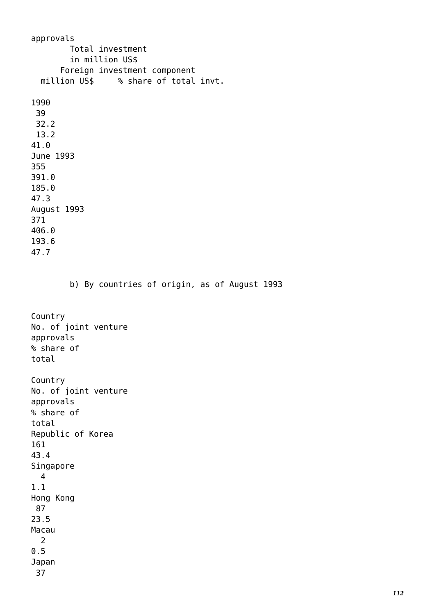approvals Total investment in million US\$ Foreign investment component million US\$ % share of total invt. 1990 39 32.2 13.2 41.0 June 1993 355 391.0 185.0 47.3 August 1993 371 406.0 193.6 47.7 b) By countries of origin, as of August 1993 Country No. of joint venture approvals % share of total Country No. of joint venture approvals % share of total Republic of Korea 161 43.4 Singapore 4 1.1 Hong Kong 87 23.5 Macau 2 0.5 Japan 37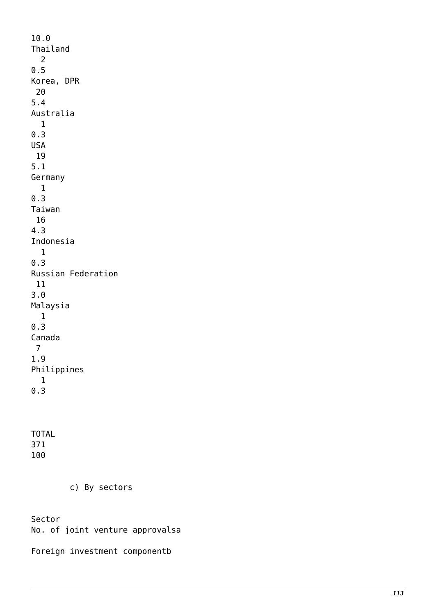10.0 Thailand 2 0.5 Korea, DPR 20 5.4 Australia 1 0.3 USA 19 5.1 Germany 1 0.3 Taiwan 16 4.3 Indonesia 1 0.3 Russian Federation 11 3.0 Malaysia 1 0.3 Canada 7 1.9 Philippines 1 0.3 TOTAL 371

100

c) By sectors

Sector

No. of joint venture approvalsa

Foreign investment componentb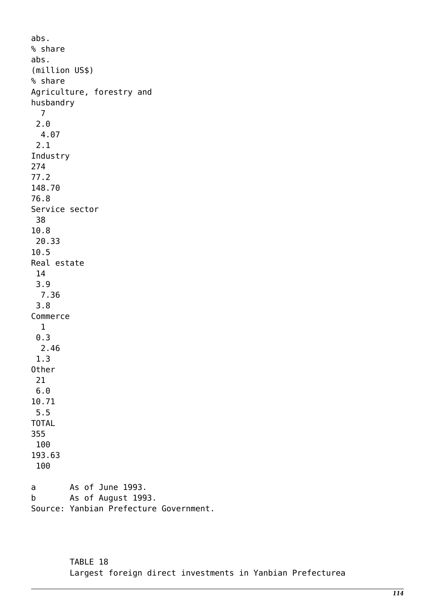abs. % share abs. (million US\$) % share Agriculture, forestry and husbandry 7 2.0 4.07 2.1 Industry 274 77.2 148.70 76.8 Service sector 38 10.8 20.33 10.5 Real estate 14 3.9 7.36 3.8 Commerce 1 0.3 2.46 1.3 Other 21 6.0 10.71 5.5 TOTAL 355 100 193.63 100 a As of June 1993. b As of August 1993. Source: Yanbian Prefecture Government.

> TABLE 18 Largest foreign direct investments in Yanbian Prefecturea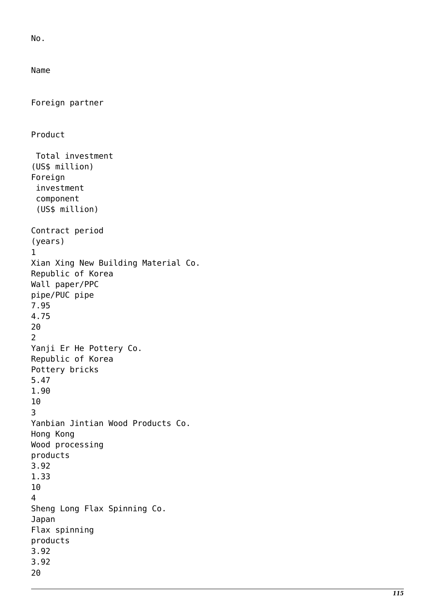No.

Name

```
Foreign partner
Product
 Total investment
(US$ million)
Foreign
  investment
  component
  (US$ million)
Contract period
(years) 1
Xian Xing New Building Material Co.
Republic of Korea
Wall paper/PPC
pipe/PUC pipe
7.95
4.75
20<br>2
Yanji Er He Pottery Co.
Republic of Korea
Pottery bricks
5.47
1.90
\frac{10}{3}Yanbian Jintian Wood Products Co.
Hong Kong
Wood processing
products
3.92
1.33
10<br>4
Sheng Long Flax Spinning Co.
Japan
Flax spinning
products
3.92
3.92
20
```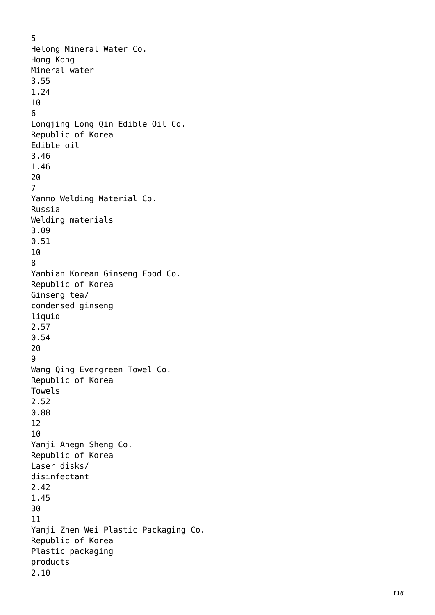5 Helong Mineral Water Co. Hong Kong Mineral water 3.55 1.24  $\frac{10}{6}$ Longjing Long Qin Edible Oil Co. Republic of Korea Edible oil 3.46 1.46 20<br>7 Yanmo Welding Material Co. Russia Welding materials 3.09 0.51  $\frac{10}{8}$ Yanbian Korean Ginseng Food Co. Republic of Korea Ginseng tea/ condensed ginseng liquid 2.57 0.54 20<br>9 Wang Qing Evergreen Towel Co. Republic of Korea Towels 2.52 0.88 12 10 Yanji Ahegn Sheng Co. Republic of Korea Laser disks/ disinfectant 2.42 1.45 30 11 Yanji Zhen Wei Plastic Packaging Co. Republic of Korea Plastic packaging products 2.10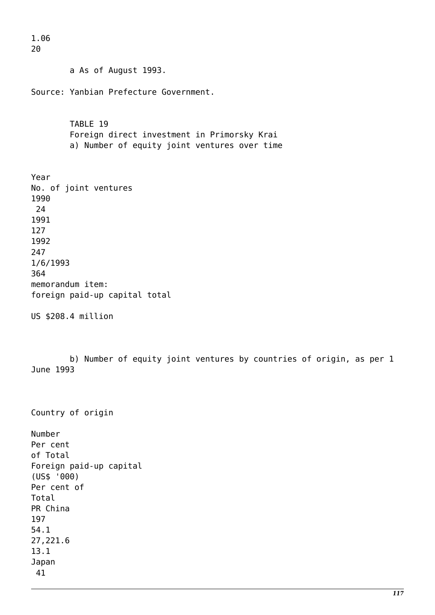20 a As of August 1993. Source: Yanbian Prefecture Government. TABLE 19 Foreign direct investment in Primorsky Krai a) Number of equity joint ventures over time Year No. of joint ventures 1990 24 1991 127 1992 247 1/6/1993 364 memorandum item: foreign paid-up capital total US \$208.4 million b) Number of equity joint ventures by countries of origin, as per 1 June 1993 Country of origin Number Per cent of Total Foreign paid-up capital (US\$ '000) Per cent of Total PR China 197 54.1 27,221.6 13.1 Japan 41

1.06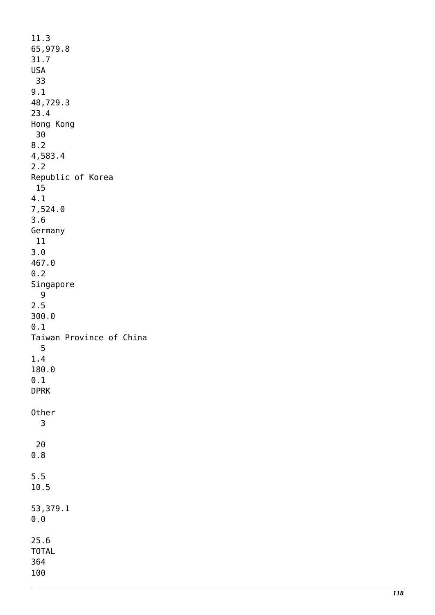| 11.3                     |
|--------------------------|
| 65,979.8                 |
| 31.7                     |
| <b>USA</b>               |
| - 33                     |
| 9.1                      |
|                          |
| 48,729.3                 |
| 23.4                     |
| Hong Kong                |
| - 30                     |
| 8.2                      |
| 4,583.4                  |
| 2.2                      |
|                          |
| Republic of Korea        |
| 15                       |
| 4.1                      |
| 7,524.0                  |
| 3.6                      |
| Germany                  |
| 11                       |
| 3.0                      |
|                          |
| 467.0                    |
| 0.2                      |
| Singapore                |
| 9                        |
| 2.5                      |
| 300.0                    |
| 0.1                      |
|                          |
| Taiwan Province of China |
| 5                        |
| 1.4                      |
| 180.0                    |
| 0.1                      |
| <b>DPRK</b>              |
|                          |
| Other                    |
| 3                        |
|                          |
|                          |
| 20                       |
| 0.8                      |
|                          |
| 5.5                      |
| 10.5                     |
|                          |
| 53,379.1                 |
|                          |
| 0.0                      |
|                          |
| 25.6                     |
| <b>TOTAL</b>             |
| 364                      |
| 100                      |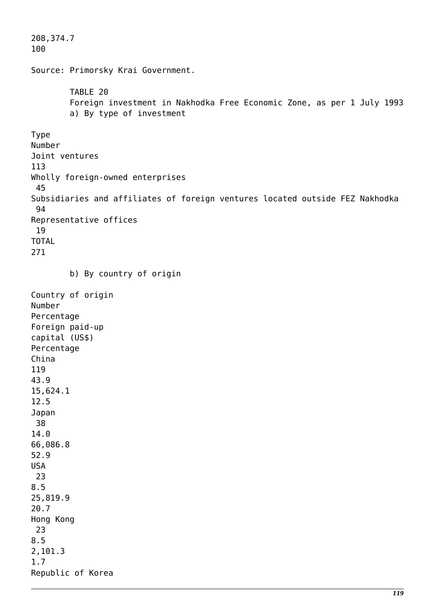```
208,374.7
100
Source: Primorsky Krai Government.
         TABLE 20
         Foreign investment in Nakhodka Free Economic Zone, as per 1 July 1993
         a) By type of investment
Type
Number
Joint ventures
113
Wholly foreign-owned enterprises
  45
Subsidiaries and affiliates of foreign ventures located outside FEZ Nakhodka
  94
Representative offices
  19
TOTAL
271
         b) By country of origin
Country of origin
Number
Percentage
Foreign paid-up
capital (US$)
Percentage
China
119
43.9
15,624.1
12.5
Japan
 38
14.0
66,086.8
52.9
USA
  23
8.5
25,819.9
20.7
Hong Kong
 23
8.5
2,101.3
1.7
Republic of Korea
```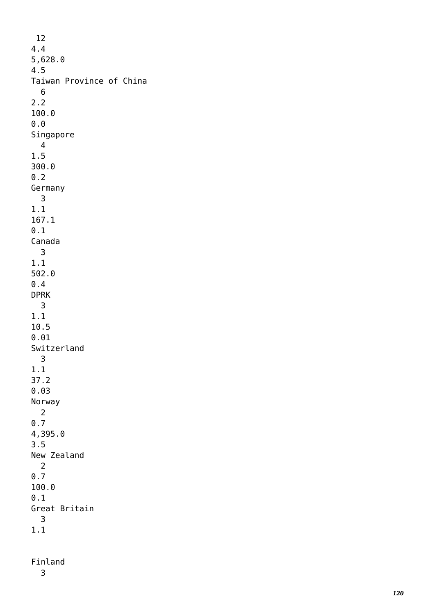12 4.4 5,628.0 4.5 Taiwan Province of China 6 2.2 100.0 0.0 Singapore 4 1.5 300.0 0.2 Germany 3 1.1 167.1 0.1 Canada 3 1.1 502.0 0.4 DPRK 3 1.1 10.5 0.01 Switzerland 3 1.1 37.2 0.03 Norway 2 0.7 4,395.0 3.5 New Zealand 2 0.7 100.0 0.1 Great Britain 3 1.1

Finland 3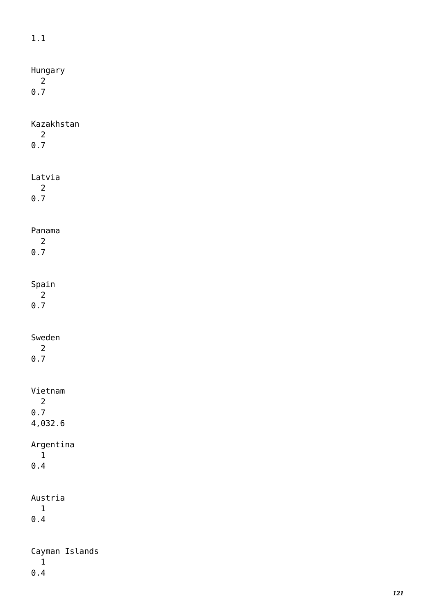| $1.1\,$                                     |
|---------------------------------------------|
| Hungary<br>$\overline{2}$                   |
| $\theta$ .7                                 |
| Kazakhstan<br>$\overline{2}$<br>$\pmb{0.7}$ |
| Latvia<br>$\overline{2}$<br>$\theta$ .7     |
| Panama                                      |
| $\overline{2}$<br>$0.7$                     |
| Spain<br>$\overline{2}$<br>$\theta$ .7      |
| Sweden<br>$\overline{2}$<br>0.7             |
| Vietnam<br>$\overline{2}$                   |
| 0.7<br>4,032.6                              |
| Argentina<br>$\mathbf 1$<br>$\theta$ . $4$  |
| Austria<br>$\mathbf 1$<br>$\theta$ . $4$    |
| Cayman Islands<br>$\mathbf 1$               |
| $\pmb{0}$ . $\pmb{4}$                       |

*121*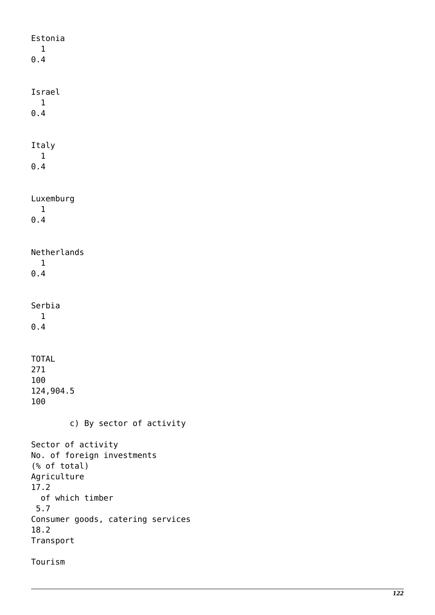Estonia 1  $0.4$ Israel 1 0.4 Italy 1 0.4 Luxemburg 1 0.4 Netherlands 1 0.4 Serbia 1  $0.4$ TOTAL 271 100 124,904.5 100 c) By sector of activity Sector of activity No. of foreign investments (% of total) Agriculture 17.2 of which timber 5.7 Consumer goods, catering services 18.2 Transport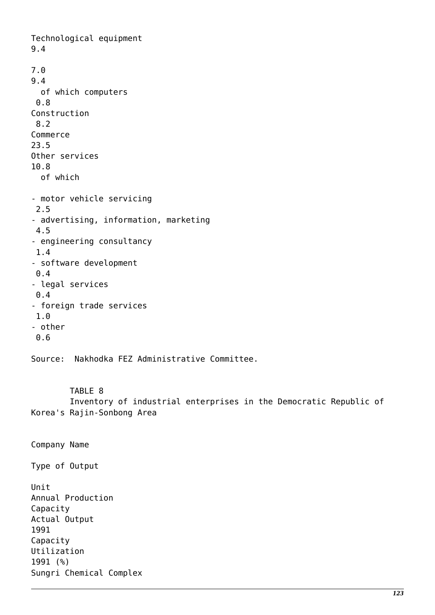Technological equipment 9.4 7.0 9.4 of which computers 0.8 Construction 8.2 Commerce 23.5 Other services 10.8 of which - motor vehicle servicing 2.5 - advertising, information, marketing 4.5 - engineering consultancy 1.4 - software development 0.4 - legal services 0.4 - foreign trade services 1.0 - other 0.6 Source: Nakhodka FEZ Administrative Committee.

 TABLE 8 Inventory of industrial enterprises in the Democratic Republic of Korea's Rajin-Sonbong Area

Company Name Type of Output Unit Annual Production Capacity Actual Output 1991 Capacity Utilization 1991 (%) Sungri Chemical Complex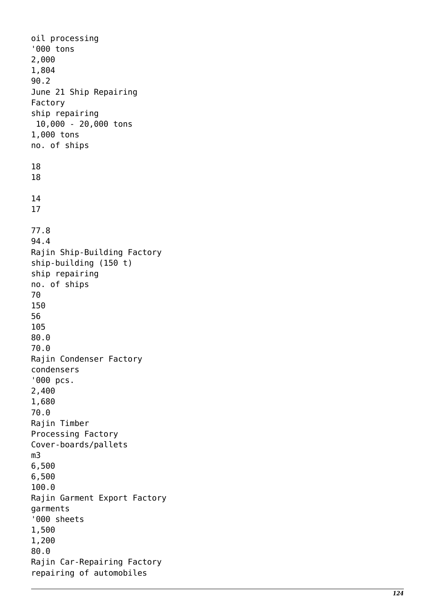oil processing '000 tons 2,000 1,804 90.2 June 21 Ship Repairing Factory ship repairing 10,000 - 20,000 tons 1,000 tons no. of ships 18 18 14 17 77.8 94.4 Rajin Ship-Building Factory ship-building (150 t) ship repairing no. of ships 70 150 56 105 80.0 70.0 Rajin Condenser Factory condensers '000 pcs. 2,400 1,680 70.0 Rajin Timber Processing Factory Cover-boards/pallets m3 6,500 6,500 100.0 Rajin Garment Export Factory garments '000 sheets 1,500 1,200 80.0 Rajin Car-Repairing Factory repairing of automobiles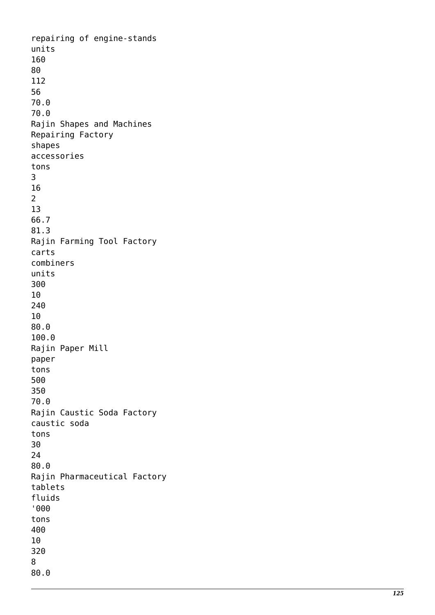repairing of engine-stands units 160 80 112 56 70.0 70.0 Rajin Shapes and Machines Repairing Factory shapes accessories tons 3 16<br>2 13 66.7 81.3 Rajin Farming Tool Factory carts combiners units 300 10 240 10 80.0 100.0 Rajin Paper Mill paper tons 500 350 70.0 Rajin Caustic Soda Factory caustic soda tons 30 24 80.0 Rajin Pharmaceutical Factory tablets fluids '000 tons 400 10 320 8 80.0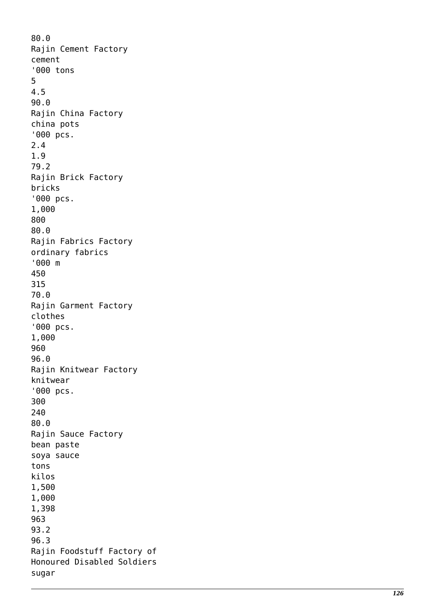80.0 Rajin Cement Factory cement '000 tons 5 4.5 90.0 Rajin China Factory china pots '000 pcs. 2.4 1.9 79.2 Rajin Brick Factory bricks '000 pcs. 1,000 800 80.0 Rajin Fabrics Factory ordinary fabrics '000 m 450 315 70.0 Rajin Garment Factory clothes '000 pcs. 1,000 960 96.0 Rajin Knitwear Factory knitwear '000 pcs. 300 240 80.0 Rajin Sauce Factory bean paste soya sauce tons kilos 1,500 1,000 1,398 963 93.2 96.3 Rajin Foodstuff Factory of Honoured Disabled Soldiers sugar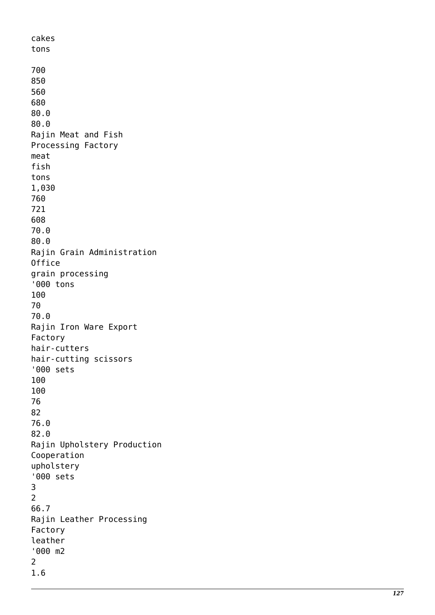cakes tons 700 850 560 680 80.0 80.0 Rajin Meat and Fish Processing Factory meat fish tons 1,030 760 721 608 70.0 80.0 Rajin Grain Administration Office grain processing '000 tons 100 70 70.0 Rajin Iron Ware Export Factory hair-cutters hair-cutting scissors '000 sets 100 100 76 82 76.0 82.0 Rajin Upholstery Production Cooperation upholstery '000 sets  $\frac{3}{2}$ 66.7 Rajin Leather Processing Factory leather '000 m2 2 1.6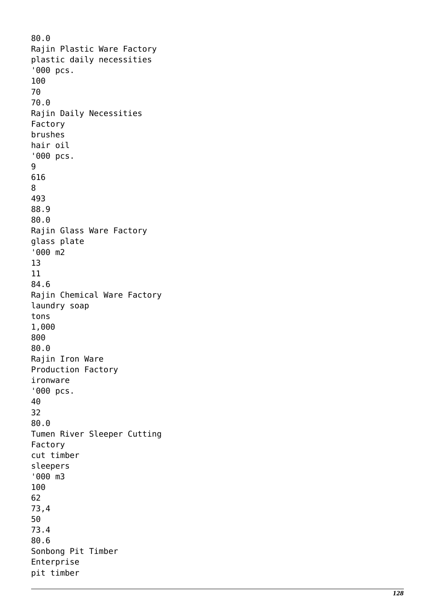80.0 Rajin Plastic Ware Factory plastic daily necessities '000 pcs. 100 70 70.0 Rajin Daily Necessities Factory brushes hair oil '000 pcs. 9 616 8 493 88.9 80.0 Rajin Glass Ware Factory glass plate '000 m2 13 11 84.6 Rajin Chemical Ware Factory laundry soap tons 1,000 800 80.0 Rajin Iron Ware Production Factory ironware '000 pcs. 40 32 80.0 Tumen River Sleeper Cutting Factory cut timber sleepers '000 m3 100 62 73,4 50 73.4 80.6 Sonbong Pit Timber Enterprise pit timber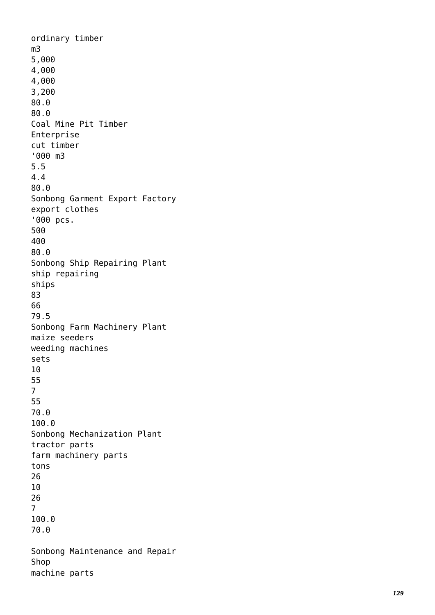ordinary timber m3 5,000 4,000 4,000 3,200 80.0 80.0 Coal Mine Pit Timber Enterprise cut timber '000 m3 5.5 4.4 80.0 Sonbong Garment Export Factory export clothes '000 pcs. 500 400 80.0 Sonbong Ship Repairing Plant ship repairing ships 83 66 79.5 Sonbong Farm Machinery Plant maize seeders weeding machines sets 10 55<br>7 55 70.0 100.0 Sonbong Mechanization Plant tractor parts farm machinery parts tons 26 10  $\frac{26}{7}$ 100.0 70.0 Sonbong Maintenance and Repair Shop machine parts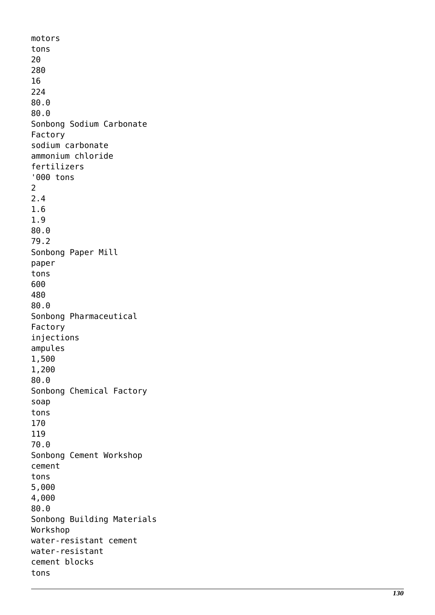```
motors
tons
20
280
16
224
80.0
80.0
Sonbong Sodium Carbonate
Factory
sodium carbonate
ammonium chloride
fertilizers
'000 tons 2
2.4
1.6
1.9
80.0
79.2
Sonbong Paper Mill
paper
tons
600
480
80.0
Sonbong Pharmaceutical
Factory
injections
ampules
1,500
1,200
80.0
Sonbong Chemical Factory
soap
tons
170
119
70.0
Sonbong Cement Workshop
cement
tons
5,000
4,000
80.0
Sonbong Building Materials
Workshop
water-resistant cement
water-resistant
cement blocks
tons
```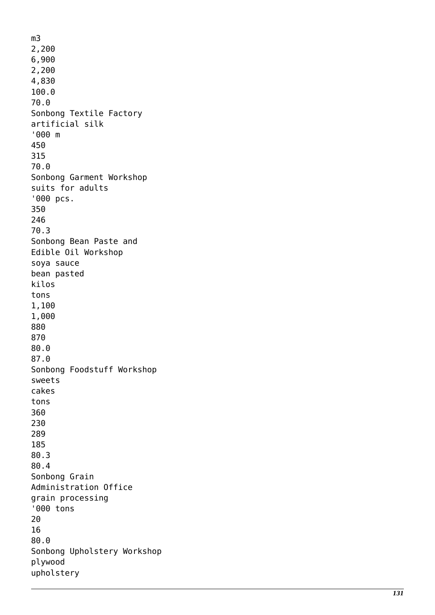m3 2,200 6,900 2,200 4,830 100.0 70.0 Sonbong Textile Factory artificial silk '000 m 450 315 70.0 Sonbong Garment Workshop suits for adults '000 pcs. 350 246 70.3 Sonbong Bean Paste and Edible Oil Workshop soya sauce bean pasted kilos tons 1,100 1,000 880 870 80.0 87.0 Sonbong Foodstuff Workshop sweets cakes tons 360 230 289 185 80.3 80.4 Sonbong Grain Administration Office grain processing '000 tons 20 16 80.0 Sonbong Upholstery Workshop plywood upholstery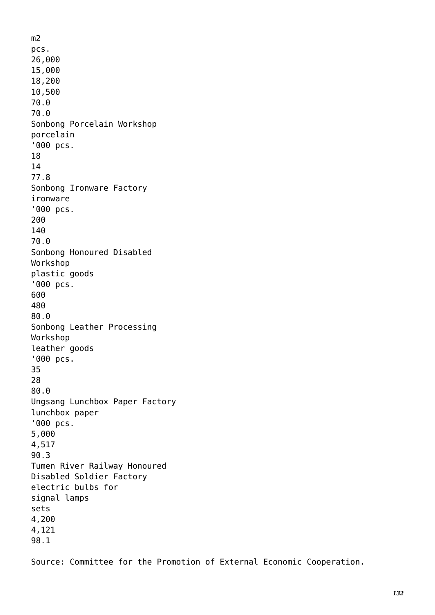m2 pcs. 26,000 15,000 18,200 10,500 70.0 70.0 Sonbong Porcelain Workshop porcelain '000 pcs. 18 14 77.8 Sonbong Ironware Factory ironware '000 pcs. 200 140 70.0 Sonbong Honoured Disabled Workshop plastic goods '000 pcs. 600 480 80.0 Sonbong Leather Processing Workshop leather goods '000 pcs. 35 28 80.0 Ungsang Lunchbox Paper Factory lunchbox paper '000 pcs. 5,000 4,517 90.3 Tumen River Railway Honoured Disabled Soldier Factory electric bulbs for signal lamps sets 4,200 4,121 98.1

Source: Committee for the Promotion of External Economic Cooperation.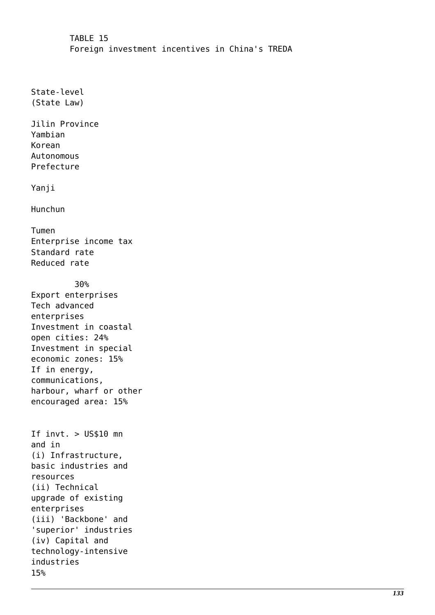TABLE 15 Foreign investment incentives in China's TREDA

State-level (State Law)

Jilin Province Yambian Korean Autonomous Prefecture

Yanji

Hunchun

Tumen Enterprise income tax Standard rate Reduced rate

 30% Export enterprises Tech advanced enterprises Investment in coastal open cities: 24% Investment in special economic zones: 15% If in energy, communications, harbour, wharf or other encouraged area: 15%

If invt. > US\$10 mn and in (i) Infrastructure, basic industries and resources (ii) Technical upgrade of existing enterprises (iii) 'Backbone' and 'superior' industries (iv) Capital and technology-intensive industries 15%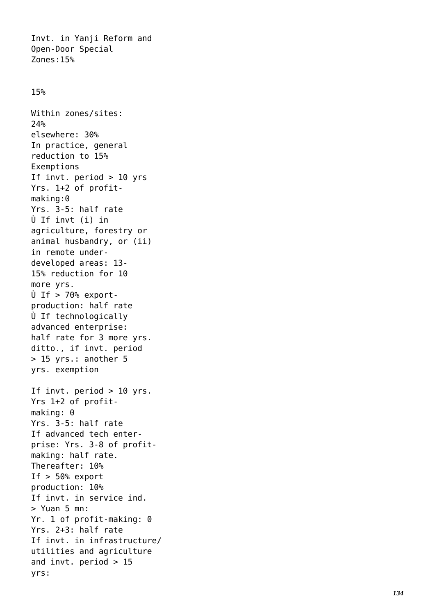Invt. in Yanji Reform and Open-Door Special Zones:15%

## 15%

Within zones/sites: 24% elsewhere: 30% In practice, general reduction to 15% Exemptions If invt. period > 10 yrs Yrs. 1+2 of profitmaking:0 Yrs. 3-5: half rate Ù If invt (i) in agriculture, forestry or animal husbandry, or (ii) in remote underdeveloped areas: 13- 15% reduction for 10 more yrs.  $\dot{U}$  If > 70% exportproduction: half rate Ù If technologically advanced enterprise: half rate for 3 more yrs. ditto., if invt. period > 15 yrs.: another 5 yrs. exemption If invt. period > 10 yrs. Yrs 1+2 of profitmaking: 0 Yrs. 3-5: half rate If advanced tech enterprise: Yrs. 3-8 of profitmaking: half rate. Thereafter: 10% If  $> 50$ % export production: 10% If invt. in service ind. > Yuan 5 mn: Yr. 1 of profit-making: 0 Yrs. 2+3: half rate If invt. in infrastructure/ utilities and agriculture and invt. period  $> 15$ yrs: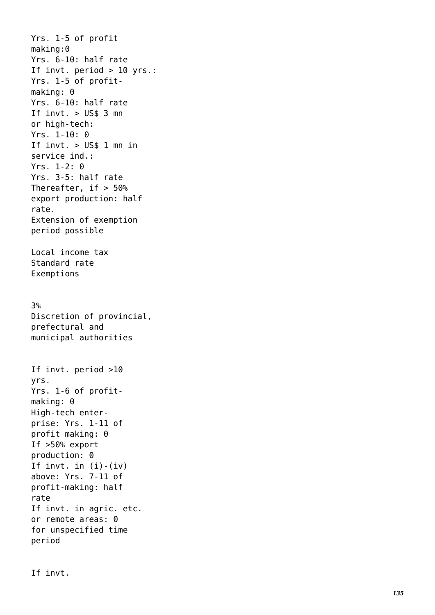Yrs. 1-5 of profit making:0 Yrs. 6-10: half rate If invt. period > 10 yrs.: Yrs. 1-5 of profitmaking: 0 Yrs. 6-10: half rate If  $invt. > US$3$  mn or high-tech: Yrs. 1-10: 0 If  $invt. > US$1$  mn in service ind.: Yrs. 1-2: 0 Yrs. 3-5: half rate Thereafter, if  $> 50\%$ export production: half rate. Extension of exemption period possible Local income tax Standard rate Exemptions 3% Discretion of provincial, prefectural and municipal authorities If invt. period >10 yrs. Yrs. 1-6 of profitmaking: 0 High-tech enterprise: Yrs. 1-11 of profit making: 0 If >50% export production: 0 If invt. in  $(i) - (iv)$ above: Yrs. 7-11 of profit-making: half rate If invt. in agric. etc. or remote areas: 0 for unspecified time period

If invt.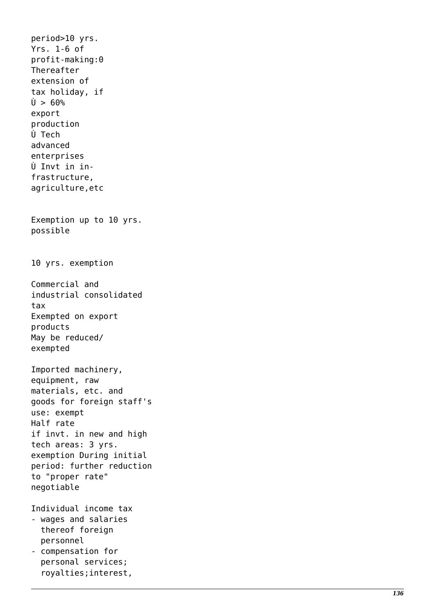period>10 yrs. Yrs. 1-6 of profit-making:0 Thereafter extension of tax holiday, if  $l$  > 60% export production Ù Tech advanced enterprises Ù Invt in infrastructure, agriculture,etc Exemption up to 10 yrs. possible 10 yrs. exemption Commercial and industrial consolidated tax Exempted on export products May be reduced/ exempted Imported machinery, equipment, raw materials, etc. and goods for foreign staff's use: exempt Half rate if invt. in new and high tech areas: 3 yrs. exemption During initial period: further reduction to "proper rate" negotiable Individual income tax - wages and salaries thereof foreign personnel - compensation for personal services; royalties;interest,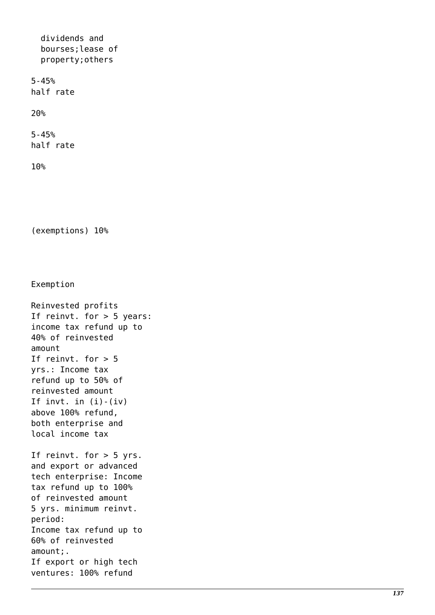dividends and bourses;lease of property;others 5-45% half rate 20%

5-45% half rate

10%

(exemptions) 10%

Exemption

Reinvested profits If reinvt. for > 5 years: income tax refund up to 40% of reinvested amount If reinvt. for  $> 5$ yrs.: Income tax refund up to 50% of reinvested amount If invt. in  $(i) - (iv)$ above 100% refund, both enterprise and local income tax If reinvt. for > 5 yrs. and export or advanced tech enterprise: Income tax refund up to 100% of reinvested amount 5 yrs. minimum reinvt. period: Income tax refund up to 60% of reinvested amount;. If export or high tech ventures: 100% refund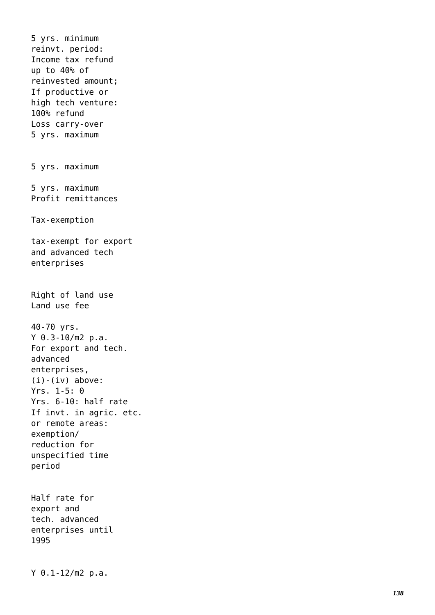5 yrs. minimum reinvt. period: Income tax refund up to 40% of reinvested amount; If productive or high tech venture: 100% refund Loss carry-over 5 yrs. maximum 5 yrs. maximum 5 yrs. maximum Profit remittances Tax-exemption tax-exempt for export and advanced tech enterprises Right of land use Land use fee 40-70 yrs. Y 0.3-10/m2 p.a. For export and tech. advanced enterprises,  $(i) - (iv)$  above: Yrs. 1-5: 0 Yrs. 6-10: half rate If invt. in agric. etc. or remote areas: exemption/ reduction for unspecified time period Half rate for export and tech. advanced enterprises until 1995

Y 0.1-12/m2 p.a.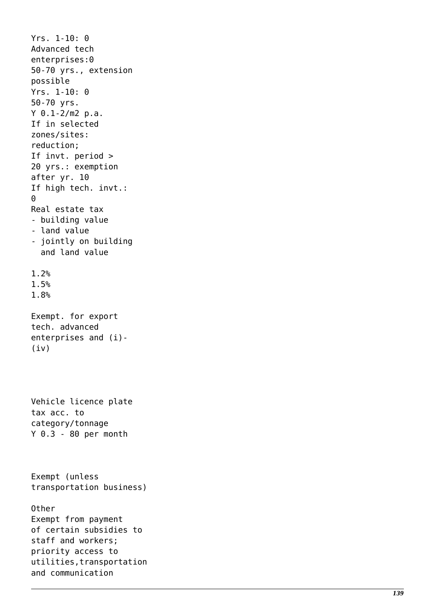```
Yrs. 1-10: 0
Advanced tech
enterprises:0
50-70 yrs., extension
possible
Yrs. 1-10: 0
50-70 yrs.
Y 0.1-2/m2 p.a.
If in selected
zones/sites:
reduction;
If invt. period >
20 yrs.: exemption
after yr. 10
If high tech. invt.: \ThetaReal estate tax
- building value
- land value
- jointly on building
   and land value
1.2%
1.5%
1.8%
Exempt. for export
tech. advanced
enterprises and (i)-
(iv)Vehicle licence plate
tax acc. to
category/tonnage
Y 0.3 - 80 per month
Exempt (unless
transportation business)
Other
Exempt from payment
of certain subsidies to
staff and workers;
priority access to
utilities,transportation
and communication
```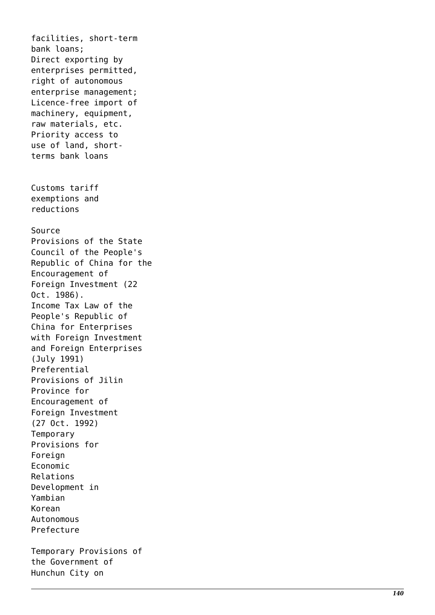facilities, short-term bank loans; Direct exporting by enterprises permitted, right of autonomous enterprise management; Licence-free import of machinery, equipment, raw materials, etc. Priority access to use of land, shortterms bank loans Customs tariff exemptions and reductions Source Provisions of the State Council of the People's Republic of China for the Encouragement of Foreign Investment (22 Oct. 1986). Income Tax Law of the People's Republic of China for Enterprises with Foreign Investment and Foreign Enterprises (July 1991) Preferential Provisions of Jilin Province for Encouragement of Foreign Investment (27 Oct. 1992) Temporary Provisions for Foreign Economic Relations Development in Yambian Korean Autonomous Prefecture Temporary Provisions of the Government of Hunchun City on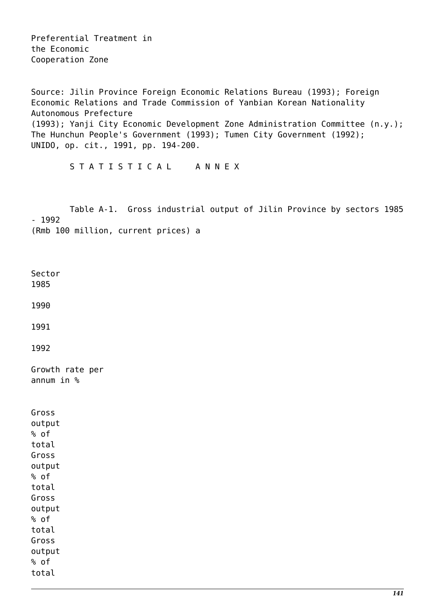Preferential Treatment in the Economic Cooperation Zone

Source: Jilin Province Foreign Economic Relations Bureau (1993); Foreign Economic Relations and Trade Commission of Yanbian Korean Nationality Autonomous Prefecture (1993); Yanji City Economic Development Zone Administration Committee (n.y.); The Hunchun People's Government (1993); Tumen City Government (1992); UNIDO, op. cit., 1991, pp. 194-200.

S T A T I S T I C A L A N N E X

 Table A-1. Gross industrial output of Jilin Province by sectors 1985 - 1992 (Rmb 100 million, current prices) a

Sector 1985

1990

1991

1992

Growth rate per annum in %

| Gross  |
|--------|
| output |
| % of   |
| total  |
| Gross  |
| output |
| % of   |
| total  |
| Gross  |
| output |
| % of   |
| total  |
| Gross  |
| output |
| % of   |
| total  |
|        |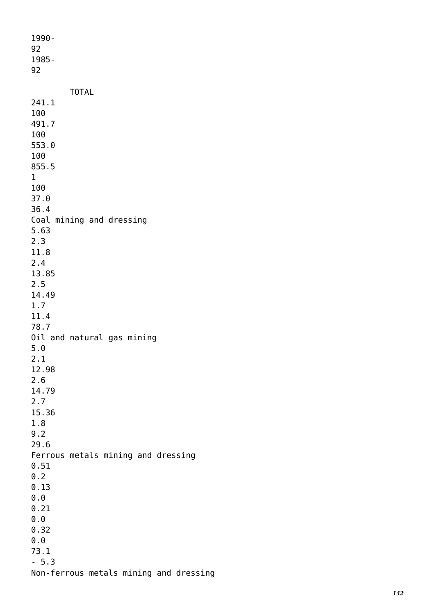1990- 92 1985- 92 TOTAL 241.1 100 491.7 100 553.0 100 855.5 1 100 37.0 36.4 Coal mining and dressing 5.63 2.3 11.8 2.4 13.85 2.5 14.49 1.7 11.4 78.7 Oil and natural gas mining 5.0 2.1 12.98 2.6 14.79 2.7 15.36 1.8 9.2 29.6 Ferrous metals mining and dressing 0.51 0.2 0.13 0.0 0.21 0.0 0.32 0.0 73.1 - 5.3 Non-ferrous metals mining and dressing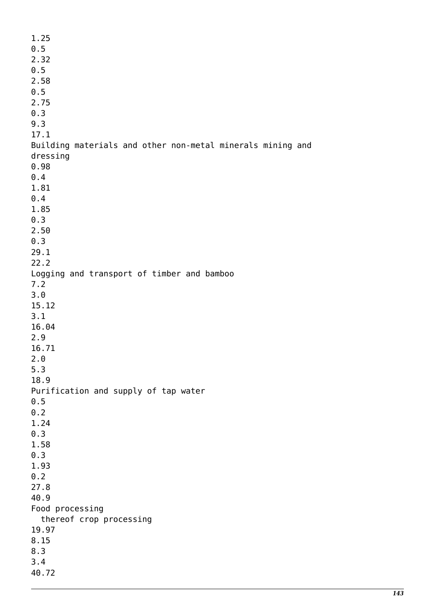1.25 0.5 2.32 0.5 2.58 0.5 2.75 0.3 9.3 17.1 Building materials and other non-metal minerals mining and dressing 0.98 0.4 1.81 0.4 1.85 0.3 2.50 0.3 29.1 22.2 Logging and transport of timber and bamboo 7.2 3.0 15.12 3.1 16.04 2.9 16.71 2.0 5.3 18.9 Purification and supply of tap water 0.5  $0.2$ 1.24 0.3 1.58 0.3 1.93 0.2 27.8 40.9 Food processing thereof crop processing 19.97 8.15 8.3 3.4 40.72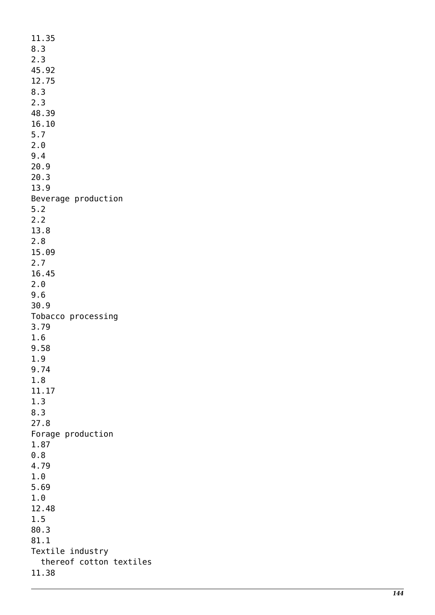11.35 8.3 2.3 45.92 12.75 8.3 2.3 48.39 16.10 5.7 2.0 9.4 20.9 20.3 13.9 Beverage production 5.2 2.2 13.8 2.8 15.09 2.7 16.45 2.0 9.6 30.9 Tobacco processing 3.79 1.6 9.58 1.9 9.74 1.8 11.17 1.3 8.3 27.8 Forage production 1.87 0.8 4.79 1.0 5.69 1.0 12.48 1.5 80.3 81.1 Textile industry thereof cotton textiles 11.38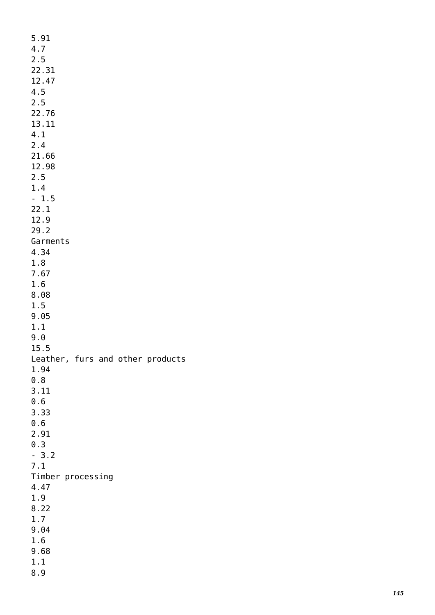5.91 4.7 2.5 22.31 12.47 4.5 2.5 22.76 13.11 4.1 2.4 21.66 12.98 2.5 1.4 - 1.5 22.1 12.9 29.2 Garments 4.34 1.8 7.67 1.6 8.08 1.5 9.05 1.1 9.0 15.5 Leather, furs and other products 1.94 0.8 3.11 0.6 3.33 0.6 2.91 0.3 - 3.2 7.1 Timber processing 4.47 1.9 8.22 1.7 9.04 1.6 9.68 1.1 8.9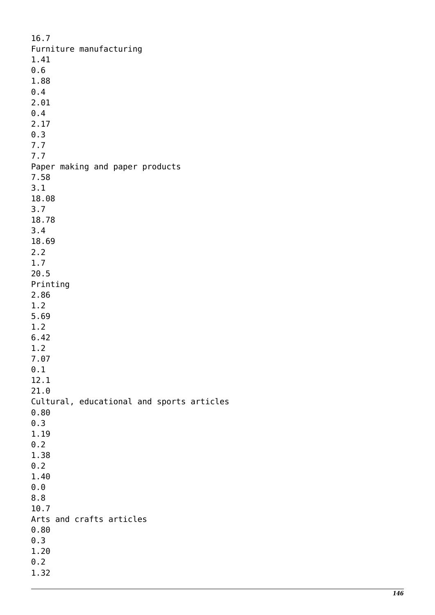16.7 Furniture manufacturing 1.41 0.6 1.88 0.4 2.01 0.4 2.17 0.3 7.7 7.7 Paper making and paper products 7.58 3.1 18.08 3.7 18.78 3.4 18.69 2.2 1.7 20.5 Printing 2.86 1.2 5.69 1.2 6.42 1.2 7.07 0.1 12.1 21.0 Cultural, educational and sports articles 0.80 0.3 1.19 0.2 1.38 0.2 1.40 0.0 8.8 10.7 Arts and crafts articles 0.80 0.3 1.20 0.2 1.32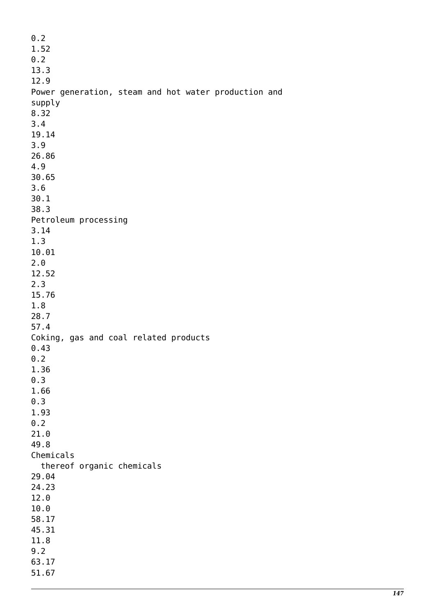0.2 1.52  $0.2$ 13.3 12.9 Power generation, steam and hot water production and supply 8.32 3.4 19.14 3.9 26.86 4.9 30.65 3.6 30.1 38.3 Petroleum processing 3.14 1.3 10.01 2.0 12.52 2.3 15.76 1.8 28.7 57.4 Coking, gas and coal related products 0.43  $0.2$ 1.36 0.3 1.66 0.3 1.93 0.2 21.0 49.8 Chemicals thereof organic chemicals 29.04 24.23 12.0 10.0 58.17 45.31 11.8 9.2 63.17 51.67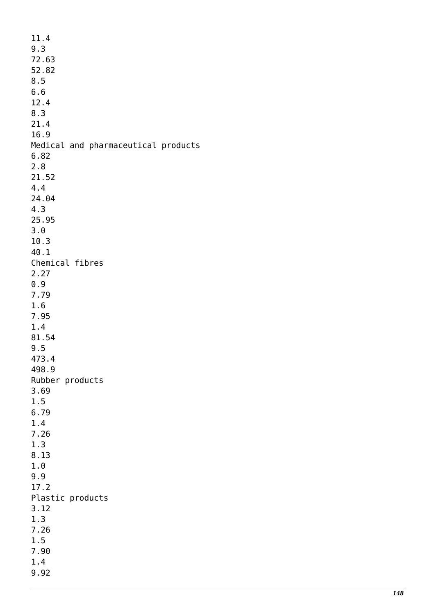| 11.4                                |
|-------------------------------------|
| 9.3                                 |
| 72.63                               |
| 52.82                               |
| 8.5                                 |
| 6.6                                 |
| 12.4                                |
| 8.3                                 |
| 21.4                                |
| 16.9                                |
| Medical and pharmaceutical products |
| 6.82                                |
| 2.8                                 |
| 21.52                               |
| 4.4                                 |
| 24.04                               |
| 4.3                                 |
| 25.95                               |
| 3.0                                 |
| 10.3                                |
| 40.1                                |
| Chemical fibres                     |
|                                     |
| 2.27                                |
| 0.9                                 |
| 7.79                                |
| 1.6                                 |
| 7.95                                |
| 1.4                                 |
| 81.54                               |
| 9.5                                 |
| 473.4                               |
| 498.9                               |
| Rubber products                     |
| 3.69                                |
| 1.5                                 |
| 6.79                                |
| 1.4                                 |
| 7.26                                |
| 1.3                                 |
| 8.13                                |
| 1.0                                 |
| 9.9                                 |
| 17.2                                |
| Plastic products                    |
| 3.12                                |
| 1.3                                 |
| 7.26                                |
| 1.5                                 |
| 7.90                                |
| 1.4                                 |
| 9.92                                |
|                                     |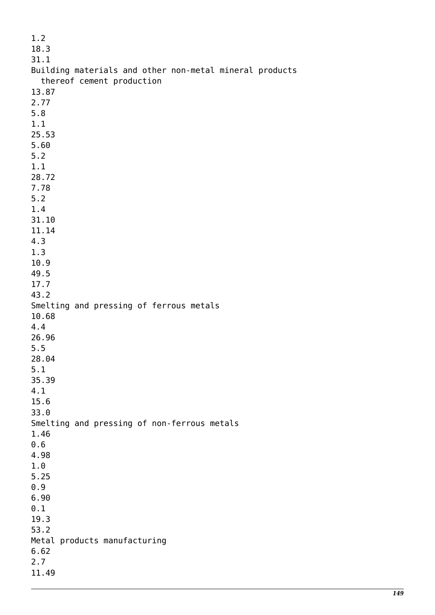| 1.2                                                     |
|---------------------------------------------------------|
| 18.3                                                    |
| 31.1                                                    |
| Building materials and other non-metal mineral products |
| thereof cement production                               |
| 13.87                                                   |
| 2.77                                                    |
| 5.8                                                     |
| 1.1                                                     |
| 25.53                                                   |
| 5.60                                                    |
| 5.2                                                     |
| 1.1                                                     |
| 28.72                                                   |
| 7.78                                                    |
| 5.2                                                     |
| 1.4                                                     |
| 31.10                                                   |
| 11.14                                                   |
| 4.3                                                     |
| 1.3                                                     |
| 10.9                                                    |
| 49.5                                                    |
| 17.7                                                    |
| 43.2                                                    |
| Smelting and pressing of ferrous metals<br>10.68        |
| 4.4                                                     |
| 26.96                                                   |
| 5.5                                                     |
| 28.04                                                   |
| 5.1                                                     |
| 35.39                                                   |
| 4.1                                                     |
| 15.6                                                    |
| 33.0                                                    |
| Smelting and pressing of non-ferrous metals             |
| 1.46                                                    |
| 0.6                                                     |
| 4.98                                                    |
| 1.0                                                     |
| 5.25                                                    |
| 0.9                                                     |
| 6.90                                                    |
| 0.1                                                     |
| 19.3                                                    |
| 53.2                                                    |
| Metal products manufacturing                            |
| 6.62                                                    |
| 2.7                                                     |
| 11.49                                                   |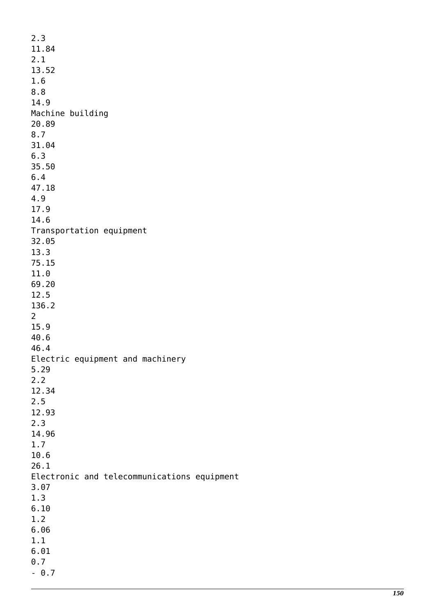| 2.3                                         |  |
|---------------------------------------------|--|
| 11.84                                       |  |
| 2.1                                         |  |
| 13.52                                       |  |
| 1.6                                         |  |
| 8.8                                         |  |
| 14.9                                        |  |
| Machine building                            |  |
| 20.89                                       |  |
| 8.7                                         |  |
| 31.04                                       |  |
| 6.3                                         |  |
| 35.50                                       |  |
| 6.4                                         |  |
| 47.18                                       |  |
| 4.9                                         |  |
| 17.9<br>14.6                                |  |
|                                             |  |
| Transportation equipment<br>32.05           |  |
| 13.3                                        |  |
| 75.15                                       |  |
| 11.0                                        |  |
| 69.20                                       |  |
| 12.5                                        |  |
| 136.2                                       |  |
| $\overline{2}$                              |  |
| 15.9                                        |  |
| 40.6                                        |  |
| 46.4                                        |  |
| Electric equipment and machinery            |  |
| 5.29                                        |  |
| 2.2                                         |  |
| 12.34                                       |  |
| 2.5                                         |  |
| 12.93                                       |  |
| 2.3                                         |  |
| 14.96                                       |  |
| 1.7                                         |  |
| 10.6                                        |  |
| 26.1                                        |  |
| Electronic and telecommunications equipment |  |
| 3.07                                        |  |
| 1.3                                         |  |
| 6.10                                        |  |
| 1.2                                         |  |
| 6.06                                        |  |
| 1.1                                         |  |
| 6.01                                        |  |
| 0.7                                         |  |
| $-0.7$                                      |  |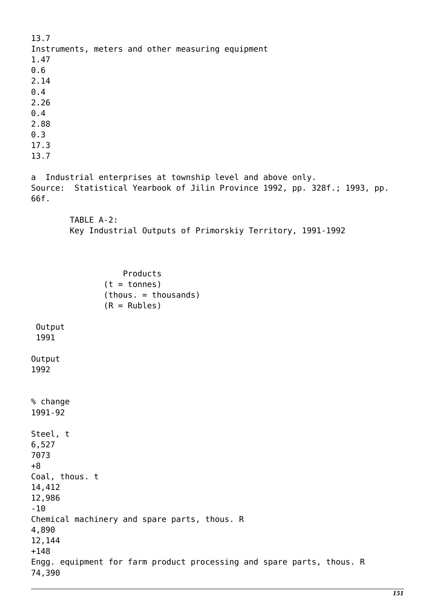13.7 Instruments, meters and other measuring equipment 1.47 0.6 2.14 0.4 2.26  $0.4$ 2.88 0.3 17.3 13.7 a Industrial enterprises at township level and above only. Source: Statistical Yearbook of Jilin Province 1992, pp. 328f.; 1993, pp. 66f. TABLE A-2: Key Industrial Outputs of Primorskiy Territory, 1991-1992 Products  $(t = tonnes)$  (thous. = thousands)  $(R = Rubles)$  Output 1991 Output 1992 % change 1991-92 Steel, t 6,527 7073 +8 Coal, thous. t 14,412 12,986  $-10$ Chemical machinery and spare parts, thous. R 4,890 12,144 +148 Engg. equipment for farm product processing and spare parts, thous. R 74,390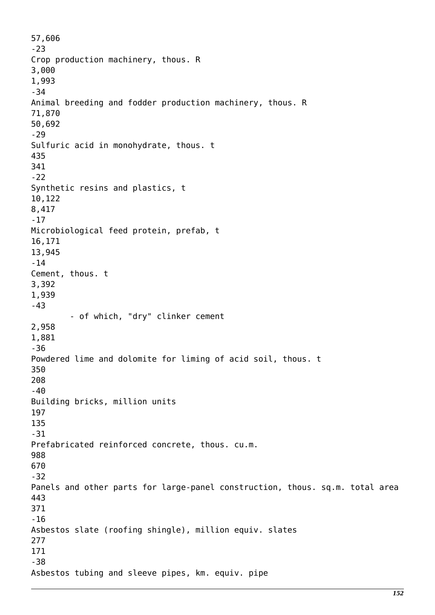57,606 -23 Crop production machinery, thous. R 3,000 1,993 -34 Animal breeding and fodder production machinery, thous. R 71,870 50,692 -29 Sulfuric acid in monohydrate, thous. t 435 341 -22 Synthetic resins and plastics, t 10,122 8,417 -17 Microbiological feed protein, prefab, t 16,171 13,945 -14 Cement, thous. t 3,392 1,939 -43 - of which, "dry" clinker cement 2,958 1,881 -36 Powdered lime and dolomite for liming of acid soil, thous. t 350 208 -40 Building bricks, million units 197 135 -31 Prefabricated reinforced concrete, thous. cu.m. 988 670 -32 Panels and other parts for large-panel construction, thous. sq.m. total area 443 371 -16 Asbestos slate (roofing shingle), million equiv. slates 277 171 -38 Asbestos tubing and sleeve pipes, km. equiv. pipe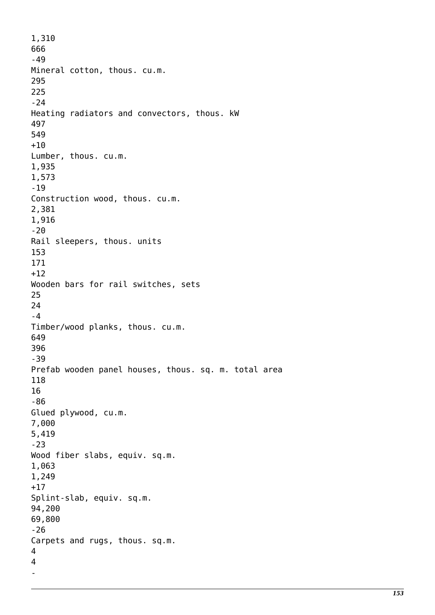1,310 666 -49 Mineral cotton, thous. cu.m. 295 225  $-24$ Heating radiators and convectors, thous. kW 497 549  $+10$ Lumber, thous. cu.m. 1,935 1,573 -19 Construction wood, thous. cu.m. 2,381 1,916 -20 Rail sleepers, thous. units 153 171  $+12$ Wooden bars for rail switches, sets 25 24 -4 Timber/wood planks, thous. cu.m. 649 396 -39 Prefab wooden panel houses, thous. sq. m. total area 118 16 -86 Glued plywood, cu.m. 7,000 5,419 -23 Wood fiber slabs, equiv. sq.m. 1,063 1,249 +17 Splint-slab, equiv. sq.m. 94,200 69,800 -26 Carpets and rugs, thous. sq.m. 4 4 -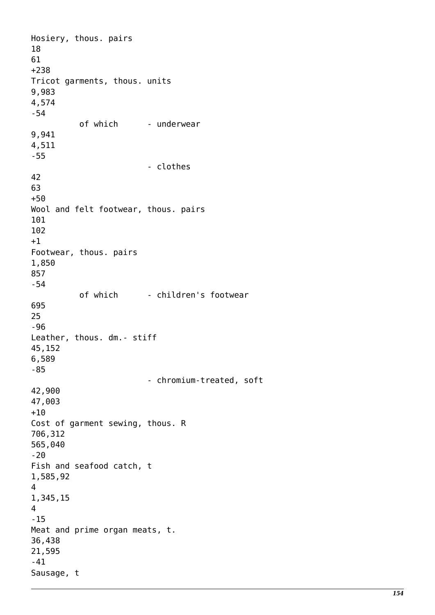Hosiery, thous. pairs 18 61 +238 Tricot garments, thous. units 9,983 4,574 -54 of which - underwear 9,941 4,511 -55 - clothes 42 63 +50 Wool and felt footwear, thous. pairs 101 102 +1 Footwear, thous. pairs 1,850 857 -54 of which - children's footwear 695 25 -96 Leather, thous. dm.- stiff 45,152 6,589 -85 - chromium-treated, soft 42,900 47,003  $+10$ Cost of garment sewing, thous. R 706,312 565,040  $-20$ Fish and seafood catch, t 1,585,92 4 1,345,15 4 -15 Meat and prime organ meats, t. 36,438 21,595 -41 Sausage, t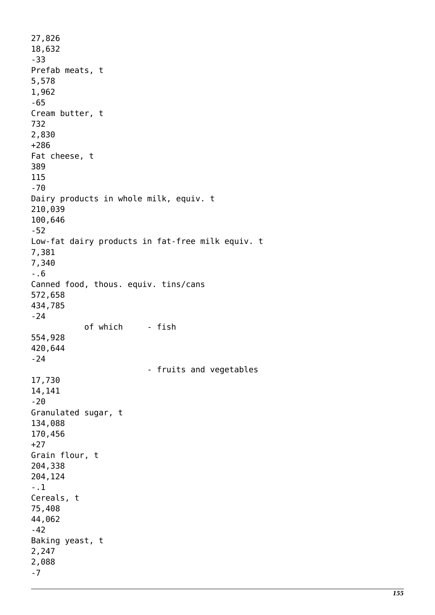27,826 18,632 -33 Prefab meats, t 5,578 1,962 -65 Cream butter, t 732 2,830 +286 Fat cheese, t 389 115 -70 Dairy products in whole milk, equiv. t 210,039 100,646 -52 Low-fat dairy products in fat-free milk equiv. t 7,381 7,340 -.6 Canned food, thous. equiv. tins/cans 572,658 434,785 -24 of which - fish 554,928 420,644 -24 - fruits and vegetables 17,730 14,141 -20 Granulated sugar, t 134,088 170,456 +27 Grain flour, t 204,338 204,124 -.1 Cereals, t 75,408 44,062 -42 Baking yeast, t 2,247 2,088 -7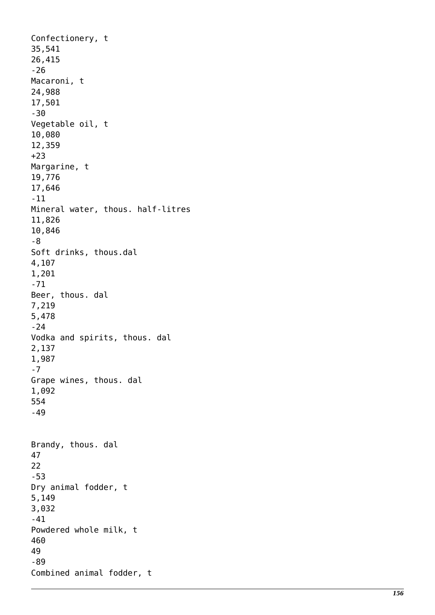Confectionery, t 35,541 26,415 -26 Macaroni, t 24,988 17,501 -30 Vegetable oil, t 10,080 12,359 +23 Margarine, t 19,776 17,646 -11 Mineral water, thous. half-litres 11,826 10,846 -8 Soft drinks, thous.dal 4,107 1,201 -71 Beer, thous. dal 7,219 5,478 -24 Vodka and spirits, thous. dal 2,137 1,987 -7 Grape wines, thous. dal 1,092 554 -49 Brandy, thous. dal 47 22 -53 Dry animal fodder, t 5,149 3,032 -41 Powdered whole milk, t 460 49 -89 Combined animal fodder, t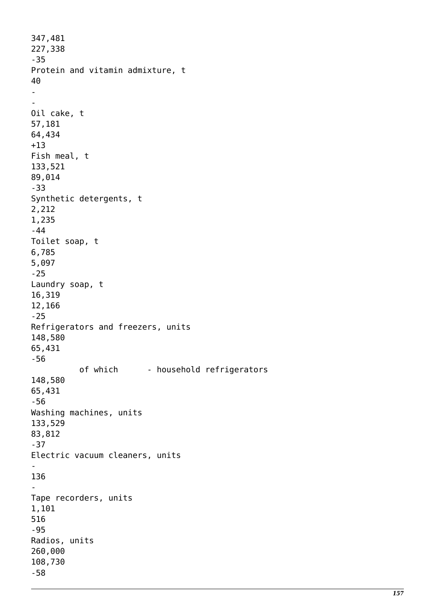```
347,481
227,338
-35
Protein and vitamin admixture, t
40
-
-
Oil cake, t
57,181
64,434
+13
Fish meal, t
133,521
89,014
-33
Synthetic detergents, t
2,212
1,235
-44
Toilet soap, t
6,785
5,097
-25
Laundry soap, t
16,319
12,166
-25
Refrigerators and freezers, units
148,580
65,431
-56
          of which - household refrigerators
148,580
65,431
-56
Washing machines, units
133,529
83,812
-37
Electric vacuum cleaners, units
-
136
-
Tape recorders, units
1,101
516
-95
Radios, units
260,000
108,730
-58
```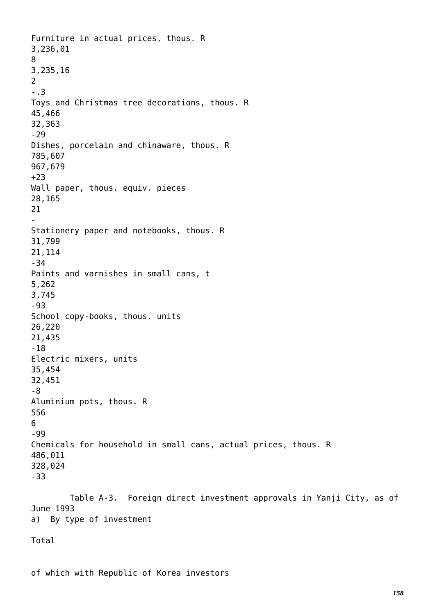Furniture in actual prices, thous. R 3,236,01 8 3,235,16  $\overline{2}$ -.3 Toys and Christmas tree decorations, thous. R 45,466 32,363 -29 Dishes, porcelain and chinaware, thous. R 785,607 967,679 +23 Wall paper, thous. equiv. pieces 28,165 21 - Stationery paper and notebooks, thous. R 31,799 21,114 -34 Paints and varnishes in small cans, t 5,262 3,745 -93 School copy-books, thous. units 26,220 21,435 -18 Electric mixers, units 35,454 32,451 -8 Aluminium pots, thous. R 556 6  $-99$ Chemicals for household in small cans, actual prices, thous. R 486,011 328,024 -33 Table A-3. Foreign direct investment approvals in Yanji City, as of June 1993 a) By type of investment

Total

of which with Republic of Korea investors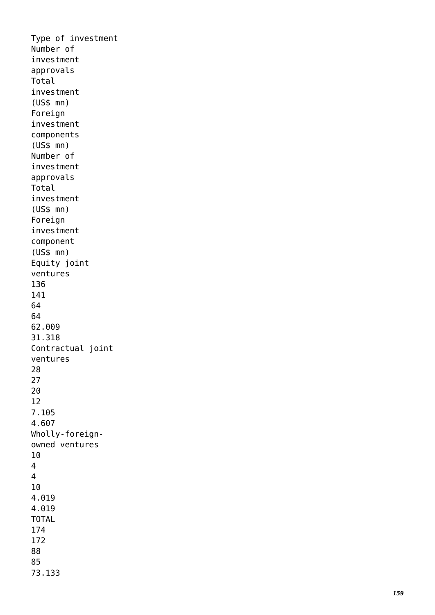Type of investment Number of investment approvals Total investment (US\$ mn) Foreign investment components (US\$ mn) Number of investment approvals Total investment (US\$ mn) Foreign investment component (US\$ mn) Equity joint ventures 136 141 64 64 62.009 31.318 Contractual joint ventures 28 27 20 12 7.105 4.607 Wholly-foreignowned ventures 10<br>4<br>4 10 4.019 4.019 TOTAL 174 172 88 85 73.133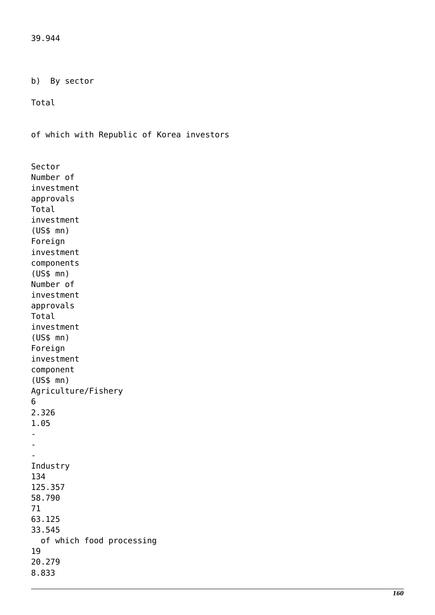39.944

b) By sector

Total

of which with Republic of Korea investors

Sector Number of investment approvals Total investment (US\$ mn) Foreign investment components (US\$ mn) Number of investment approvals Total investment (US\$ mn) Foreign investment component (US\$ mn) Agriculture/Fishery 6 2.326 1.05 - - - Industry 134 125.357 58.790 71 63.125 33.545 of which food processing 19 20.279 8.833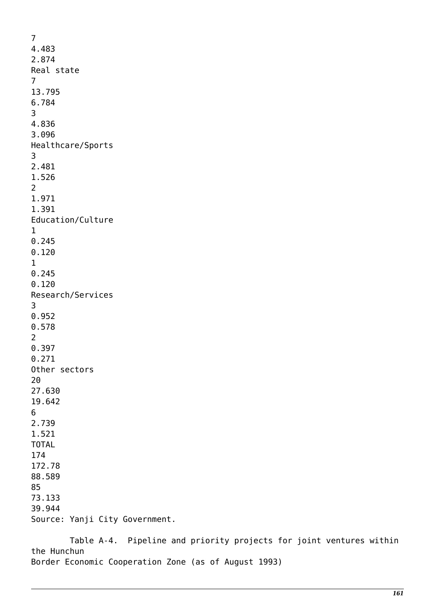7 4.483 2.874 Real state 7 13.795 6.784 3 4.836 3.096 Healthcare/Sports 3 2.481 1.526 2 1.971 1.391 Education/Culture 1 0.245 0.120 1 0.245 0.120 Research/Services 3 0.952 0.578 2 0.397 0.271 Other sectors 20 27.630 19.642 6 2.739 1.521 TOTAL 174 172.78 88.589 85 73.133 39.944 Source: Yanji City Government.

 Table A-4. Pipeline and priority projects for joint ventures within the Hunchun Border Economic Cooperation Zone (as of August 1993)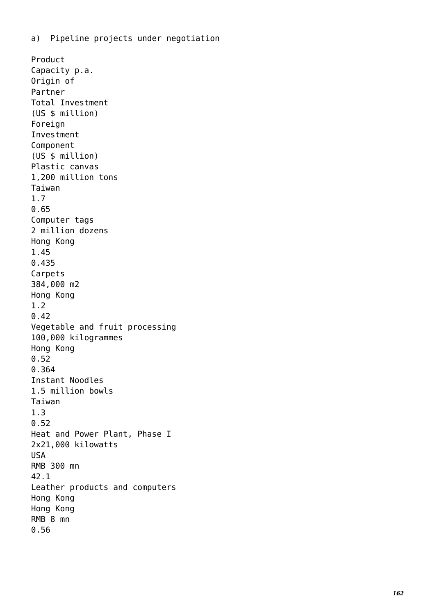Product Capacity p.a. Origin of Partner Total Investment (US \$ million) Foreign Investment Component (US \$ million) Plastic canvas 1,200 million tons Taiwan 1.7 0.65 Computer tags 2 million dozens Hong Kong 1.45 0.435 Carpets 384,000 m2 Hong Kong 1.2 0.42 Vegetable and fruit processing 100,000 kilogrammes Hong Kong 0.52 0.364 Instant Noodles 1.5 million bowls Taiwan 1.3 0.52 Heat and Power Plant, Phase I 2x21,000 kilowatts USA RMB 300 mn 42.1 Leather products and computers Hong Kong Hong Kong RMB 8 mn 0.56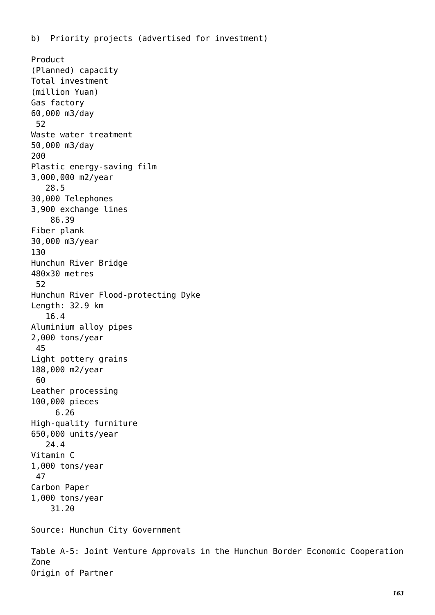Product (Planned) capacity Total investment (million Yuan) Gas factory 60,000 m3/day 52 Waste water treatment 50,000 m3/day 200 Plastic energy-saving film 3,000,000 m2/year 28.5 30,000 Telephones 3,900 exchange lines 86.39 Fiber plank 30,000 m3/year 130 Hunchun River Bridge 480x30 metres 52 Hunchun River Flood-protecting Dyke Length: 32.9 km 16.4 Aluminium alloy pipes 2,000 tons/year 45 Light pottery grains 188,000 m2/year 60 Leather processing 100,000 pieces 6.26 High-quality furniture 650,000 units/year 24.4 Vitamin C 1,000 tons/year 47 Carbon Paper 1,000 tons/year 31.20 Source: Hunchun City Government Table A-5: Joint Venture Approvals in the Hunchun Border Economic Cooperation Zone

Origin of Partner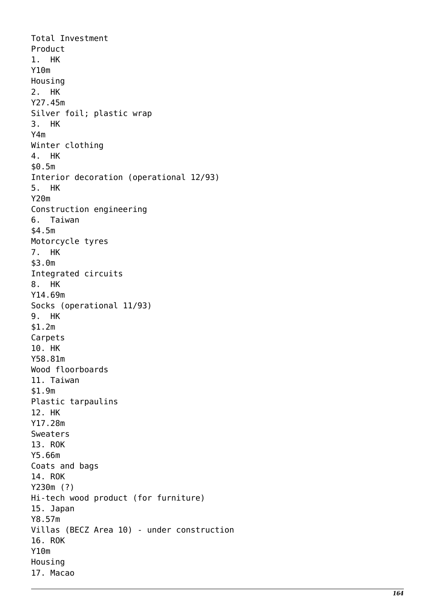Total Investment Product 1. HK Y10m Housing 2. HK Y27.45m Silver foil; plastic wrap 3. HK Y4m Winter clothing 4. HK \$0.5m Interior decoration (operational 12/93) 5. HK Y20m Construction engineering 6. Taiwan \$4.5m Motorcycle tyres 7. HK \$3.0m Integrated circuits 8. HK Y14.69m Socks (operational 11/93) 9. HK \$1.2m Carpets 10. HK Y58.81m Wood floorboards 11. Taiwan \$1.9m Plastic tarpaulins 12. HK Y17.28m Sweaters 13. ROK Y5.66m Coats and bags 14. ROK Y230m (?) Hi-tech wood product (for furniture) 15. Japan Y8.57m Villas (BECZ Area 10) - under construction 16. ROK Y10m Housing 17. Macao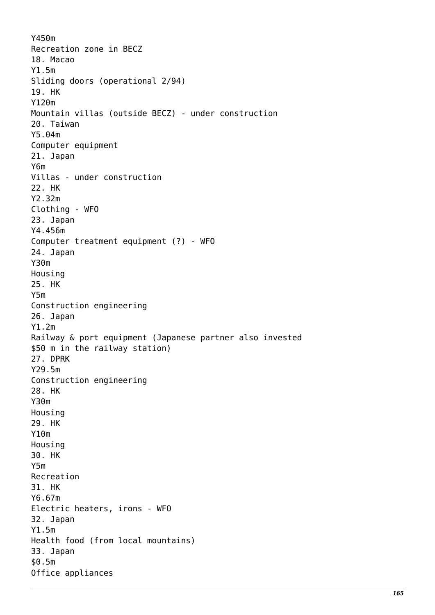Y450m Recreation zone in BECZ 18. Macao Y1.5m Sliding doors (operational 2/94) 19. HK Y120m Mountain villas (outside BECZ) - under construction 20. Taiwan Y5.04m Computer equipment 21. Japan Y6m Villas - under construction 22. HK Y2.32m Clothing - WFO 23. Japan Y4.456m Computer treatment equipment (?) - WFO 24. Japan Y30m Housing 25. HK Y5m Construction engineering 26. Japan Y1.2m Railway & port equipment (Japanese partner also invested \$50 m in the railway station) 27. DPRK Y29.5m Construction engineering 28. HK Y30m Housing 29. HK Y10m Housing 30. HK Y5m Recreation 31. HK Y6.67m Electric heaters, irons - WFO 32. Japan Y1.5m Health food (from local mountains) 33. Japan \$0.5m Office appliances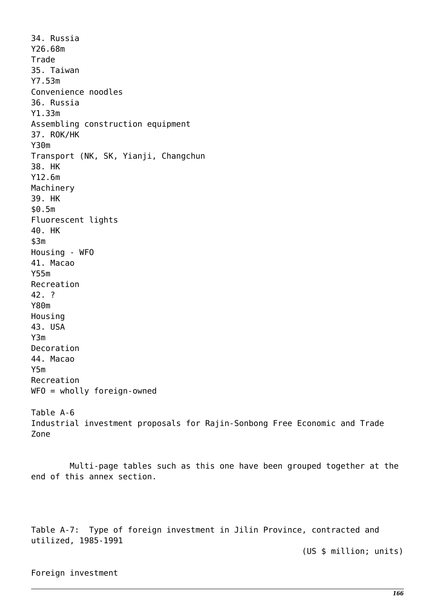34. Russia Y26.68m Trade 35. Taiwan Y7.53m Convenience noodles 36. Russia Y1.33m Assembling construction equipment 37. ROK/HK Y30m Transport (NK, SK, Yianji, Changchun 38. HK Y12.6m Machinery 39. HK \$0.5m Fluorescent lights 40. HK  $$3m$ Housing - WFO 41. Macao Y55m Recreation 42. ? Y80m Housing 43. USA Y3m Decoration 44. Macao Y5m Recreation WFO = wholly foreign-owned Table A-6 Industrial investment proposals for Rajin-Sonbong Free Economic and Trade Zone

 Multi-page tables such as this one have been grouped together at the end of this annex section.

Table A-7: Type of foreign investment in Jilin Province, contracted and utilized, 1985-1991

(US \$ million; units)

Foreign investment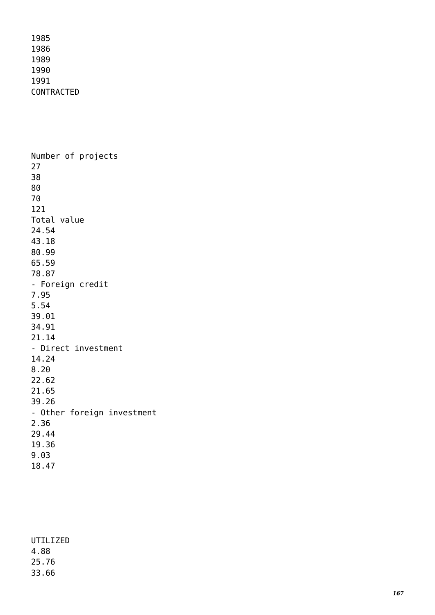Number of projects 27 38 80 70 121 Total value 24.54 43.18 80.99 65.59 78.87 - Foreign credit 7.95 5.54 39.01 34.91 21.14 - Direct investment 14.24 8.20 22.62 21.65 39.26 - Other foreign investment 2.36 29.44 19.36 9.03 18.47

| UTILIZED |
|----------|
| 4.88     |
| 25.76    |
| 33.66    |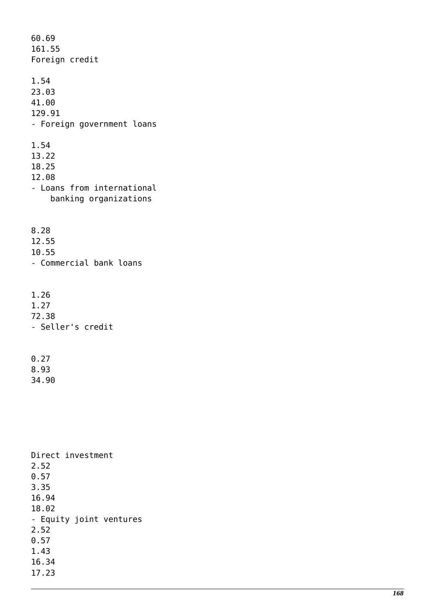60.69 161.55 Foreign credit 1.54 23.03 41.00 129.91 - Foreign government loans 1.54 13.22 18.25 12.08 - Loans from international banking organizations 8.28 12.55 10.55 - Commercial bank loans 1.26 1.27 72.38 - Seller's credit 0.27 8.93

Direct investment 2.52 0.57 3.35 16.94 18.02 - Equity joint ventures 2.52 0.57 1.43 16.34 17.23

34.90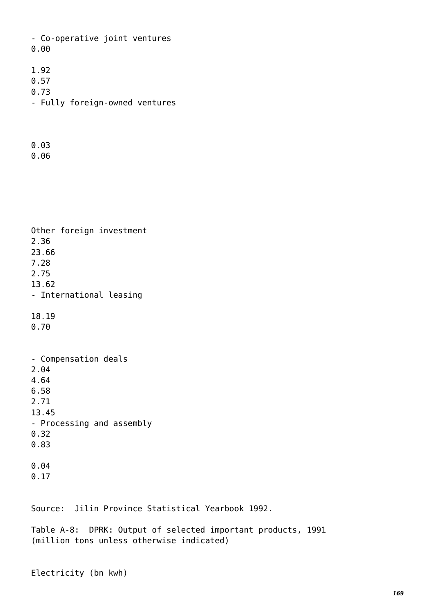- Co-operative joint ventures 0.00

- 1.92
- 0.57
- 0.73
- Fully foreign-owned ventures
- 0.03
- 0.06

Other foreign investment 2.36 23.66 7.28 2.75 13.62 - International leasing 18.19 0.70 - Compensation deals 2.04 4.64 6.58 2.71 13.45 - Processing and assembly 0.32 0.83 0.04 0.17

Source: Jilin Province Statistical Yearbook 1992.

Table A-8: DPRK: Output of selected important products, 1991 (million tons unless otherwise indicated)

Electricity (bn kwh)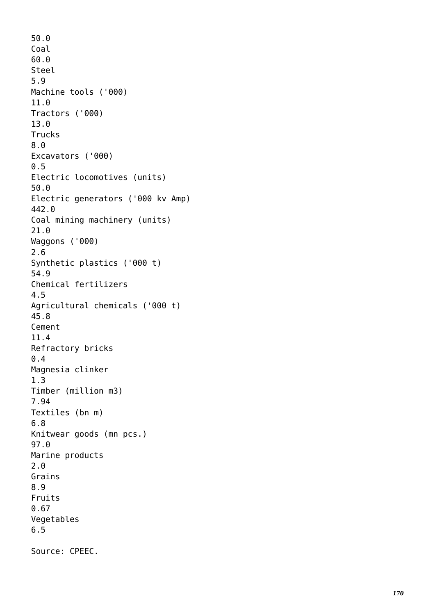50.0 Coal 60.0 Steel 5.9 Machine tools ('000) 11.0 Tractors ('000) 13.0 Trucks 8.0 Excavators ('000) 0.5 Electric locomotives (units) 50.0 Electric generators ('000 kv Amp) 442.0 Coal mining machinery (units) 21.0 Waggons ('000) 2.6 Synthetic plastics ('000 t) 54.9 Chemical fertilizers 4.5 Agricultural chemicals ('000 t) 45.8 Cement 11.4 Refractory bricks 0.4 Magnesia clinker 1.3 Timber (million m3) 7.94 Textiles (bn m) 6.8 Knitwear goods (mn pcs.) 97.0 Marine products 2.0 Grains 8.9 Fruits 0.67 Vegetables 6.5 Source: CPEEC.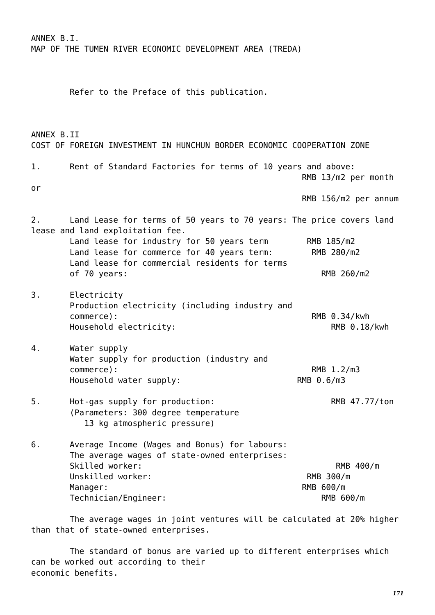ANNEX B.I. MAP OF THE TUMEN RIVER ECONOMIC DEVELOPMENT AREA (TREDA) Refer to the Preface of this publication. ANNEX B.II COST OF FOREIGN INVESTMENT IN HUNCHUN BORDER ECONOMIC COOPERATION ZONE 1. Rent of Standard Factories for terms of 10 years and above: RMB 13/m2 per month or RMB 156/m2 per annum 2. Land Lease for terms of 50 years to 70 years: The price covers land lease and land exploitation fee. Land lease for industry for 50 years term RMB 185/m2 Land lease for commerce for 40 years term: RMB 280/m2 Land lease for commercial residents for terms of 70 years: RMB 260/m2 3. Electricity Production electricity (including industry and commerce): RMB 0.34/kwh Household electricity:  $RMB 0.18/kwh$ 4. Water supply Water supply for production (industry and commerce): RMB 1.2/m3 Household water supply: RMB 0.6/m3 5. Hot-gas supply for production: RMB 47.77/ton (Parameters: 300 degree temperature 13 kg atmospheric pressure) 6. Average Income (Wages and Bonus) for labours: The average wages of state-owned enterprises: Skilled worker:  $RMB$  400/m Unskilled worker: Note and the set of the RMB 300/m Manager: RMB 600/m Technician/Engineer: RMB 600/m

 The average wages in joint ventures will be calculated at 20% higher than that of state-owned enterprises.

 The standard of bonus are varied up to different enterprises which can be worked out according to their economic benefits.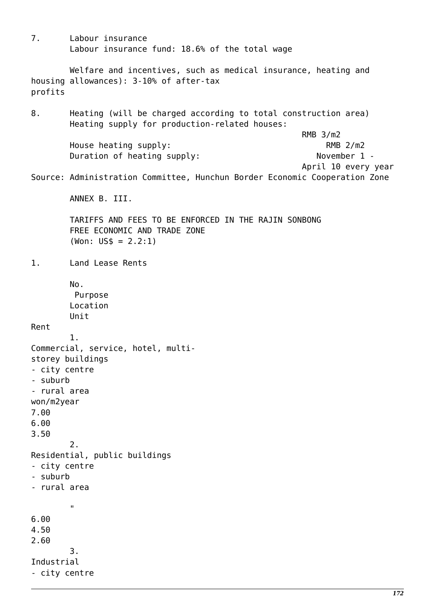7. Labour insurance Labour insurance fund: 18.6% of the total wage Welfare and incentives, such as medical insurance, heating and housing allowances): 3-10% of after-tax profits 8. Heating (will be charged according to total construction area) Heating supply for production-related houses: RMB 3/m2 House heating supply: RMB 2/m2 Duration of heating supply: November 1 - April 10 every year Source: Administration Committee, Hunchun Border Economic Cooperation Zone ANNEX B. III. TARIFFS AND FEES TO BE ENFORCED IN THE RAJIN SONBONG FREE ECONOMIC AND TRADE ZONE  $(Won: US$ = 2.2:1)$ 1. Land Lease Rents No. Purpose Location Unit Rent 1. Commercial, service, hotel, multistorey buildings - city centre - suburb - rural area won/m2year 7.00 6.00 3.50 2. Residential, public buildings - city centre - suburb - rural area " 6.00 4.50 2.60 3. Industrial - city centre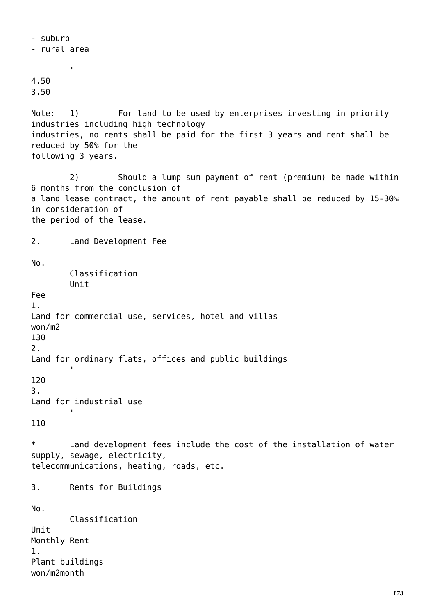- suburb - rural area " 4.50 3.50 Note: 1) For land to be used by enterprises investing in priority industries including high technology industries, no rents shall be paid for the first 3 years and rent shall be reduced by 50% for the following 3 years. 2) Should a lump sum payment of rent (premium) be made within 6 months from the conclusion of a land lease contract, the amount of rent payable shall be reduced by 15-30% in consideration of the period of the lease. 2. Land Development Fee No. Classification Unit Fee 1. Land for commercial use, services, hotel and villas won/m2 130 2. Land for ordinary flats, offices and public buildings " 120 3. Land for industrial use " 110 \* Land development fees include the cost of the installation of water supply, sewage, electricity, telecommunications, heating, roads, etc. 3. Rents for Buildings No. Classification Unit Monthly Rent 1. Plant buildings won/m2month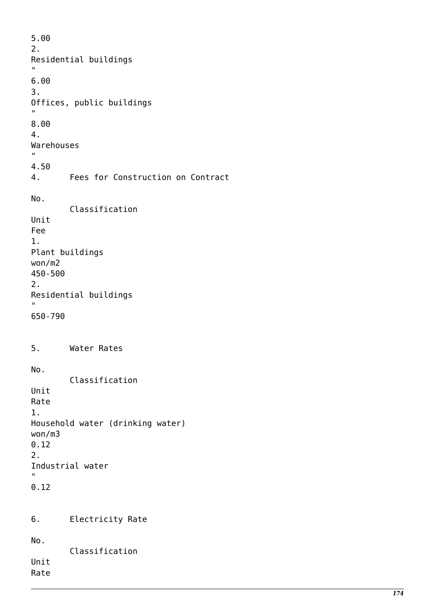5.00 2. Residential buildings ., 6.00 3. Offices, public buildings " 8.00 4. Warehouses ., 4.50 4. Fees for Construction on Contract No. Classification Unit Fee 1. Plant buildings won/m2 450-500 2. Residential buildings " 650-790 5. Water Rates No. Classification Unit Rate 1. Household water (drinking water) won/m3 0.12 2. Industrial water .<br>" 0.12 6. Electricity Rate No. Classification Unit Rate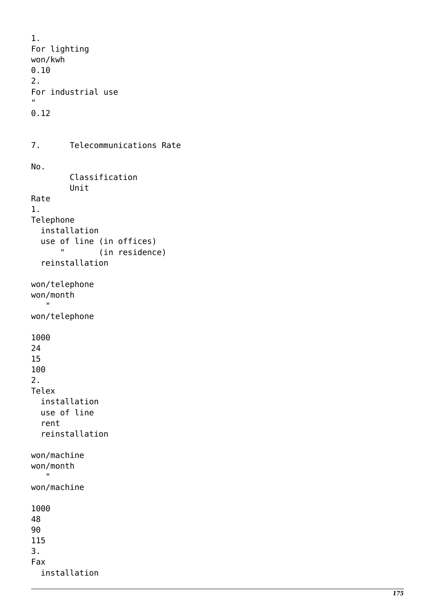```
1.
For lighting
won/kwh
0.10
2.
For industrial use .<br>"
0.12
7. Telecommunications Rate
No.
         Classification
         Unit
Rate
1.
Telephone
   installation
   use of line (in offices)
       " (in residence)
   reinstallation
won/telephone
won/month
   \mathbf{u}won/telephone
1000
24
15
100
2.
Telex
   installation
   use of line
   rent
   reinstallation
won/machine
won/month
    "
won/machine
1000
48
90
115
3.
Fax
   installation
```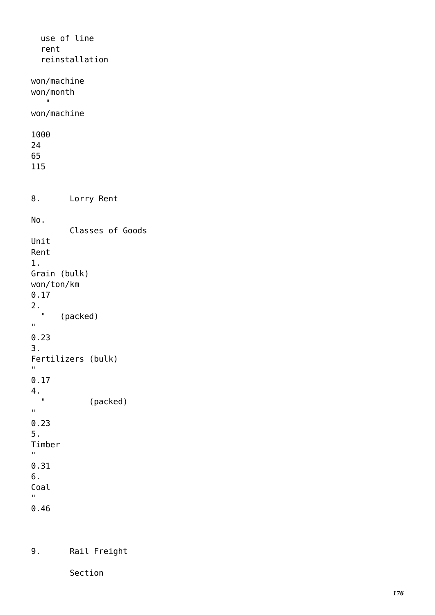use of line rent reinstallation won/machine won/month  $\mathbf{u}$ won/machine 1000 24 65 115 8. Lorry Rent No. Classes of Goods Unit Rent 1. Grain (bulk) won/ton/km 0.17 2. " (packed) .<br>" 0.23 3. Fertilizers (bulk)  $^{\prime}$ 0.17 4. " (packed)  $\mathbf{u}$ 0.23 5. Timber  $\bar{\mathbf{u}}$ 0.31 6. Coal  $\mathbf{u}$ 0.46

9. Rail Freight

Section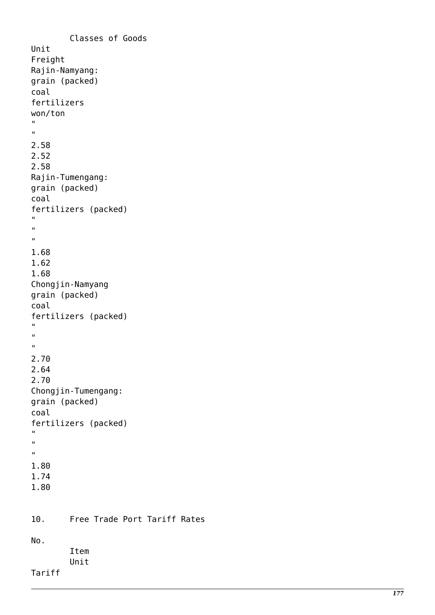```
 Classes of Goods
Unit
Freight
Rajin-Namyang:
grain (packed)
coal
fertilizers
won/ton ""
2.58
2.52
2.58
Rajin-Tumengang:
grain (packed)
coal
fertilizers (packed) \mathbf{u}"<br>""
\mathbf{u}\mathbf{u}1.68
1.62
1.68
Chongjin-Namyang
grain (packed)
coal
fertilizers (packed) \mathbf{u}"<br>""
\mathbf{u}\mathbf{u}2.70
2.64
2.70
Chongjin-Tumengang:
grain (packed)
coal
fertilizers (packed) \mathbf{u}"<br>""
\mathbf{u}\hat{\mathbf{u}}1.80
1.74
1.80
10. Free Trade Port Tariff Rates
No.
           Item
           Unit
Tariff
```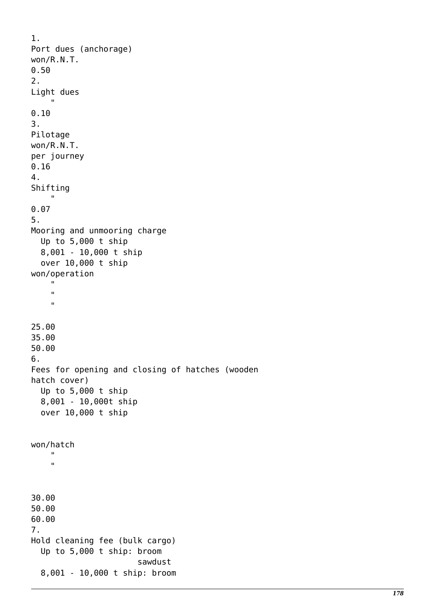```
1.
Port dues (anchorage)
won/R.N.T.
0.50
2.
Light dues
 "
0.10
3.
Pilotage
won/R.N.T.
per journey
0.16
4.
Shifting
     "
0.07
5.
Mooring and unmooring charge
   Up to 5,000 t ship
   8,001 - 10,000 t ship
   over 10,000 t ship
won/operation
     "
 "
 "
25.00
35.00
50.00
6.
Fees for opening and closing of hatches (wooden
hatch cover)
   Up to 5,000 t ship
   8,001 - 10,000t ship
   over 10,000 t ship
won/hatch
 "
     "
30.00
50.00
60.00
7.
Hold cleaning fee (bulk cargo)
   Up to 5,000 t ship: broom
                        sawdust
   8,001 - 10,000 t ship: broom
```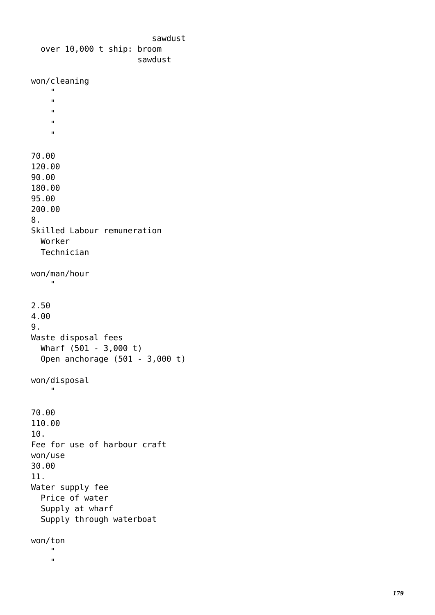```
 sawdust
   over 10,000 t ship: broom
                        sawdust
won/cleaning
     "
 "
 "
 "
 "
70.00
120.00
90.00
180.00
95.00
200.00
8.
Skilled Labour remuneration
   Worker
   Technician
won/man/hour
    "
2.50
4.00
9.
Waste disposal fees
   Wharf (501 - 3,000 t)
   Open anchorage (501 - 3,000 t)
won/disposal
     "
70.00
110.00
10.
Fee for use of harbour craft
won/use
30.00
11.
Water supply fee
   Price of water
   Supply at wharf
   Supply through waterboat
won/ton
 "
     "
```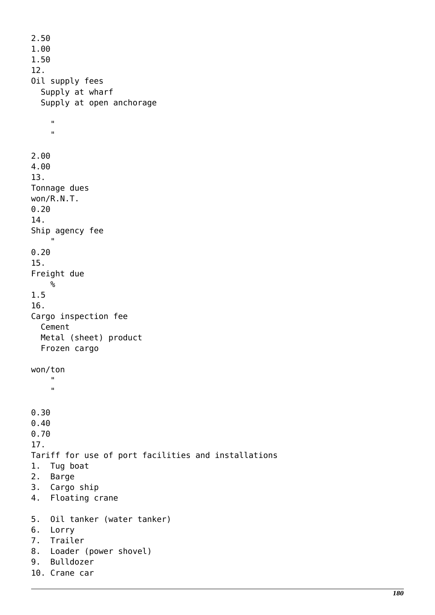```
2.50
1.00
1.50
12.
Oil supply fees
   Supply at wharf
   Supply at open anchorage
 "
 "
2.00
4.00
13.
Tonnage dues
won/R.N.T.
0.20
14.
Ship agency fee
" " " " "
0.20
15.
Freight due
    \%1.5
16.
Cargo inspection fee
   Cement
   Metal (sheet) product
   Frozen cargo
won/ton
 "
 "
0.30
0.40
0.70
17.
Tariff for use of port facilities and installations
1. Tug boat
2. Barge
3. Cargo ship
4. Floating crane
5. Oil tanker (water tanker)
6. Lorry
7. Trailer
8. Loader (power shovel)
9. Bulldozer
10. Crane car
```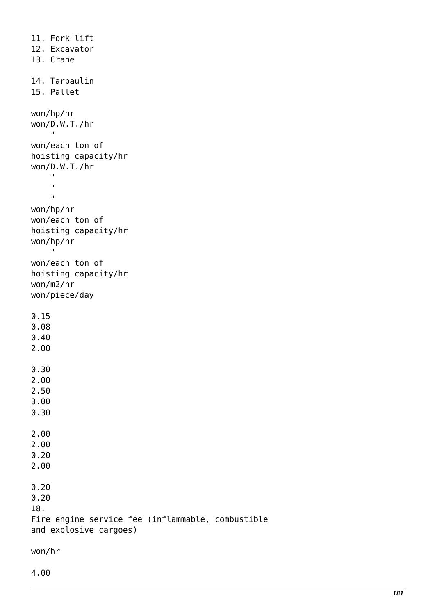```
11. Fork lift
12. Excavator
13. Crane
14. Tarpaulin
15. Pallet
won/hp/hr
won/D.W.T./hr
     "
won/each ton of
hoisting capacity/hr
won/D.W.T./hr
 "
    \bar{\mathbf{u}}\mathbf{u}won/hp/hr
won/each ton of
hoisting capacity/hr
won/hp/hr
     "
won/each ton of
hoisting capacity/hr
won/m2/hr
won/piece/day
0.15
0.08
0.40
2.00
0.30
2.00
2.50
3.00
0.30
2.00
2.00
0.20
2.00
0.20
0.20
18.
Fire engine service fee (inflammable, combustible
and explosive cargoes)
```

```
won/hr
```
4.00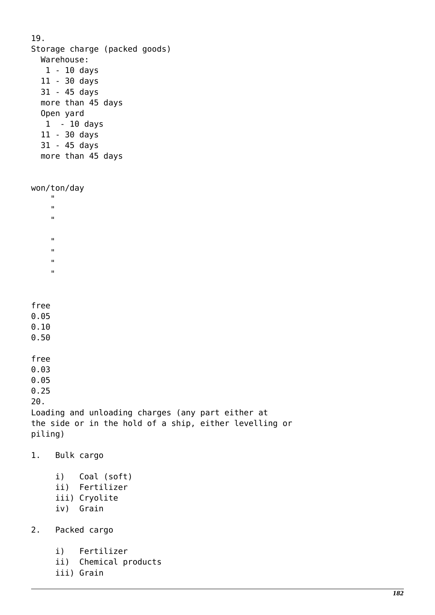| 19.                                                   | Warehouse:<br>$1 - 10$ days<br>$11 - 30$ days<br>31 - 45 days<br>Open yard<br>11 - 30 days<br>31 - 45 days | Storage charge (packed goods)<br>more than 45 days<br>$1 - 10$ days<br>more than 45 days |  |
|-------------------------------------------------------|------------------------------------------------------------------------------------------------------------|------------------------------------------------------------------------------------------|--|
| п<br>$\mathbf{u}$<br>п<br>п<br>п<br>$\mathbf{u}$<br>п | won/ton/day                                                                                                |                                                                                          |  |
| free<br>0.05<br>0.10<br>0.50                          |                                                                                                            |                                                                                          |  |
| free<br>0.03<br>0.05<br>0.25<br>20.                   |                                                                                                            | Loading and unloading charges (any part either at                                        |  |
| piling)                                               |                                                                                                            | the side or in the hold of a ship, either levelling or                                   |  |
| 1.                                                    |                                                                                                            | Bulk cargo                                                                               |  |
|                                                       |                                                                                                            | i) Coal (soft)<br>ii) Fertilizer<br>iii) Cryolite<br>iv) Grain                           |  |
|                                                       |                                                                                                            |                                                                                          |  |

- 2. Packed cargo
	- i) Fertilizer
	- ii) Chemical products
	- iii) Grain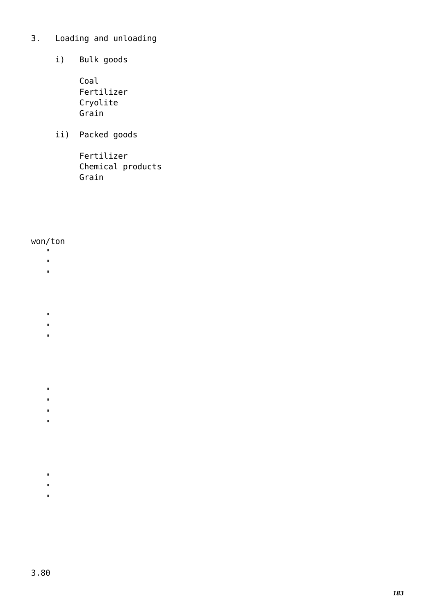## 3. Loading and unloading

- i) Bulk goods
	- Coal Fertilizer Cryolite Grain
- ii) Packed goods

 Fertilizer Chemical products Grain

## won/ton

- $\mathbf{u}$
- "
- $\bar{\mathbf{u}}$
- 
- "
- .<br>"
- $\bar{\mathbf{u}}$
- 
- $\mathbf{u}$
- $\bar{\mathbf{u}}$
- $\bar{\mathbf{u}}$
- .<br>"
- 
- $\mathbf{u}$
- "
- $\bar{\mathbf{u}}$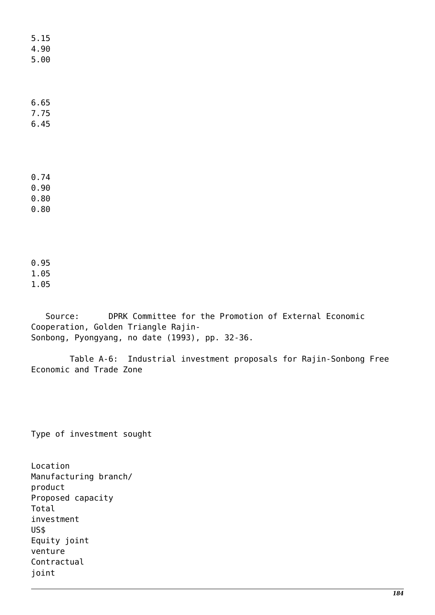5.15 4.90 5.00

6.65 7.75

6.45

0.74

0.90

0.80

0.80

0.95 1.05

1.05

 Source: DPRK Committee for the Promotion of External Economic Cooperation, Golden Triangle Rajin-Sonbong, Pyongyang, no date (1993), pp. 32-36.

 Table A-6: Industrial investment proposals for Rajin-Sonbong Free Economic and Trade Zone

Type of investment sought

Location Manufacturing branch/ product Proposed capacity Total investment US\$ Equity joint venture Contractual joint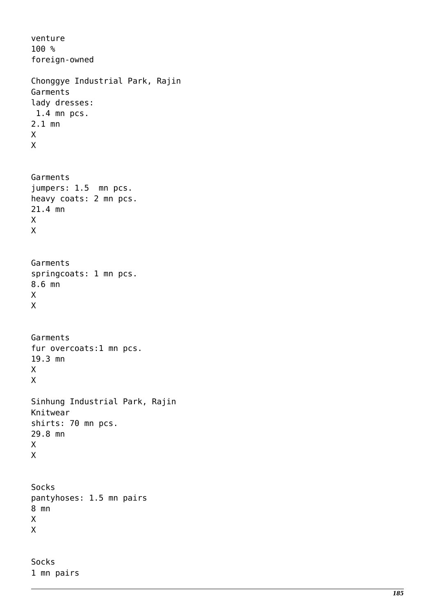venture 100 % foreign-owned Chonggye Industrial Park, Rajin Garments lady dresses: 1.4 mn pcs. 2.1 mn  $\frac{x}{x}$ Garments jumpers: 1.5 mn pcs. heavy coats: 2 mn pcs. 21.4 mn  $\frac{x}{x}$ Garments springcoats: 1 mn pcs. 8.6 mn X<br>X Garments fur overcoats:1 mn pcs. 19.3 mn X<br>X Sinhung Industrial Park, Rajin Knitwear shirts: 70 mn pcs. 29.8 mn  $\frac{x}{x}$ Socks pantyhoses: 1.5 mn pairs 8 mn X<br>X Socks

1 mn pairs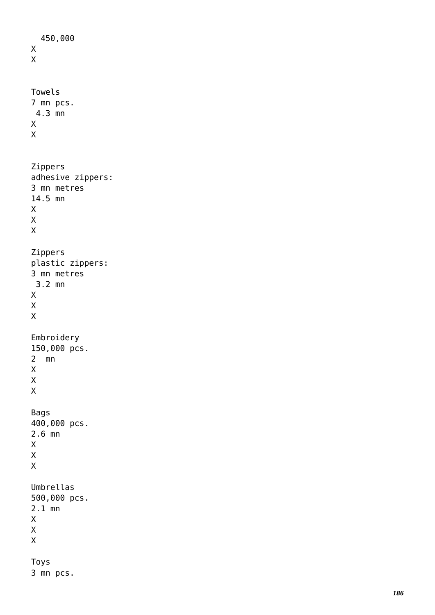```
 450,000 \frac{x}{x}Towels
7 mn pcs.
  4.3 mn \frac{x}{x}Zippers
adhesive zippers:
3 mn metres
14.5 mn \mathsf XX<br>X<br>X
\sf X\mathsf{X}Zippers
plastic zippers:
3 mn metres
  3.2 mn \mathsf{X}X<br>X<br>X
\overline{X}\overline{X}Embroidery
150,000 pcs.
2 mn<br>\overline{X}X<br>X<br>X
\mathsf{X}\overline{X}Bags
400,000 pcs.
2.6 mn \mathsf{X}X<br>X<br>X
\overline{X}\mathsf{X}Umbrellas
500,000 pcs.
2.1 mn \mathsf XX<br>X<br>X
\mathsf{X}\mathsf{X}Toys
3 mn pcs.
```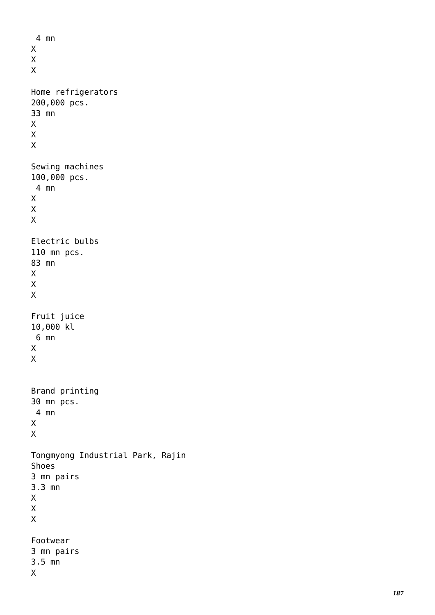```
 4 mn \mathsf{X}X<br>X<br>X
\overline{X}\overline{X}Home refrigerators
200,000 pcs.
33 mn \mathsf{X}X<br>X<br>X
\mathsf{X}\mathsf{X}Sewing machines
100,000 pcs.
  4 mn \overline{X}X<br>X<br>X
\mathsf X\mathsf{X}Electric bulbs
110 mn pcs.
83 mn \mathsf XX<br>X<br>X
\mathsf{X}\mathsf{X}Fruit juice
10,000 kl
  6 mn \frac{x}{x}Brand printing
30 mn pcs.
  4 mn \frac{x}{x}Tongmyong Industrial Park, Rajin
Shoes
3 mn pairs
3.3 mn X
X<br>X<br>X
\sf X\sf XFootwear
3 mn pairs
3.5 mn X
```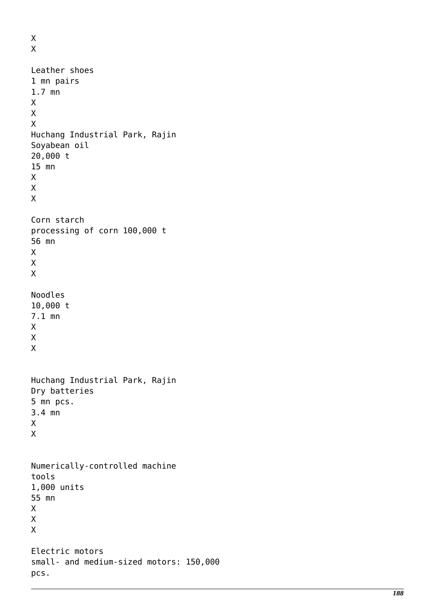```
X
X
Leather shoes
1 mn pairs
1.7 mn
X
X
X
Huchang Industrial Park, Rajin
Soyabean oil
20,000 t
15 mn
X
X
X
Corn starch
processing of corn 100,000 t
56 mn
X
X
X
Noodles
10,000 t
7.1 mn
X
X
X
Huchang Industrial Park, Rajin
Dry batteries
5 mn pcs.
3.4 mn
X
X
Numerically-controlled machine
tools
1,000 units
55 mn
X
X
X
Electric motors
small- and medium-sized motors: 150,000
pcs.
```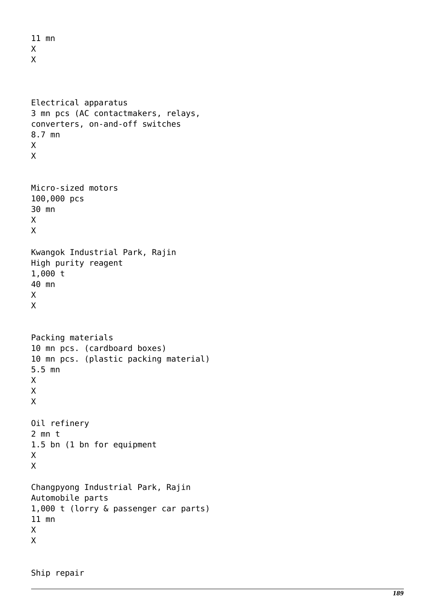```
11 mn
X
X
Electrical apparatus
3 mn pcs (AC contactmakers, relays,
converters, on-and-off switches
8.7 mn
X
X
Micro-sized motors
100,000 pcs
30 mn
X
X
Kwangok Industrial Park, Rajin
High purity reagent
1,000 t
40 mn
X
X
Packing materials
10 mn pcs. (cardboard boxes)
10 mn pcs. (plastic packing material)
5.5 mn
X
X
X
Oil refinery
2 mn t
1.5 bn (1 bn for equipment
X
X
Changpyong Industrial Park, Rajin
Automobile parts
1,000 t (lorry & passenger car parts)
11 mn
X
X
```
Ship repair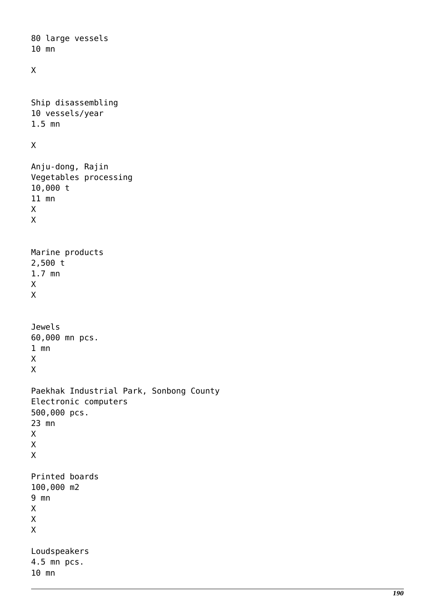```
80 large vessels
10 mn
X
Ship disassembling
10 vessels/year
1.5 mn
X
Anju-dong, Rajin
Vegetables processing
10,000 t
11 mn
X
X
Marine products
2,500 t
1.7 mn
X
X
Jewels
60,000 mn pcs.
1 mn
X
X
Paekhak Industrial Park, Sonbong County
Electronic computers
500,000 pcs.
23 mn
X
X
X
Printed boards
100,000 m2
9 mn
X
X
X
Loudspeakers
4.5 mn pcs.
10 mn
```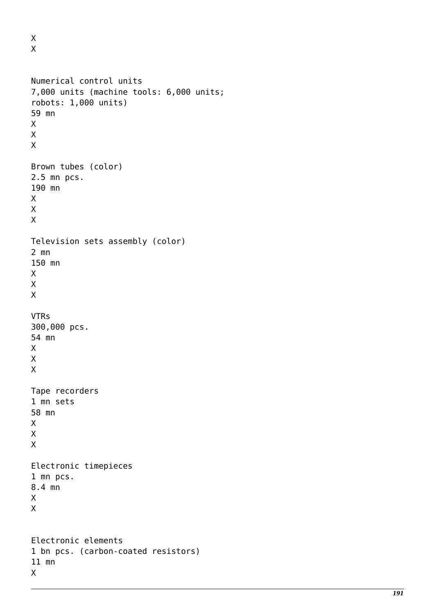X X

```
Numerical control units
7,000 units (machine tools: 6,000 units;
robots: 1,000 units)
59 mn
X
X
X
Brown tubes (color)
2.5 mn pcs.
190 mn
X
X
X
Television sets assembly (color)
2 mn
150 mn
X
X
X
VTRs
300,000 pcs.
54 mn
X
X
X
Tape recorders
1 mn sets
58 mn
X
X
X
Electronic timepieces
1 mn pcs.
8.4 mn
X
X
Electronic elements
1 bn pcs. (carbon-coated resistors)
11 mn
X
```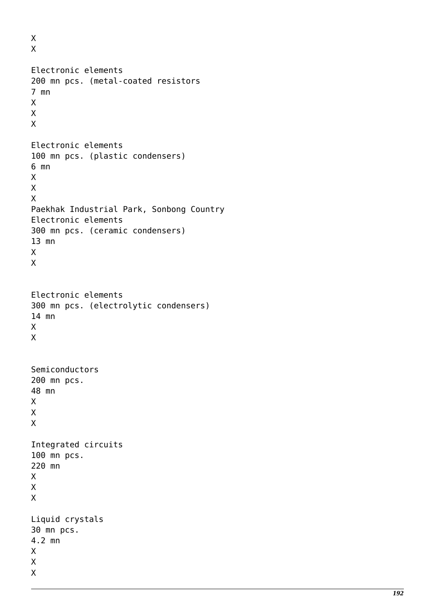X X Electronic elements 200 mn pcs. (metal-coated resistors 7 mn X X X Electronic elements 100 mn pcs. (plastic condensers) 6 mn X X X Paekhak Industrial Park, Sonbong Country Electronic elements 300 mn pcs. (ceramic condensers) 13 mn X X Electronic elements 300 mn pcs. (electrolytic condensers) 14 mn X X Semiconductors 200 mn pcs. 48 mn X X X Integrated circuits 100 mn pcs. 220 mn X X X Liquid crystals 30 mn pcs. 4.2 mn X X X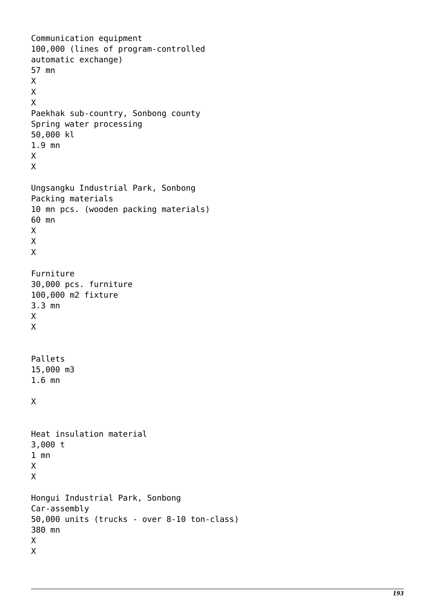```
Communication equipment
100,000 (lines of program-controlled
automatic exchange)
57 mn
X
X
X
Paekhak sub-country, Sonbong county
Spring water processing
50,000 kl
1.9 mn
X
X
Ungsangku Industrial Park, Sonbong
Packing materials
10 mn pcs. (wooden packing materials)
60 mn
X
X
X
Furniture
30,000 pcs. furniture
100,000 m2 fixture
3.3 mn
X
X
Pallets
15,000 m3
1.6 mn
X
Heat insulation material
3,000 t
1 mn
X
X
Hongui Industrial Park, Sonbong
Car-assembly
50,000 units (trucks - over 8-10 ton-class)
380 mn
X
X
```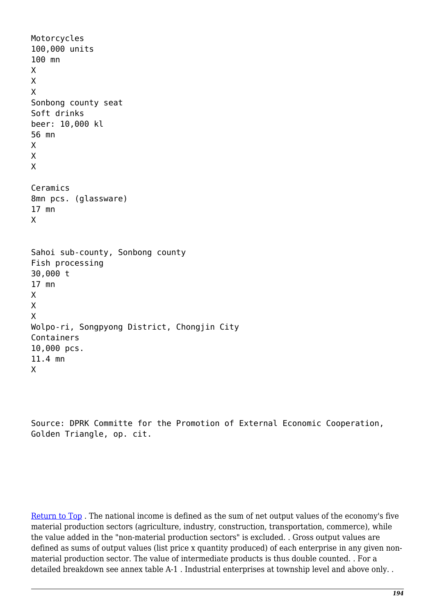```
Motorcycles
100,000 units
100 mn
X
X
X
Sonbong county seat
Soft drinks
beer: 10,000 kl
56 mn
X
X
X
Ceramics
8mn pcs. (glassware)
17 mn
X
Sahoi sub-county, Sonbong county
Fish processing
30,000 t
17 mn
X
X
X
Wolpo-ri, Songpyong District, Chongjin City
Containers
10,000 pcs.
11.4 mn
X
```
Source: DPRK Committe for the Promotion of External Economic Cooperation, Golden Triangle, op. cit.

[Return to Top](https://web.archive.org/web/19980120080341/https://nautilus.org/aprenet/library/tumen/industry.html#top) . The national income is defined as the sum of net output values of the economy's five material production sectors (agriculture, industry, construction, transportation, commerce), while the value added in the "non-material production sectors" is excluded. . Gross output values are defined as sums of output values (list price x quantity produced) of each enterprise in any given nonmaterial production sector. The value of intermediate products is thus double counted. . For a detailed breakdown see annex table A-1 . Industrial enterprises at township level and above only. .